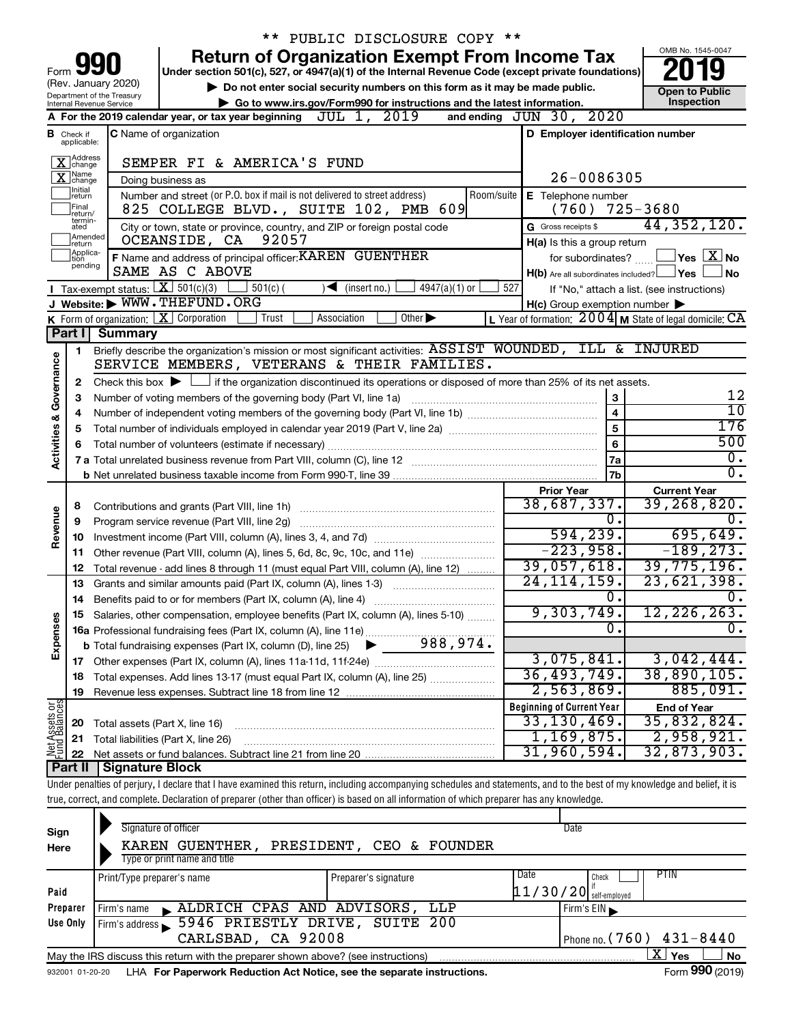|                         |                                |                                        | ** PUBLIC DISCLOSURE COPY **                                                                                                                                                                                     |                                                             |                                                                               |
|-------------------------|--------------------------------|----------------------------------------|------------------------------------------------------------------------------------------------------------------------------------------------------------------------------------------------------------------|-------------------------------------------------------------|-------------------------------------------------------------------------------|
|                         |                                |                                        | <b>Return of Organization Exempt From Income Tax</b>                                                                                                                                                             |                                                             | OMB No. 1545-0047                                                             |
| Form                    |                                | (Rev. January 2020)                    | Under section 501(c), 527, or 4947(a)(1) of the Internal Revenue Code (except private foundations)                                                                                                               |                                                             |                                                                               |
|                         |                                | Department of the Treasury             | Do not enter social security numbers on this form as it may be made public.                                                                                                                                      |                                                             | <b>Open to Public</b><br>Inspection                                           |
|                         |                                | Internal Revenue Service               | Go to www.irs.gov/Form990 for instructions and the latest information.<br>2019<br>A For the 2019 calendar year, or tax year beginning $JUL$ $\overline{1}$ ,                                                     | and ending JUN 30, 2020                                     |                                                                               |
|                         |                                |                                        | <b>C</b> Name of organization                                                                                                                                                                                    | D Employer identification number                            |                                                                               |
|                         | <b>B</b> Check if applicable:  |                                        |                                                                                                                                                                                                                  |                                                             |                                                                               |
|                         | X Address                      |                                        | SEMPER FI & AMERICA'S FUND                                                                                                                                                                                       |                                                             |                                                                               |
|                         | $\overline{\mathbf{X}}$ change |                                        | Doing business as                                                                                                                                                                                                | $26 - 0086305$                                              |                                                                               |
|                         | Initial<br>∣return             |                                        | Number and street (or P.O. box if mail is not delivered to street address)<br>Room/suite                                                                                                                         | E Telephone number                                          |                                                                               |
|                         | Final<br>return/<br>termin-    |                                        | 825 COLLEGE BLVD., SUITE 102, PMB 609                                                                                                                                                                            | (760)                                                       | 725-3680                                                                      |
|                         | ated<br>Amended                |                                        | City or town, state or province, country, and ZIP or foreign postal code                                                                                                                                         | G Gross receipts \$                                         | 44, 352, 120.                                                                 |
|                         | Ireturn                        |                                        | 92057<br>OCEANSIDE, CA                                                                                                                                                                                           | H(a) Is this a group return                                 |                                                                               |
|                         | Applica-<br>Ition<br>pending   |                                        | F Name and address of principal officer: KAREN GUENTHER                                                                                                                                                          | for subordinates?                                           | $ {\mathsf Y}\mathsf{es} \mathrel{\mathop{\sqcup} \underline{\mathsf X}} $ No |
|                         |                                |                                        | SAME AS C ABOVE                                                                                                                                                                                                  | $H(b)$ Are all subordinates included? $\Box$ Yes            | No                                                                            |
|                         |                                | Tax-exempt status: $X \over 301(c)(3)$ | $501(c)$ (<br>$\sqrt{\frac{1}{1}}$ (insert no.)<br>$4947(a)(1)$ or                                                                                                                                               | 527<br>If "No," attach a list. (see instructions)           |                                                                               |
|                         |                                |                                        | J Website: WWW.THEFUND.ORG                                                                                                                                                                                       | $H(c)$ Group exemption number $\blacktriangleright$         |                                                                               |
|                         |                                |                                        | K Form of organization: $X$ Corporation<br>Other $\blacktriangleright$<br>Trust<br>Association                                                                                                                   | L Year of formation: $2004$ M State of legal domicile: $CA$ |                                                                               |
|                         |                                | Part I Summary                         |                                                                                                                                                                                                                  |                                                             |                                                                               |
|                         | 1                              |                                        | Briefly describe the organization's mission or most significant activities: ASSIST WOUNDED, ILL & INJURED<br>SERVICE MEMBERS, VETERANS & THEIR FAMILIES.                                                         |                                                             |                                                                               |
|                         |                                |                                        |                                                                                                                                                                                                                  |                                                             |                                                                               |
| Governance              | 2                              |                                        | Check this box $\blacktriangleright$ $\Box$ if the organization discontinued its operations or disposed of more than 25% of its net assets.<br>Number of voting members of the governing body (Part VI, line 1a) | 3                                                           | 12                                                                            |
|                         | 3                              |                                        | $\overline{10}$                                                                                                                                                                                                  |                                                             |                                                                               |
|                         | 4                              |                                        | 176                                                                                                                                                                                                              |                                                             |                                                                               |
|                         | 5                              |                                        | 500                                                                                                                                                                                                              |                                                             |                                                                               |
| <b>Activities &amp;</b> | 6                              |                                        | 6<br>7a                                                                                                                                                                                                          | $\overline{0}$ .                                            |                                                                               |
|                         |                                |                                        |                                                                                                                                                                                                                  | 7 <sub>b</sub>                                              | σ.                                                                            |
|                         |                                |                                        |                                                                                                                                                                                                                  | <b>Prior Year</b>                                           | <b>Current Year</b>                                                           |
|                         | 8                              |                                        |                                                                                                                                                                                                                  | 38,687,337.                                                 | 39, 268, 820.                                                                 |
| Revenue                 | 9                              |                                        | Program service revenue (Part VIII, line 2g)                                                                                                                                                                     | Ο.                                                          | Ω.                                                                            |
|                         | 10                             |                                        |                                                                                                                                                                                                                  | 594, 239.                                                   | 695,649.                                                                      |
|                         | 11                             |                                        | Other revenue (Part VIII, column (A), lines 5, 6d, 8c, 9c, 10c, and 11e)                                                                                                                                         | $-223,958.$                                                 | $-189, 273.$                                                                  |
|                         | 12                             |                                        | Total revenue - add lines 8 through 11 (must equal Part VIII, column (A), line 12)                                                                                                                               | 39,057,618.                                                 | 39,775,196.                                                                   |
|                         | 13                             |                                        | Grants and similar amounts paid (Part IX, column (A), lines 1-3)                                                                                                                                                 | 24, 114, 159.                                               | 23,621,398.                                                                   |
|                         |                                |                                        |                                                                                                                                                                                                                  | 0.                                                          | 0.                                                                            |
|                         |                                |                                        | Salaries, other compensation, employee benefits (Part IX, column (A), lines 5-10)                                                                                                                                | 9,303,749                                                   | 12, 226, 263.                                                                 |
|                         |                                |                                        |                                                                                                                                                                                                                  | 0                                                           | Ο.                                                                            |
| Expenses                |                                |                                        |                                                                                                                                                                                                                  |                                                             |                                                                               |
|                         |                                |                                        | 17 Other expenses (Part IX, column (A), lines 11a 11d, 11f 24e)                                                                                                                                                  | 3,075,841.                                                  | 3,042,444.                                                                    |
|                         | 18                             |                                        | Total expenses. Add lines 13-17 (must equal Part IX, column (A), line 25)                                                                                                                                        | 36,493,749.                                                 | 38,890,105.                                                                   |
|                         | 19                             |                                        |                                                                                                                                                                                                                  | 2,563,869.                                                  | 885,091.                                                                      |
| Net Assets or           |                                |                                        |                                                                                                                                                                                                                  | <b>Beginning of Current Year</b>                            | <b>End of Year</b>                                                            |
|                         | 20                             | Total assets (Part X, line 16)         |                                                                                                                                                                                                                  | 33, 130, 469.                                               | 35,832,824.                                                                   |
|                         | 21                             |                                        | Total liabilities (Part X, line 26)                                                                                                                                                                              | 1,169,875.                                                  | 2,958,921.                                                                    |
|                         | 22                             |                                        |                                                                                                                                                                                                                  | 31,960,594.                                                 | 32,873,903.                                                                   |
|                         | Part II                        | <b>Signature Block</b>                 |                                                                                                                                                                                                                  |                                                             |                                                                               |
|                         |                                |                                        | Under penalties of perjury, I declare that I have examined this return, including accompanying schedules and statements, and to the best of my knowledge and belief, it is                                       |                                                             |                                                                               |
|                         |                                |                                        | true, correct, and complete. Declaration of preparer (other than officer) is based on all information of which preparer has any knowledge.                                                                       |                                                             |                                                                               |
|                         |                                |                                        |                                                                                                                                                                                                                  |                                                             |                                                                               |

| Sign<br>Here | Signature of officer<br>KAREN GUENTHER,                                                              | PRESIDENT, CEO & FOUNDER     | Date                       |  |  |  |  |  |  |  |
|--------------|------------------------------------------------------------------------------------------------------|------------------------------|----------------------------|--|--|--|--|--|--|--|
|              | Type or print name and title                                                                         |                              |                            |  |  |  |  |  |  |  |
|              | Print/Type preparer's name                                                                           | Date<br>Preparer's signature | PTIN<br>Check              |  |  |  |  |  |  |  |
| Paid         |                                                                                                      |                              | $11/30/20$ self-employed   |  |  |  |  |  |  |  |
| Preparer     | ALDRICH CPAS AND ADVISORS,<br>Firm's name                                                            | LLP                          | Firm's $EIN$               |  |  |  |  |  |  |  |
| Use Only     | 5946 PRIESTLY DRIVE, SUITE 200<br>Firm's address                                                     |                              |                            |  |  |  |  |  |  |  |
|              | CARLSBAD, CA 92008                                                                                   |                              | Phone no. $(760)$ 431-8440 |  |  |  |  |  |  |  |
|              | x.<br>Yes<br>No<br>May the IRS discuss this return with the preparer shown above? (see instructions) |                              |                            |  |  |  |  |  |  |  |
|              |                                                                                                      |                              | $- - -$                    |  |  |  |  |  |  |  |

932001 01-20-20 **For Paperwork Reduction Act Notice, see the separate instructions.** LHA Form (2019)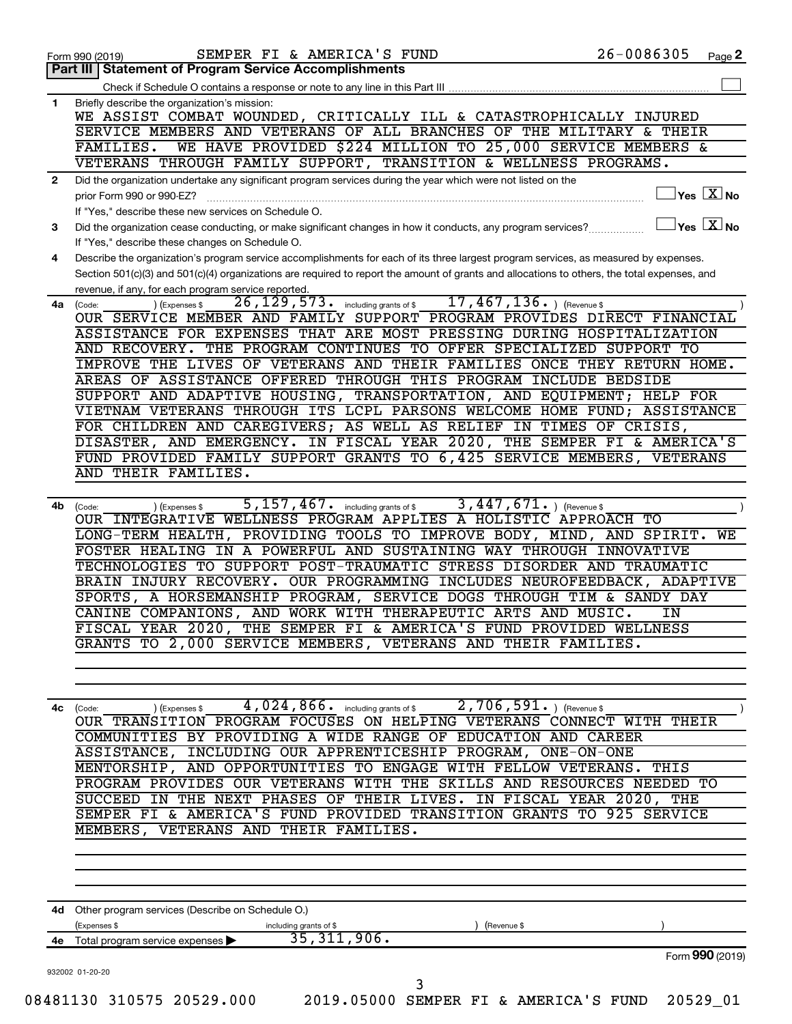|              | SEMPER FI & AMERICA'S FUND<br>Form 990 (2019)                                                                                                                                                                                                                                                                                                                                                                                                                                                                                                                                                                                                                                                                                                                                                                                                                                                                           | 26-0086305                                | Page 2 |
|--------------|-------------------------------------------------------------------------------------------------------------------------------------------------------------------------------------------------------------------------------------------------------------------------------------------------------------------------------------------------------------------------------------------------------------------------------------------------------------------------------------------------------------------------------------------------------------------------------------------------------------------------------------------------------------------------------------------------------------------------------------------------------------------------------------------------------------------------------------------------------------------------------------------------------------------------|-------------------------------------------|--------|
|              | <b>Part III   Statement of Program Service Accomplishments</b>                                                                                                                                                                                                                                                                                                                                                                                                                                                                                                                                                                                                                                                                                                                                                                                                                                                          |                                           |        |
|              | Check if Schedule O contains a response or note to any line in this Part III                                                                                                                                                                                                                                                                                                                                                                                                                                                                                                                                                                                                                                                                                                                                                                                                                                            |                                           |        |
| $\mathbf{1}$ | Briefly describe the organization's mission:<br>WE ASSIST COMBAT WOUNDED, CRITICALLY ILL & CATASTROPHICALLY INJURED<br>SERVICE MEMBERS AND VETERANS OF ALL BRANCHES OF THE MILITARY & THEIR<br>WE HAVE PROVIDED \$224 MILLION TO 25,000 SERVICE MEMBERS &<br>FAMILIES.                                                                                                                                                                                                                                                                                                                                                                                                                                                                                                                                                                                                                                                  |                                           |        |
|              | VETERANS THROUGH FAMILY SUPPORT, TRANSITION & WELLNESS PROGRAMS.                                                                                                                                                                                                                                                                                                                                                                                                                                                                                                                                                                                                                                                                                                                                                                                                                                                        |                                           |        |
| $\mathbf{2}$ | Did the organization undertake any significant program services during the year which were not listed on the                                                                                                                                                                                                                                                                                                                                                                                                                                                                                                                                                                                                                                                                                                                                                                                                            |                                           |        |
|              | prior Form 990 or 990-EZ?<br>If "Yes," describe these new services on Schedule O.                                                                                                                                                                                                                                                                                                                                                                                                                                                                                                                                                                                                                                                                                                                                                                                                                                       | $\sqrt{\mathsf{Yes}\ \mathbb{X}}$ No      |        |
| 3            | Did the organization cease conducting, or make significant changes in how it conducts, any program services?<br>If "Yes," describe these changes on Schedule O.                                                                                                                                                                                                                                                                                                                                                                                                                                                                                                                                                                                                                                                                                                                                                         | $\overline{\ }$ Yes $\overline{\rm X}$ No |        |
| 4            | Describe the organization's program service accomplishments for each of its three largest program services, as measured by expenses.<br>Section 501(c)(3) and 501(c)(4) organizations are required to report the amount of grants and allocations to others, the total expenses, and<br>revenue, if any, for each program service reported.                                                                                                                                                                                                                                                                                                                                                                                                                                                                                                                                                                             |                                           |        |
| 4a           | $17,467,136.$ ) (Revenue \$<br>$\overline{26}$ , $\overline{129}$ , $\overline{573}$ . including grants of \$<br>(Expenses \$<br>(Code:<br>OUR SERVICE MEMBER AND FAMILY SUPPORT PROGRAM PROVIDES DIRECT FINANCIAL<br>ASSISTANCE FOR EXPENSES THAT ARE MOST PRESSING DURING HOSPITALIZATION<br>AND RECOVERY. THE PROGRAM CONTINUES TO OFFER SPECIALIZED SUPPORT TO<br>IMPROVE THE LIVES OF VETERANS AND THEIR FAMILIES ONCE THEY RETURN HOME.<br>AREAS OF ASSISTANCE OFFERED THROUGH THIS PROGRAM INCLUDE BEDSIDE<br>SUPPORT AND ADAPTIVE HOUSING, TRANSPORTATION, AND EQUIPMENT; HELP FOR<br>VIETNAM VETERANS THROUGH ITS LCPL PARSONS WELCOME HOME FUND; ASSISTANCE<br>FOR CHILDREN AND CAREGIVERS; AS WELL AS RELIEF IN TIMES OF CRISIS,<br>DISASTER, AND EMERGENCY. IN FISCAL YEAR 2020, THE SEMPER FI & AMERICA'S<br>FUND PROVIDED FAMILY SUPPORT GRANTS TO 6,425 SERVICE MEMBERS, VETERANS<br>AND THEIR FAMILIES. |                                           |        |
| 4b           | 5, 157, 467. including grants of \$<br>$3,447,671.$ (Revenue \$<br>(Code:<br>) (Expenses \$<br>OUR INTEGRATIVE WELLNESS PROGRAM APPLIES A HOLISTIC APPROACH TO<br>LONG-TERM HEALTH, PROVIDING TOOLS TO IMPROVE BODY, MIND, AND SPIRIT. WE<br>FOSTER HEALING IN A POWERFUL AND SUSTAINING WAY THROUGH INNOVATIVE<br>TECHNOLOGIES TO SUPPORT POST-TRAUMATIC STRESS DISORDER AND TRAUMATIC<br>BRAIN INJURY RECOVERY. OUR PROGRAMMING INCLUDES NEUROFEEDBACK, ADAPTIVE<br>SPORTS, A HORSEMANSHIP PROGRAM, SERVICE DOGS THROUGH TIM & SANDY DAY<br>CANINE COMPANIONS, AND WORK WITH THERAPEUTIC ARTS AND MUSIC.<br>FISCAL YEAR 2020, THE SEMPER FI & AMERICA'S FUND PROVIDED WELLNESS<br>GRANTS TO 2,000 SERVICE MEMBERS, VETERANS AND THEIR FAMILIES.                                                                                                                                                                       | ΙN                                        |        |
| 4с           | $4,024,866$ including grants of \$<br>$2,706,591$ . (Revenue \$<br>(Expenses \$<br>(Code:<br>OUR TRANSITION PROGRAM FOCUSES ON HELPING VETERANS CONNECT WITH THEIR<br>COMMUNITIES BY PROVIDING A WIDE RANGE OF EDUCATION AND CAREER<br>ASSISTANCE, INCLUDING OUR APPRENTICESHIP PROGRAM, ONE-ON-ONE<br>MENTORSHIP, AND OPPORTUNITIES TO ENGAGE WITH FELLOW VETERANS. THIS<br>PROGRAM PROVIDES OUR VETERANS WITH THE SKILLS AND RESOURCES NEEDED TO<br>SUCCEED IN THE NEXT PHASES OF THEIR LIVES. IN FISCAL YEAR 2020, THE<br>SEMPER FI & AMERICA'S FUND PROVIDED TRANSITION GRANTS TO 925 SERVICE<br>MEMBERS, VETERANS AND THEIR FAMILIES.                                                                                                                                                                                                                                                                              |                                           |        |
|              |                                                                                                                                                                                                                                                                                                                                                                                                                                                                                                                                                                                                                                                                                                                                                                                                                                                                                                                         |                                           |        |
|              | 4d Other program services (Describe on Schedule O.)<br>(Expenses \$<br>including grants of \$<br>(Revenue \$<br>$\overline{35,311,906}$ .<br>4e Total program service expenses >                                                                                                                                                                                                                                                                                                                                                                                                                                                                                                                                                                                                                                                                                                                                        |                                           |        |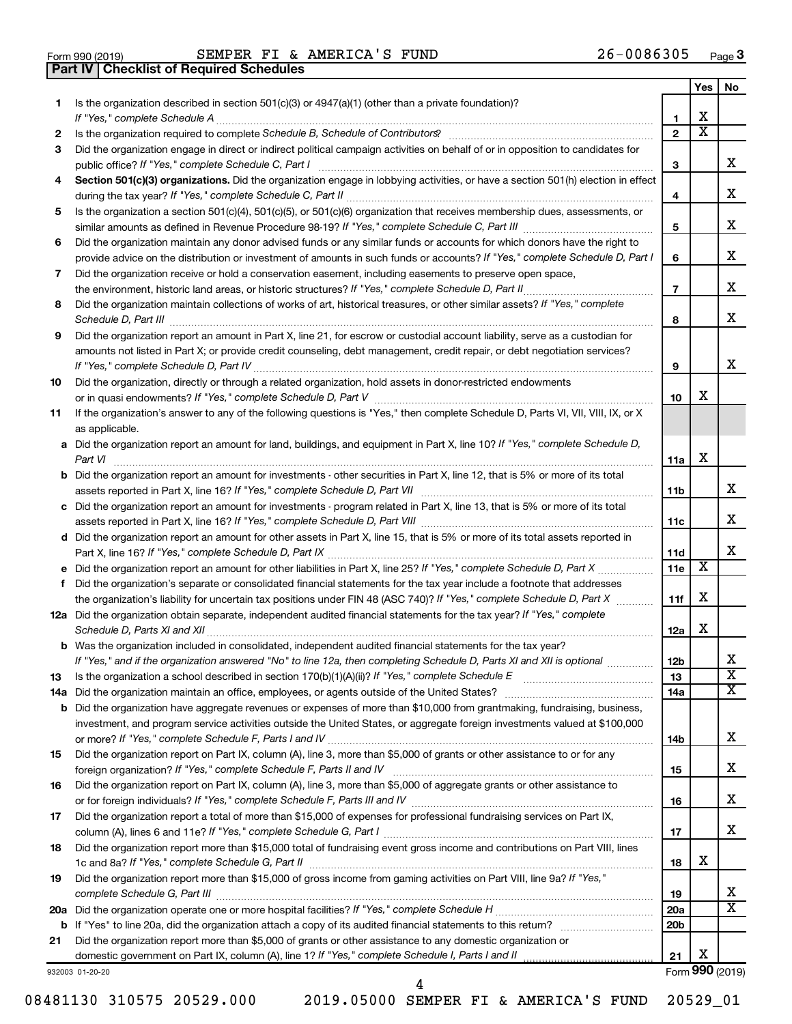| Form 990 (2019) |  |  |
|-----------------|--|--|

**Part IV Checklist of Required Schedules**

Form 990 (2019) Page SEMPER FI & AMERICA'S FUND 26-0086305

|     |                                                                                                                                                                                                                                     |                 | Yes                   | No                      |
|-----|-------------------------------------------------------------------------------------------------------------------------------------------------------------------------------------------------------------------------------------|-----------------|-----------------------|-------------------------|
| 1   | Is the organization described in section $501(c)(3)$ or $4947(a)(1)$ (other than a private foundation)?                                                                                                                             |                 |                       |                         |
|     | If "Yes," complete Schedule A                                                                                                                                                                                                       | 1               | x                     |                         |
| 2   |                                                                                                                                                                                                                                     | $\overline{2}$  | $\overline{\text{x}}$ |                         |
| З   | Did the organization engage in direct or indirect political campaign activities on behalf of or in opposition to candidates for                                                                                                     |                 |                       |                         |
|     | public office? If "Yes," complete Schedule C, Part I                                                                                                                                                                                | 3               |                       | x                       |
| 4   | Section 501(c)(3) organizations. Did the organization engage in lobbying activities, or have a section 501(h) election in effect                                                                                                    |                 |                       | x                       |
|     |                                                                                                                                                                                                                                     | 4               |                       |                         |
| 5   | Is the organization a section 501(c)(4), 501(c)(5), or 501(c)(6) organization that receives membership dues, assessments, or                                                                                                        | 5               |                       | x                       |
| 6   | Did the organization maintain any donor advised funds or any similar funds or accounts for which donors have the right to                                                                                                           |                 |                       |                         |
|     | provide advice on the distribution or investment of amounts in such funds or accounts? If "Yes," complete Schedule D, Part I                                                                                                        | 6               |                       | x                       |
| 7   | Did the organization receive or hold a conservation easement, including easements to preserve open space,                                                                                                                           |                 |                       |                         |
|     | the environment, historic land areas, or historic structures? If "Yes," complete Schedule D, Part II                                                                                                                                | $\overline{7}$  |                       | x                       |
| 8   | Did the organization maintain collections of works of art, historical treasures, or other similar assets? If "Yes," complete                                                                                                        |                 |                       |                         |
|     | Schedule D, Part III <b>Process Construction Construction Construction</b> Construction Construction Construction Construction Construction Construction Construction Construction Construction Construction Construction Construct | 8               |                       | x                       |
| 9   | Did the organization report an amount in Part X, line 21, for escrow or custodial account liability, serve as a custodian for                                                                                                       |                 |                       |                         |
|     | amounts not listed in Part X; or provide credit counseling, debt management, credit repair, or debt negotiation services?                                                                                                           |                 |                       |                         |
|     |                                                                                                                                                                                                                                     | 9               |                       | x                       |
| 10  | Did the organization, directly or through a related organization, hold assets in donor-restricted endowments                                                                                                                        |                 |                       |                         |
|     |                                                                                                                                                                                                                                     | 10              | x                     |                         |
| 11  | If the organization's answer to any of the following questions is "Yes," then complete Schedule D, Parts VI, VII, VIII, IX, or X                                                                                                    |                 |                       |                         |
|     | as applicable.                                                                                                                                                                                                                      |                 |                       |                         |
|     | a Did the organization report an amount for land, buildings, and equipment in Part X, line 10? If "Yes," complete Schedule D,                                                                                                       |                 |                       |                         |
|     |                                                                                                                                                                                                                                     | 11a             | х                     |                         |
|     | <b>b</b> Did the organization report an amount for investments - other securities in Part X, line 12, that is 5% or more of its total                                                                                               |                 |                       | x                       |
|     |                                                                                                                                                                                                                                     | 11b             |                       |                         |
|     | c Did the organization report an amount for investments - program related in Part X, line 13, that is 5% or more of its total                                                                                                       | 11c             |                       | x                       |
|     | d Did the organization report an amount for other assets in Part X, line 15, that is 5% or more of its total assets reported in                                                                                                     |                 |                       |                         |
|     |                                                                                                                                                                                                                                     | 11d             |                       | x                       |
|     |                                                                                                                                                                                                                                     | 11e             | X                     |                         |
| f   | Did the organization's separate or consolidated financial statements for the tax year include a footnote that addresses                                                                                                             |                 |                       |                         |
|     | the organization's liability for uncertain tax positions under FIN 48 (ASC 740)? If "Yes," complete Schedule D, Part X                                                                                                              | 11f             | х                     |                         |
|     | 12a Did the organization obtain separate, independent audited financial statements for the tax year? If "Yes," complete                                                                                                             |                 |                       |                         |
|     | Schedule D, Parts XI and XII                                                                                                                                                                                                        | 12a             | x                     |                         |
|     | <b>b</b> Was the organization included in consolidated, independent audited financial statements for the tax year?                                                                                                                  |                 |                       |                         |
|     | If "Yes," and if the organization answered "No" to line 12a, then completing Schedule D, Parts XI and XII is optional                                                                                                               | 12 <sub>b</sub> |                       | х                       |
| 13  |                                                                                                                                                                                                                                     | 13              |                       | $\overline{\texttt{x}}$ |
| 14a |                                                                                                                                                                                                                                     | 14a             |                       | x                       |
| b   | Did the organization have aggregate revenues or expenses of more than \$10,000 from grantmaking, fundraising, business,                                                                                                             |                 |                       |                         |
|     | investment, and program service activities outside the United States, or aggregate foreign investments valued at \$100,000                                                                                                          |                 |                       | х                       |
| 15  | Did the organization report on Part IX, column (A), line 3, more than \$5,000 of grants or other assistance to or for any                                                                                                           | 14b             |                       |                         |
|     |                                                                                                                                                                                                                                     | 15              |                       | х                       |
| 16  | Did the organization report on Part IX, column (A), line 3, more than \$5,000 of aggregate grants or other assistance to                                                                                                            |                 |                       |                         |
|     |                                                                                                                                                                                                                                     | 16              |                       | х                       |
| 17  | Did the organization report a total of more than \$15,000 of expenses for professional fundraising services on Part IX,                                                                                                             |                 |                       |                         |
|     |                                                                                                                                                                                                                                     | 17              |                       | х                       |
| 18  | Did the organization report more than \$15,000 total of fundraising event gross income and contributions on Part VIII, lines                                                                                                        |                 |                       |                         |
|     |                                                                                                                                                                                                                                     | 18              | x                     |                         |
| 19  | Did the organization report more than \$15,000 of gross income from gaming activities on Part VIII, line 9a? If "Yes,"                                                                                                              |                 |                       |                         |
|     |                                                                                                                                                                                                                                     | 19              |                       | x                       |
|     |                                                                                                                                                                                                                                     | 20a             |                       | X                       |
|     |                                                                                                                                                                                                                                     | 20b             |                       |                         |
| 21  | Did the organization report more than \$5,000 of grants or other assistance to any domestic organization or                                                                                                                         |                 |                       |                         |
|     |                                                                                                                                                                                                                                     | 21              | х                     |                         |
|     | 932003 01-20-20                                                                                                                                                                                                                     |                 |                       | Form 990 (2019)         |

08481130 310575 20529.000 2019.05000 SEMPER FI & AMERICA'S FUND 20529\_01

4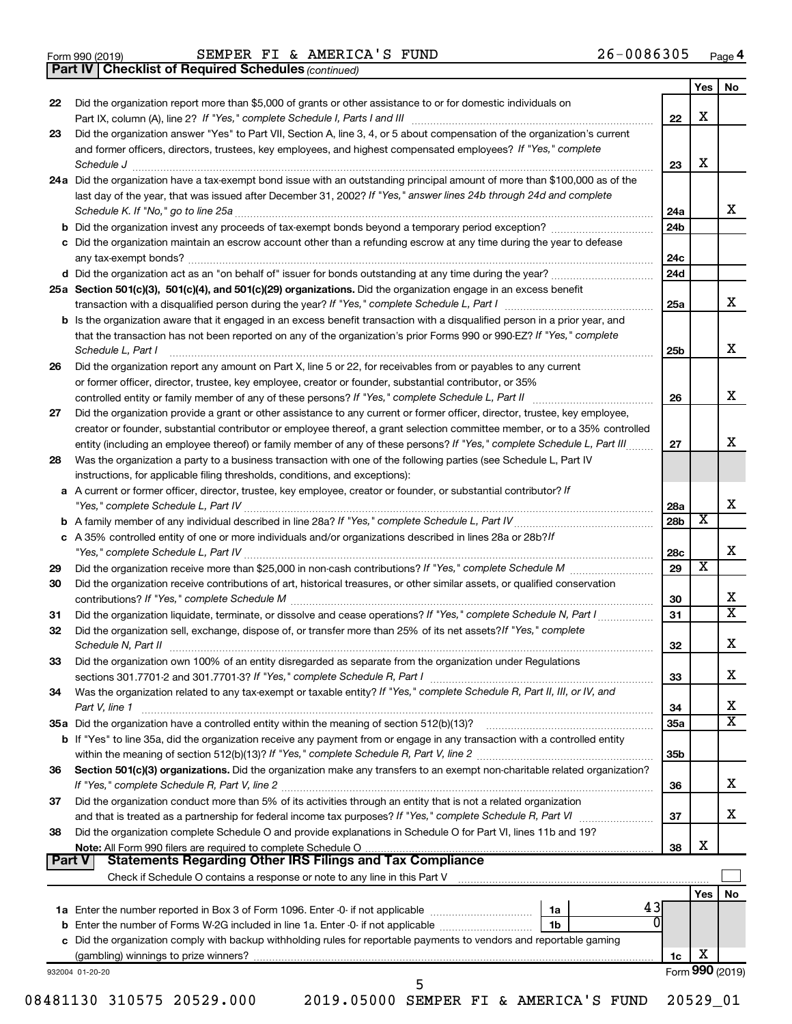*(continued)* **Part IV Checklist of Required Schedules**

|    |                                                                                                                                                                                                                                                                                                                                                                   |                 | <b>Yes</b>              | No                           |
|----|-------------------------------------------------------------------------------------------------------------------------------------------------------------------------------------------------------------------------------------------------------------------------------------------------------------------------------------------------------------------|-----------------|-------------------------|------------------------------|
| 22 | Did the organization report more than \$5,000 of grants or other assistance to or for domestic individuals on                                                                                                                                                                                                                                                     |                 |                         |                              |
|    |                                                                                                                                                                                                                                                                                                                                                                   | 22              | X                       |                              |
| 23 | Did the organization answer "Yes" to Part VII, Section A, line 3, 4, or 5 about compensation of the organization's current                                                                                                                                                                                                                                        |                 |                         |                              |
|    | and former officers, directors, trustees, key employees, and highest compensated employees? If "Yes," complete                                                                                                                                                                                                                                                    | 23              | X                       |                              |
|    | Schedule J <b>Execute J Execute Contract Contract Contract Contract Contract Contract Contract Contract Contract Contract Contract Contract Contract Contract Contract Contract Contract Contract Contract Contract Contract C</b><br>24a Did the organization have a tax-exempt bond issue with an outstanding principal amount of more than \$100,000 as of the |                 |                         |                              |
|    | last day of the year, that was issued after December 31, 2002? If "Yes," answer lines 24b through 24d and complete                                                                                                                                                                                                                                                |                 |                         |                              |
|    |                                                                                                                                                                                                                                                                                                                                                                   | 24a             |                         | x                            |
|    |                                                                                                                                                                                                                                                                                                                                                                   | 24b             |                         |                              |
|    | c Did the organization maintain an escrow account other than a refunding escrow at any time during the year to defease                                                                                                                                                                                                                                            |                 |                         |                              |
|    |                                                                                                                                                                                                                                                                                                                                                                   | 24c             |                         |                              |
|    |                                                                                                                                                                                                                                                                                                                                                                   | 24d             |                         |                              |
|    | 25a Section 501(c)(3), 501(c)(4), and 501(c)(29) organizations. Did the organization engage in an excess benefit                                                                                                                                                                                                                                                  |                 |                         |                              |
|    |                                                                                                                                                                                                                                                                                                                                                                   | 25a             |                         | x                            |
|    | <b>b</b> Is the organization aware that it engaged in an excess benefit transaction with a disqualified person in a prior year, and                                                                                                                                                                                                                               |                 |                         |                              |
|    | that the transaction has not been reported on any of the organization's prior Forms 990 or 990-EZ? If "Yes," complete                                                                                                                                                                                                                                             |                 |                         |                              |
|    | Schedule L, Part I                                                                                                                                                                                                                                                                                                                                                | 25b             |                         | X                            |
| 26 | Did the organization report any amount on Part X, line 5 or 22, for receivables from or payables to any current                                                                                                                                                                                                                                                   |                 |                         |                              |
|    | or former officer, director, trustee, key employee, creator or founder, substantial contributor, or 35%                                                                                                                                                                                                                                                           |                 |                         |                              |
|    |                                                                                                                                                                                                                                                                                                                                                                   | 26              |                         | X                            |
| 27 | Did the organization provide a grant or other assistance to any current or former officer, director, trustee, key employee,                                                                                                                                                                                                                                       |                 |                         |                              |
|    | creator or founder, substantial contributor or employee thereof, a grant selection committee member, or to a 35% controlled                                                                                                                                                                                                                                       |                 |                         |                              |
|    | entity (including an employee thereof) or family member of any of these persons? If "Yes," complete Schedule L, Part III                                                                                                                                                                                                                                          | 27              |                         | x                            |
| 28 | Was the organization a party to a business transaction with one of the following parties (see Schedule L, Part IV                                                                                                                                                                                                                                                 |                 |                         |                              |
|    | instructions, for applicable filing thresholds, conditions, and exceptions):                                                                                                                                                                                                                                                                                      |                 |                         |                              |
|    | a A current or former officer, director, trustee, key employee, creator or founder, or substantial contributor? If                                                                                                                                                                                                                                                |                 |                         |                              |
|    |                                                                                                                                                                                                                                                                                                                                                                   | 28a             |                         | X                            |
|    |                                                                                                                                                                                                                                                                                                                                                                   | 28b             | X                       |                              |
|    | c A 35% controlled entity of one or more individuals and/or organizations described in lines 28a or 28b?/f                                                                                                                                                                                                                                                        |                 |                         |                              |
|    |                                                                                                                                                                                                                                                                                                                                                                   | 28c             |                         | X                            |
| 29 |                                                                                                                                                                                                                                                                                                                                                                   | 29              | $\overline{\mathbf{X}}$ |                              |
| 30 | Did the organization receive contributions of art, historical treasures, or other similar assets, or qualified conservation                                                                                                                                                                                                                                       |                 |                         |                              |
|    |                                                                                                                                                                                                                                                                                                                                                                   | 30              |                         | х<br>$\overline{\mathtt{x}}$ |
| 31 | Did the organization liquidate, terminate, or dissolve and cease operations? If "Yes," complete Schedule N, Part I                                                                                                                                                                                                                                                | 31              |                         |                              |
| 32 | Did the organization sell, exchange, dispose of, or transfer more than 25% of its net assets? If "Yes," complete                                                                                                                                                                                                                                                  |                 |                         |                              |
|    | Schedule N, Part II <b>Markov Markov Markov Markov Markov Markov Markov Markov Markov Markov Markov Markov Markov</b>                                                                                                                                                                                                                                             | 32              |                         | X                            |
| 33 | Did the organization own 100% of an entity disregarded as separate from the organization under Regulations                                                                                                                                                                                                                                                        |                 |                         |                              |
|    |                                                                                                                                                                                                                                                                                                                                                                   | 33              |                         | X                            |
| 34 | Was the organization related to any tax-exempt or taxable entity? If "Yes," complete Schedule R, Part II, III, or IV, and                                                                                                                                                                                                                                         |                 |                         |                              |
|    | Part V, line 1                                                                                                                                                                                                                                                                                                                                                    | 34              |                         | х<br>$\overline{\mathtt{x}}$ |
|    |                                                                                                                                                                                                                                                                                                                                                                   | 35a             |                         |                              |
|    | b If "Yes" to line 35a, did the organization receive any payment from or engage in any transaction with a controlled entity                                                                                                                                                                                                                                       | 35 <sub>b</sub> |                         |                              |
| 36 | Section 501(c)(3) organizations. Did the organization make any transfers to an exempt non-charitable related organization?                                                                                                                                                                                                                                        |                 |                         |                              |
|    |                                                                                                                                                                                                                                                                                                                                                                   | 36              |                         | X                            |
| 37 | Did the organization conduct more than 5% of its activities through an entity that is not a related organization                                                                                                                                                                                                                                                  |                 |                         |                              |
|    |                                                                                                                                                                                                                                                                                                                                                                   | 37              |                         | X                            |
| 38 | Did the organization complete Schedule O and provide explanations in Schedule O for Part VI, lines 11b and 19?                                                                                                                                                                                                                                                    |                 |                         |                              |
|    |                                                                                                                                                                                                                                                                                                                                                                   | 38              | X                       |                              |
|    | Part V                                                                                                                                                                                                                                                                                                                                                            |                 |                         |                              |
|    |                                                                                                                                                                                                                                                                                                                                                                   |                 |                         |                              |
|    |                                                                                                                                                                                                                                                                                                                                                                   |                 |                         | No                           |
|    |                                                                                                                                                                                                                                                                                                                                                                   |                 | Yes                     |                              |
|    | 43<br>1a                                                                                                                                                                                                                                                                                                                                                          |                 |                         |                              |
|    | l 1b                                                                                                                                                                                                                                                                                                                                                              |                 |                         |                              |
|    | b Enter the number of Forms W-2G included in line 1a. Enter -0- if not applicable<br>c Did the organization comply with backup withholding rules for reportable payments to vendors and reportable gaming                                                                                                                                                         |                 |                         |                              |
|    |                                                                                                                                                                                                                                                                                                                                                                   | 1c              | х                       |                              |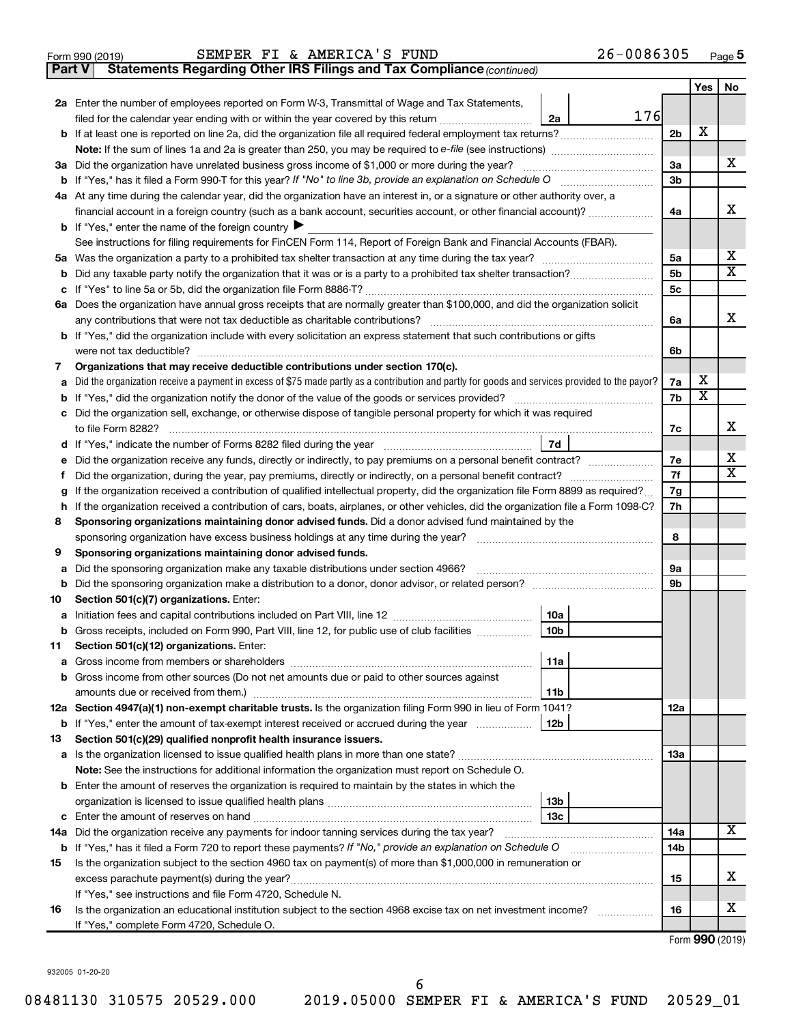|  | Form 990 (2019) |  |
|--|-----------------|--|
|  |                 |  |

**Part V** Statements Regarding Other IRS Filings and Tax Compliance (continued)

|                                                                                                                                                                                                                                           |                                                                                                                                                 |                 |     |                | Yes | No |  |  |
|-------------------------------------------------------------------------------------------------------------------------------------------------------------------------------------------------------------------------------------------|-------------------------------------------------------------------------------------------------------------------------------------------------|-----------------|-----|----------------|-----|----|--|--|
|                                                                                                                                                                                                                                           | 2a Enter the number of employees reported on Form W-3, Transmittal of Wage and Tax Statements,                                                  |                 |     |                |     |    |  |  |
|                                                                                                                                                                                                                                           | filed for the calendar year ending with or within the year covered by this return <i>manumumumum</i>                                            | 2a              | 176 |                |     |    |  |  |
|                                                                                                                                                                                                                                           |                                                                                                                                                 |                 |     | 2 <sub>b</sub> | х   |    |  |  |
|                                                                                                                                                                                                                                           |                                                                                                                                                 |                 |     |                |     |    |  |  |
|                                                                                                                                                                                                                                           | 3a Did the organization have unrelated business gross income of \$1,000 or more during the year?                                                |                 |     | 3a             |     | х  |  |  |
|                                                                                                                                                                                                                                           |                                                                                                                                                 |                 |     | 3 <sub>b</sub> |     |    |  |  |
|                                                                                                                                                                                                                                           | 4a At any time during the calendar year, did the organization have an interest in, or a signature or other authority over, a                    |                 |     |                |     |    |  |  |
|                                                                                                                                                                                                                                           | financial account in a foreign country (such as a bank account, securities account, or other financial account)?                                |                 |     | 4a             |     | х  |  |  |
|                                                                                                                                                                                                                                           | <b>b</b> If "Yes," enter the name of the foreign country $\blacktriangleright$                                                                  |                 |     |                |     |    |  |  |
|                                                                                                                                                                                                                                           | See instructions for filing requirements for FinCEN Form 114, Report of Foreign Bank and Financial Accounts (FBAR).                             |                 |     |                |     |    |  |  |
|                                                                                                                                                                                                                                           | Did any taxable party notify the organization that it was or is a party to a prohibited tax shelter transaction?<br>b                           |                 |     |                |     |    |  |  |
|                                                                                                                                                                                                                                           |                                                                                                                                                 |                 |     |                |     |    |  |  |
|                                                                                                                                                                                                                                           | 6a Does the organization have annual gross receipts that are normally greater than \$100,000, and did the organization solicit                  |                 |     |                |     |    |  |  |
|                                                                                                                                                                                                                                           |                                                                                                                                                 |                 |     |                |     |    |  |  |
| <b>b</b> If "Yes," did the organization include with every solicitation an express statement that such contributions or gifts                                                                                                             |                                                                                                                                                 |                 |     |                |     |    |  |  |
|                                                                                                                                                                                                                                           | were not tax deductible?                                                                                                                        |                 |     |                |     |    |  |  |
| 7                                                                                                                                                                                                                                         | Organizations that may receive deductible contributions under section 170(c).                                                                   |                 |     |                |     |    |  |  |
| a                                                                                                                                                                                                                                         | Did the organization receive a payment in excess of \$75 made partly as a contribution and partly for goods and services provided to the payor? |                 |     | 7a             | х   |    |  |  |
|                                                                                                                                                                                                                                           |                                                                                                                                                 |                 |     | 7b             | X   |    |  |  |
|                                                                                                                                                                                                                                           | c Did the organization sell, exchange, or otherwise dispose of tangible personal property for which it was required                             |                 |     |                |     |    |  |  |
|                                                                                                                                                                                                                                           |                                                                                                                                                 |                 |     | 7с             |     | х  |  |  |
|                                                                                                                                                                                                                                           |                                                                                                                                                 | 7d              |     |                |     | х  |  |  |
| е                                                                                                                                                                                                                                         | Did the organization receive any funds, directly or indirectly, to pay premiums on a personal benefit contract?                                 |                 |     |                |     |    |  |  |
| f                                                                                                                                                                                                                                         | Did the organization, during the year, pay premiums, directly or indirectly, on a personal benefit contract?                                    |                 |     |                |     |    |  |  |
| g                                                                                                                                                                                                                                         | If the organization received a contribution of qualified intellectual property, did the organization file Form 8899 as required?                |                 |     |                |     |    |  |  |
| h                                                                                                                                                                                                                                         | If the organization received a contribution of cars, boats, airplanes, or other vehicles, did the organization file a Form 1098-C?              |                 |     |                |     |    |  |  |
| 8                                                                                                                                                                                                                                         | Sponsoring organizations maintaining donor advised funds. Did a donor advised fund maintained by the                                            |                 |     |                |     |    |  |  |
|                                                                                                                                                                                                                                           |                                                                                                                                                 |                 |     | 8              |     |    |  |  |
| 9                                                                                                                                                                                                                                         | Sponsoring organizations maintaining donor advised funds.                                                                                       |                 |     | <b>9a</b>      |     |    |  |  |
| a<br>b                                                                                                                                                                                                                                    | Did the sponsoring organization make any taxable distributions under section 4966?                                                              |                 |     | 9 <sub>b</sub> |     |    |  |  |
| 10                                                                                                                                                                                                                                        | Section 501(c)(7) organizations. Enter:                                                                                                         |                 |     |                |     |    |  |  |
| a                                                                                                                                                                                                                                         |                                                                                                                                                 | 10a             |     |                |     |    |  |  |
|                                                                                                                                                                                                                                           | b Gross receipts, included on Form 990, Part VIII, line 12, for public use of club facilities                                                   | 10 <sub>b</sub> |     |                |     |    |  |  |
|                                                                                                                                                                                                                                           | 11 Section 501(c)(12) organizations. Enter:                                                                                                     |                 |     |                |     |    |  |  |
|                                                                                                                                                                                                                                           |                                                                                                                                                 | 11a             |     |                |     |    |  |  |
|                                                                                                                                                                                                                                           | <b>b</b> Gross income from other sources (Do not net amounts due or paid to other sources against                                               |                 |     |                |     |    |  |  |
|                                                                                                                                                                                                                                           |                                                                                                                                                 | 11b             |     |                |     |    |  |  |
|                                                                                                                                                                                                                                           | 12a Section 4947(a)(1) non-exempt charitable trusts. Is the organization filing Form 990 in lieu of Form 1041?                                  |                 |     | <b>12a</b>     |     |    |  |  |
|                                                                                                                                                                                                                                           | <b>b</b> If "Yes," enter the amount of tax-exempt interest received or accrued during the year                                                  | 12b             |     |                |     |    |  |  |
| 13                                                                                                                                                                                                                                        | Section 501(c)(29) qualified nonprofit health insurance issuers.                                                                                |                 |     |                |     |    |  |  |
|                                                                                                                                                                                                                                           | a Is the organization licensed to issue qualified health plans in more than one state?                                                          |                 |     | 13a            |     |    |  |  |
|                                                                                                                                                                                                                                           | Note: See the instructions for additional information the organization must report on Schedule O.                                               |                 |     |                |     |    |  |  |
|                                                                                                                                                                                                                                           | <b>b</b> Enter the amount of reserves the organization is required to maintain by the states in which the                                       |                 |     |                |     |    |  |  |
|                                                                                                                                                                                                                                           |                                                                                                                                                 | 13 <sub>b</sub> |     |                |     |    |  |  |
|                                                                                                                                                                                                                                           |                                                                                                                                                 | 13 <sub>c</sub> |     |                |     | x  |  |  |
|                                                                                                                                                                                                                                           | 14a Did the organization receive any payments for indoor tanning services during the tax year?                                                  |                 |     | 14a<br>14b     |     |    |  |  |
| <b>b</b> If "Yes," has it filed a Form 720 to report these payments? If "No," provide an explanation on Schedule O<br>Is the organization subject to the section 4960 tax on payment(s) of more than \$1,000,000 in remuneration or<br>15 |                                                                                                                                                 |                 |     |                |     |    |  |  |
| excess parachute payment(s) during the year?                                                                                                                                                                                              |                                                                                                                                                 |                 |     |                |     |    |  |  |
|                                                                                                                                                                                                                                           | If "Yes," see instructions and file Form 4720, Schedule N.                                                                                      |                 |     | 15             |     | x  |  |  |
| 16                                                                                                                                                                                                                                        | Is the organization an educational institution subject to the section 4968 excise tax on net investment income?                                 |                 |     | 16             |     | х  |  |  |
|                                                                                                                                                                                                                                           | If "Yes," complete Form 4720, Schedule O.                                                                                                       |                 |     |                |     |    |  |  |
|                                                                                                                                                                                                                                           |                                                                                                                                                 |                 |     |                |     |    |  |  |

Form (2019) **990**

932005 01-20-20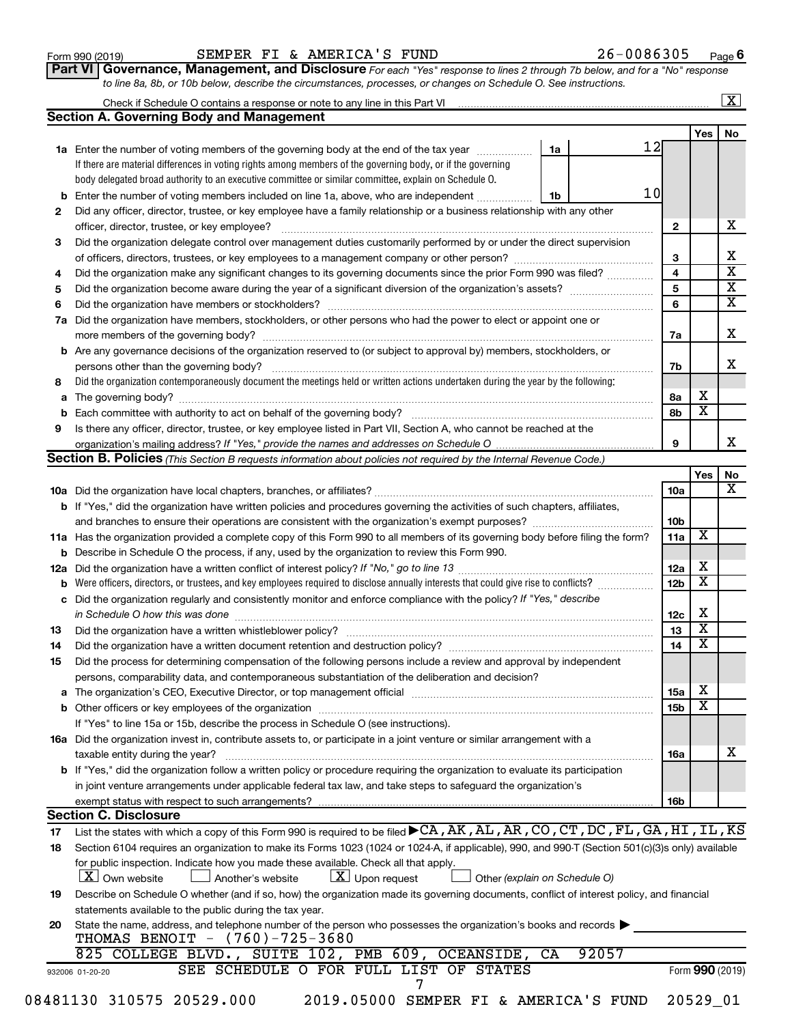### Form 990 (2019) Page SEMPER FI & AMERICA'S FUND 26-0086305

**Part VI** Governance, Management, and Disclosure For each "Yes" response to lines 2 through 7b below, and for a "No" response *to line 8a, 8b, or 10b below, describe the circumstances, processes, or changes on Schedule O. See instructions.*

|     | <b>Section A. Governing Body and Management</b>                                                                                                                                                                               |                               |                 |                         |  |
|-----|-------------------------------------------------------------------------------------------------------------------------------------------------------------------------------------------------------------------------------|-------------------------------|-----------------|-------------------------|--|
|     |                                                                                                                                                                                                                               |                               | 12              | Yes                     |  |
|     | 1a Enter the number of voting members of the governing body at the end of the tax year                                                                                                                                        | 1a                            |                 |                         |  |
|     | If there are material differences in voting rights among members of the governing body, or if the governing                                                                                                                   |                               |                 |                         |  |
|     | body delegated broad authority to an executive committee or similar committee, explain on Schedule O.                                                                                                                         |                               |                 |                         |  |
| b   | Enter the number of voting members included on line 1a, above, who are independent                                                                                                                                            | 1b                            | 10              |                         |  |
| 2   | Did any officer, director, trustee, or key employee have a family relationship or a business relationship with any other                                                                                                      |                               |                 |                         |  |
|     | officer, director, trustee, or key employee?                                                                                                                                                                                  |                               | $\mathbf{2}$    |                         |  |
| 3   | Did the organization delegate control over management duties customarily performed by or under the direct supervision                                                                                                         |                               |                 |                         |  |
|     |                                                                                                                                                                                                                               |                               | 3               |                         |  |
| 4   | Did the organization make any significant changes to its governing documents since the prior Form 990 was filed?                                                                                                              |                               | 4               |                         |  |
| 5   |                                                                                                                                                                                                                               |                               | 5               |                         |  |
| 6   |                                                                                                                                                                                                                               |                               | 6               |                         |  |
| 7a  | Did the organization have members, stockholders, or other persons who had the power to elect or appoint one or                                                                                                                |                               |                 |                         |  |
|     |                                                                                                                                                                                                                               |                               | 7а              |                         |  |
| b   | Are any governance decisions of the organization reserved to (or subject to approval by) members, stockholders, or                                                                                                            |                               |                 |                         |  |
|     |                                                                                                                                                                                                                               |                               | 7b              |                         |  |
| 8   | Did the organization contemporaneously document the meetings held or written actions undertaken during the year by the following:                                                                                             |                               |                 |                         |  |
| а   |                                                                                                                                                                                                                               |                               | 8а              | х                       |  |
|     |                                                                                                                                                                                                                               |                               | 8b              | $\overline{\textbf{x}}$ |  |
|     |                                                                                                                                                                                                                               |                               |                 |                         |  |
| 9   | Is there any officer, director, trustee, or key employee listed in Part VII, Section A, who cannot be reached at the                                                                                                          |                               | 9               |                         |  |
|     | <b>Section B. Policies</b> (This Section B requests information about policies not required by the Internal Revenue Code.)                                                                                                    |                               |                 |                         |  |
|     |                                                                                                                                                                                                                               |                               |                 |                         |  |
|     |                                                                                                                                                                                                                               |                               |                 | Yes                     |  |
|     |                                                                                                                                                                                                                               |                               | 10a             |                         |  |
|     | <b>b</b> If "Yes," did the organization have written policies and procedures governing the activities of such chapters, affiliates,                                                                                           |                               |                 |                         |  |
|     |                                                                                                                                                                                                                               |                               | 10b             |                         |  |
|     | 11a Has the organization provided a complete copy of this Form 990 to all members of its governing body before filing the form?                                                                                               |                               | 11a             | X                       |  |
|     | Describe in Schedule O the process, if any, used by the organization to review this Form 990.                                                                                                                                 |                               |                 |                         |  |
| 12a |                                                                                                                                                                                                                               |                               | 12a             | х                       |  |
|     | Were officers, directors, or trustees, and key employees required to disclose annually interests that could give rise to conflicts?                                                                                           |                               | 12 <sub>b</sub> | $\overline{\textbf{x}}$ |  |
| с   | Did the organization regularly and consistently monitor and enforce compliance with the policy? If "Yes," describe                                                                                                            |                               |                 |                         |  |
|     | in Schedule O how this was done manufactured and contact the way of the state of the state of the state of the                                                                                                                |                               | 12c             | X                       |  |
| 13  |                                                                                                                                                                                                                               |                               | 13              | $\overline{\mathbf{X}}$ |  |
| 14  |                                                                                                                                                                                                                               |                               | 14              | $\overline{\textbf{x}}$ |  |
| 15  | Did the process for determining compensation of the following persons include a review and approval by independent                                                                                                            |                               |                 |                         |  |
|     | persons, comparability data, and contemporaneous substantiation of the deliberation and decision?                                                                                                                             |                               |                 |                         |  |
| а   | The organization's CEO, Executive Director, or top management official [111] [11] manument content of the organization's CEO, Executive Director, or top management official [11] manument content of the organization of the |                               | 15a             | х                       |  |
|     |                                                                                                                                                                                                                               |                               | 15b             | х                       |  |
|     | If "Yes" to line 15a or 15b, describe the process in Schedule O (see instructions).                                                                                                                                           |                               |                 |                         |  |
|     | 16a Did the organization invest in, contribute assets to, or participate in a joint venture or similar arrangement with a                                                                                                     |                               |                 |                         |  |
|     | taxable entity during the year?                                                                                                                                                                                               |                               | 16a             |                         |  |
|     | b If "Yes," did the organization follow a written policy or procedure requiring the organization to evaluate its participation                                                                                                |                               |                 |                         |  |
|     | in joint venture arrangements under applicable federal tax law, and take steps to safequard the organization's                                                                                                                |                               |                 |                         |  |
|     | exempt status with respect to such arrangements?                                                                                                                                                                              |                               | 16b             |                         |  |
|     | <b>Section C. Disclosure</b>                                                                                                                                                                                                  |                               |                 |                         |  |
| 17  | List the states with which a copy of this Form 990 is required to be filed CA, AK, AL, AR, CO, CT, DC, FL, GA, HI, IL, KS                                                                                                     |                               |                 |                         |  |
|     |                                                                                                                                                                                                                               |                               |                 |                         |  |
| 18  | Section 6104 requires an organization to make its Forms 1023 (1024 or 1024-A, if applicable), 990, and 990-T (Section 501(c)(3)s only) available                                                                              |                               |                 |                         |  |
|     | for public inspection. Indicate how you made these available. Check all that apply.                                                                                                                                           |                               |                 |                         |  |
|     | $\lfloor x \rfloor$ Upon request<br>  X   Own website<br>Another's website                                                                                                                                                    | Other (explain on Schedule O) |                 |                         |  |
| 19  | Describe on Schedule O whether (and if so, how) the organization made its governing documents, conflict of interest policy, and financial                                                                                     |                               |                 |                         |  |
|     | statements available to the public during the tax year.                                                                                                                                                                       |                               |                 |                         |  |
| 20  | State the name, address, and telephone number of the person who possesses the organization's books and records                                                                                                                |                               |                 |                         |  |
|     | THOMAS BENOIT - (760)-725-3680                                                                                                                                                                                                |                               |                 |                         |  |
|     | 825 COLLEGE BLVD., SUITE 102, PMB 609, OCEANSIDE,                                                                                                                                                                             | 92057<br>CA                   |                 |                         |  |
|     | SEE SCHEDULE O FOR FULL LIST OF STATES<br>932006 01-20-20                                                                                                                                                                     |                               |                 | Form 990 (2019)         |  |
|     | 7<br>08481130 310575 20529.000<br>2019.05000 SEMPER FI & AMERICA'S FUND                                                                                                                                                       |                               |                 |                         |  |
|     |                                                                                                                                                                                                                               |                               | 20529_01        |                         |  |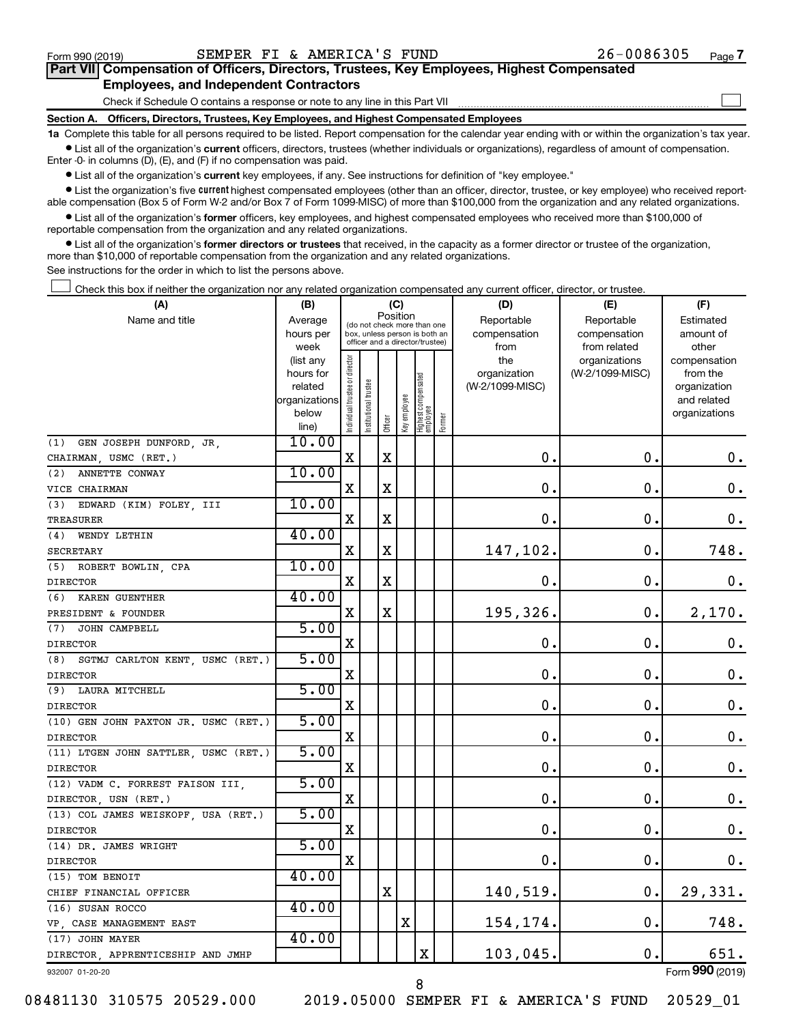$\mathcal{L}^{\text{eff}}$ 

| Part VII Compensation of Officers, Directors, Trustees, Key Employees, Highest Compensated |  |  |
|--------------------------------------------------------------------------------------------|--|--|
| <b>Employees, and Independent Contractors</b>                                              |  |  |

Check if Schedule O contains a response or note to any line in this Part VII

**Section A. Officers, Directors, Trustees, Key Employees, and Highest Compensated Employees**

**1a**  Complete this table for all persons required to be listed. Report compensation for the calendar year ending with or within the organization's tax year.  $\bullet$  List all of the organization's current officers, directors, trustees (whether individuals or organizations), regardless of amount of compensation.

Enter -0- in columns (D), (E), and (F) if no compensation was paid.

**•** List all of the organization's current key employees, if any. See instructions for definition of "key employee."

• List the organization's five *current* highest compensated employees (other than an officer, director, trustee, or key employee) who received reportable compensation (Box 5 of Form W-2 and/or Box 7 of Form 1099-MISC) of more than \$100,000 from the organization and any related organizations.

 $\bullet$  List all of the organization's former officers, key employees, and highest compensated employees who received more than \$100,000 of reportable compensation from the organization and any related organizations.

**•** List all of the organization's former directors or trustees that received, in the capacity as a former director or trustee of the organization, more than \$10,000 of reportable compensation from the organization and any related organizations.

See instructions for the order in which to list the persons above.

Check this box if neither the organization nor any related organization compensated any current officer, director, or trustee.  $\mathcal{L}^{\text{eff}}$ 

| (A)                                  | (B)                    |                               |                                                                  | (C)         |              |                                 |        | (D)                             | (E)                              | (F)                      |
|--------------------------------------|------------------------|-------------------------------|------------------------------------------------------------------|-------------|--------------|---------------------------------|--------|---------------------------------|----------------------------------|--------------------------|
| Name and title                       | Average                |                               | (do not check more than one                                      | Position    |              |                                 |        | Reportable                      | Reportable                       | Estimated                |
|                                      | hours per              |                               | box, unless person is both an<br>officer and a director/trustee) |             |              |                                 |        | compensation                    | compensation                     | amount of                |
|                                      | week                   |                               |                                                                  |             |              |                                 |        | from                            | from related                     | other                    |
|                                      | (list any<br>hours for | ndividual trustee or director |                                                                  |             |              |                                 |        | the                             | organizations<br>(W-2/1099-MISC) | compensation<br>from the |
|                                      | related                |                               |                                                                  |             |              |                                 |        | organization<br>(W-2/1099-MISC) |                                  | organization             |
|                                      | organizations          |                               | nstitutional trustee                                             |             |              |                                 |        |                                 |                                  | and related              |
|                                      | below                  |                               |                                                                  |             | Key employee |                                 |        |                                 |                                  | organizations            |
|                                      | line)                  |                               |                                                                  | Officer     |              | Highest compensated<br>employee | Former |                                 |                                  |                          |
| GEN JOSEPH DUNFORD, JR,<br>(1)       | 10.00                  |                               |                                                                  |             |              |                                 |        |                                 |                                  |                          |
| CHAIRMAN, USMC (RET.)                |                        | X                             |                                                                  | X           |              |                                 |        | о.                              | $\mathbf 0$ .                    | $\mathbf 0$ .            |
| ANNETTE CONWAY<br>(2)                | 10.00                  |                               |                                                                  |             |              |                                 |        |                                 |                                  |                          |
| VICE CHAIRMAN                        |                        | X                             |                                                                  | X           |              |                                 |        | $\mathbf 0$ .                   | $\mathbf 0$ .                    | $\mathbf 0$ .            |
| EDWARD (KIM) FOLEY, III<br>(3)       | 10.00                  |                               |                                                                  |             |              |                                 |        |                                 |                                  |                          |
| <b>TREASURER</b>                     |                        | X                             |                                                                  | X           |              |                                 |        | 0.                              | $\mathbf 0$ .                    | 0.                       |
| WENDY LETHIN<br>(4)                  | 40.00                  |                               |                                                                  |             |              |                                 |        |                                 |                                  |                          |
| SECRETARY                            |                        | $\mathbf X$                   |                                                                  | $\mathbf X$ |              |                                 |        | 147,102.                        | $\mathbf 0$ .                    | 748.                     |
| ROBERT BOWLIN, CPA<br>(5)            | 10.00                  |                               |                                                                  |             |              |                                 |        |                                 |                                  |                          |
| <b>DIRECTOR</b>                      |                        | X                             |                                                                  | $\mathbf X$ |              |                                 |        | $\mathbf 0$                     | $\mathbf 0$                      | 0.                       |
| (6) KAREN GUENTHER                   | 40.00                  |                               |                                                                  |             |              |                                 |        |                                 |                                  |                          |
| PRESIDENT & FOUNDER                  |                        | X                             |                                                                  | $\mathbf X$ |              |                                 |        | 195,326.                        | $\mathbf 0$ .                    | 2,170.                   |
| (7)<br>JOHN CAMPBELL                 | 5.00                   |                               |                                                                  |             |              |                                 |        |                                 |                                  |                          |
| <b>DIRECTOR</b>                      |                        | X                             |                                                                  |             |              |                                 |        | $\mathbf 0$                     | $\mathbf 0$ .                    | $\boldsymbol{0}$ .       |
| (8) SGTMJ CARLTON KENT, USMC (RET.)  | 5.00                   |                               |                                                                  |             |              |                                 |        |                                 |                                  |                          |
| <b>DIRECTOR</b>                      |                        | X                             |                                                                  |             |              |                                 |        | $0 \, .$                        | $\mathbf 0$ .                    | 0.                       |
| (9) LAURA MITCHELL                   | 5.00                   |                               |                                                                  |             |              |                                 |        |                                 |                                  |                          |
| <b>DIRECTOR</b>                      |                        | х                             |                                                                  |             |              |                                 |        | $\mathbf 0$                     | $\mathbf 0$                      | 0.                       |
| (10) GEN JOHN PAXTON JR. USMC (RET.) | 5.00                   |                               |                                                                  |             |              |                                 |        |                                 |                                  |                          |
| <b>DIRECTOR</b>                      |                        | X                             |                                                                  |             |              |                                 |        | 0.                              | $\mathbf 0$ .                    | 0.                       |
| (11) LTGEN JOHN SATTLER, USMC (RET.) | 5.00                   |                               |                                                                  |             |              |                                 |        |                                 |                                  |                          |
| <b>DIRECTOR</b>                      |                        | X                             |                                                                  |             |              |                                 |        | 0.                              | $\mathbf 0$ .                    | $\mathbf 0$ .            |
| (12) VADM C. FORREST FAISON III,     | 5.00                   |                               |                                                                  |             |              |                                 |        |                                 |                                  |                          |
| DIRECTOR, USN (RET.)                 |                        | $\mathbf X$                   |                                                                  |             |              |                                 |        | $\mathbf 0$ .                   | $\mathbf 0$ .                    | $\mathbf 0$ .            |
| (13) COL JAMES WEISKOPF, USA (RET.)  | 5.00                   |                               |                                                                  |             |              |                                 |        |                                 |                                  |                          |
| <b>DIRECTOR</b>                      |                        | $\mathbf X$                   |                                                                  |             |              |                                 |        | $\mathbf 0$ .                   | $\mathbf 0$ .                    | $\mathbf 0$ .            |
| (14) DR. JAMES WRIGHT                | 5.00                   |                               |                                                                  |             |              |                                 |        |                                 |                                  |                          |
| <b>DIRECTOR</b>                      |                        | X                             |                                                                  |             |              |                                 |        | $\mathbf 0$                     | $\mathbf 0$                      | 0.                       |
| (15) TOM BENOIT                      | 40.00                  |                               |                                                                  |             |              |                                 |        |                                 |                                  |                          |
| CHIEF FINANCIAL OFFICER              |                        |                               |                                                                  | $\mathbf X$ |              |                                 |        | 140,519.                        | 0.                               | 29,331.                  |
| (16) SUSAN ROCCO                     | 40.00                  |                               |                                                                  |             |              |                                 |        |                                 |                                  |                          |
| VP, CASE MANAGEMENT EAST             |                        |                               |                                                                  |             | $\mathbf X$  |                                 |        | 154,174.                        | $\mathbf 0$ .                    | 748.                     |
| (17) JOHN MAYER                      | 40.00                  |                               |                                                                  |             |              |                                 |        |                                 |                                  |                          |
| DIRECTOR, APPRENTICESHIP AND JMHP    |                        |                               |                                                                  |             |              | X                               |        | $103,045$ .                     | 0.                               | 651.                     |
| 932007 01-20-20                      |                        |                               |                                                                  |             |              |                                 |        |                                 |                                  | Form 990 (2019)          |

08481130 310575 20529.000 2019.05000 SEMPER FI & AMERICA'S FUND 20529\_01

8

Form (2019) **990**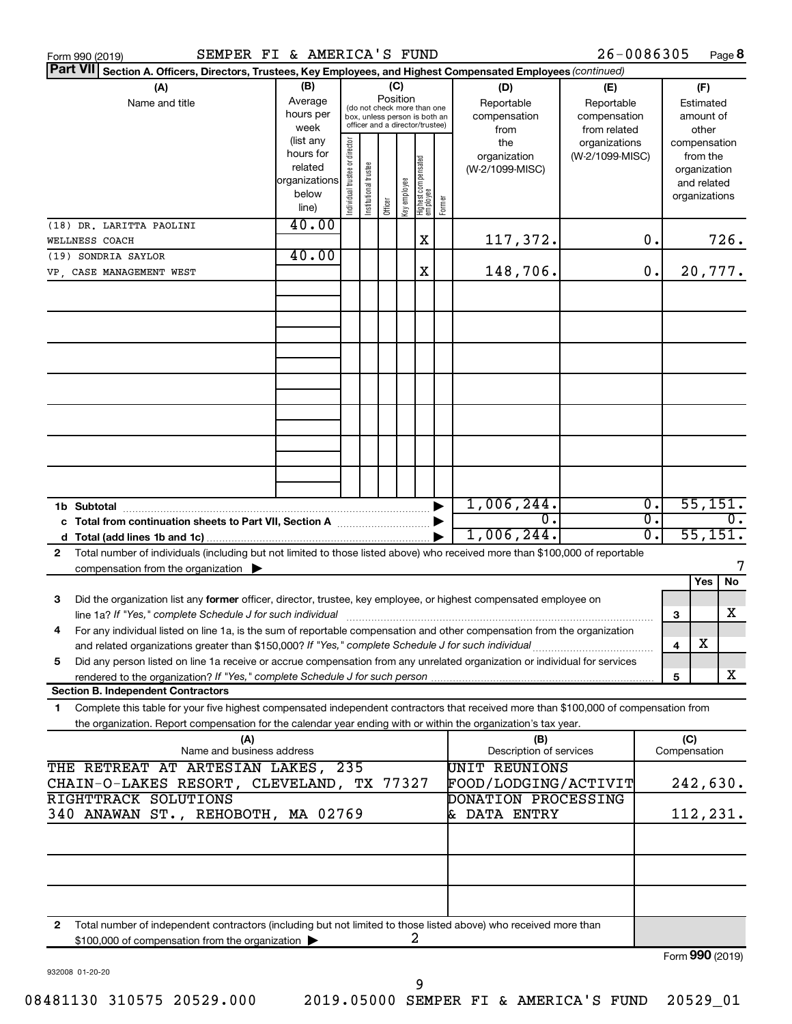| <b>Part VII</b><br>Section A. Officers, Directors, Trustees, Key Employees, and Highest Compensated Employees (continued)<br>(B)<br>(C)<br>(A)<br>(D)<br>(F)<br>(E)<br>Position<br>Average<br>Name and title<br>Reportable<br>Reportable<br>Estimated<br>(do not check more than one<br>hours per<br>compensation<br>compensation<br>amount of<br>box, unless person is both an<br>officer and a director/trustee)<br>week<br>from related<br>other<br>from<br>(list any<br>ndividual trustee or director<br>the<br>organizations<br>compensation<br>hours for<br>organization<br>(W-2/1099-MISC)<br>from the<br>Highest compensated<br>employee<br>Institutional trustee<br>related<br>(W-2/1099-MISC)<br>organization<br>organizations<br>Key employee<br>and related<br>below<br>organizations<br>Former<br>Officer<br>line)<br>40.00<br>(18) DR. LARITTA PAOLINI<br>726.<br>X<br>117,372.<br>0.<br>WELLNESS COACH<br>40.00<br>(19) SONDRIA SAYLOR<br>148,706.<br>X<br>0.<br>20,777.<br>VP, CASE MANAGEMENT WEST<br>1,006,244.<br>55,151.<br>$\overline{0}$ .<br>σ.<br>0.<br>c Total from continuation sheets to Part VII, Section A manufactured by<br>55,151.<br>1,006,244.<br>σ.<br>d<br>Total number of individuals (including but not limited to those listed above) who received more than \$100,000 of reportable<br>2<br>compensation from the organization $\blacktriangleright$<br>No<br>Yes<br>Did the organization list any former officer, director, trustee, key employee, or highest compensated employee on<br>3<br>x<br>3<br>For any individual listed on line 1a, is the sum of reportable compensation and other compensation from the organization<br>х<br>and related organizations greater than \$150,000? If "Yes," complete Schedule J for such individual<br>4<br>Did any person listed on line 1a receive or accrue compensation from any unrelated organization or individual for services<br>5<br>x<br>rendered to the organization? If "Yes," complete Schedule J for such person<br>5<br><b>Section B. Independent Contractors</b><br>Complete this table for your five highest compensated independent contractors that received more than \$100,000 of compensation from<br>1<br>the organization. Report compensation for the calendar year ending with or within the organization's tax year.<br>(C)<br>(A)<br>(B)<br>Name and business address<br>Description of services<br>Compensation<br>THE RETREAT AT ARTESIAN LAKES, 235<br>UNIT REUNIONS<br>242,630.<br>CHAIN-O-LAKES RESORT, CLEVELAND, TX 77327<br>FOOD/LODGING/ACTIVIT<br>RIGHTTRACK SOLUTIONS<br>DONATION PROCESSING<br>340 ANAWAN ST., REHOBOTH, MA 02769<br>& DATA ENTRY<br>112, 231. | SEMPER FI & AMERICA'S FUND<br>Form 990 (2019) |  |  |  |  | 26-0086305 |  | Page 8 |
|-------------------------------------------------------------------------------------------------------------------------------------------------------------------------------------------------------------------------------------------------------------------------------------------------------------------------------------------------------------------------------------------------------------------------------------------------------------------------------------------------------------------------------------------------------------------------------------------------------------------------------------------------------------------------------------------------------------------------------------------------------------------------------------------------------------------------------------------------------------------------------------------------------------------------------------------------------------------------------------------------------------------------------------------------------------------------------------------------------------------------------------------------------------------------------------------------------------------------------------------------------------------------------------------------------------------------------------------------------------------------------------------------------------------------------------------------------------------------------------------------------------------------------------------------------------------------------------------------------------------------------------------------------------------------------------------------------------------------------------------------------------------------------------------------------------------------------------------------------------------------------------------------------------------------------------------------------------------------------------------------------------------------------------------------------------------------------------------------------------------------------------------------------------------------------------------------------------------------------------------------------------------------------------------------------------------------------------------------------------------------------------------------------------------------------------------------------------------------------------------------------------------------------------------------------------------------------------------------------------------------------------------------------------------------------------------|-----------------------------------------------|--|--|--|--|------------|--|--------|
|                                                                                                                                                                                                                                                                                                                                                                                                                                                                                                                                                                                                                                                                                                                                                                                                                                                                                                                                                                                                                                                                                                                                                                                                                                                                                                                                                                                                                                                                                                                                                                                                                                                                                                                                                                                                                                                                                                                                                                                                                                                                                                                                                                                                                                                                                                                                                                                                                                                                                                                                                                                                                                                                                           |                                               |  |  |  |  |            |  |        |
|                                                                                                                                                                                                                                                                                                                                                                                                                                                                                                                                                                                                                                                                                                                                                                                                                                                                                                                                                                                                                                                                                                                                                                                                                                                                                                                                                                                                                                                                                                                                                                                                                                                                                                                                                                                                                                                                                                                                                                                                                                                                                                                                                                                                                                                                                                                                                                                                                                                                                                                                                                                                                                                                                           |                                               |  |  |  |  |            |  |        |
|                                                                                                                                                                                                                                                                                                                                                                                                                                                                                                                                                                                                                                                                                                                                                                                                                                                                                                                                                                                                                                                                                                                                                                                                                                                                                                                                                                                                                                                                                                                                                                                                                                                                                                                                                                                                                                                                                                                                                                                                                                                                                                                                                                                                                                                                                                                                                                                                                                                                                                                                                                                                                                                                                           |                                               |  |  |  |  |            |  |        |
|                                                                                                                                                                                                                                                                                                                                                                                                                                                                                                                                                                                                                                                                                                                                                                                                                                                                                                                                                                                                                                                                                                                                                                                                                                                                                                                                                                                                                                                                                                                                                                                                                                                                                                                                                                                                                                                                                                                                                                                                                                                                                                                                                                                                                                                                                                                                                                                                                                                                                                                                                                                                                                                                                           |                                               |  |  |  |  |            |  |        |
|                                                                                                                                                                                                                                                                                                                                                                                                                                                                                                                                                                                                                                                                                                                                                                                                                                                                                                                                                                                                                                                                                                                                                                                                                                                                                                                                                                                                                                                                                                                                                                                                                                                                                                                                                                                                                                                                                                                                                                                                                                                                                                                                                                                                                                                                                                                                                                                                                                                                                                                                                                                                                                                                                           |                                               |  |  |  |  |            |  |        |
|                                                                                                                                                                                                                                                                                                                                                                                                                                                                                                                                                                                                                                                                                                                                                                                                                                                                                                                                                                                                                                                                                                                                                                                                                                                                                                                                                                                                                                                                                                                                                                                                                                                                                                                                                                                                                                                                                                                                                                                                                                                                                                                                                                                                                                                                                                                                                                                                                                                                                                                                                                                                                                                                                           |                                               |  |  |  |  |            |  |        |
|                                                                                                                                                                                                                                                                                                                                                                                                                                                                                                                                                                                                                                                                                                                                                                                                                                                                                                                                                                                                                                                                                                                                                                                                                                                                                                                                                                                                                                                                                                                                                                                                                                                                                                                                                                                                                                                                                                                                                                                                                                                                                                                                                                                                                                                                                                                                                                                                                                                                                                                                                                                                                                                                                           |                                               |  |  |  |  |            |  |        |
|                                                                                                                                                                                                                                                                                                                                                                                                                                                                                                                                                                                                                                                                                                                                                                                                                                                                                                                                                                                                                                                                                                                                                                                                                                                                                                                                                                                                                                                                                                                                                                                                                                                                                                                                                                                                                                                                                                                                                                                                                                                                                                                                                                                                                                                                                                                                                                                                                                                                                                                                                                                                                                                                                           |                                               |  |  |  |  |            |  |        |
|                                                                                                                                                                                                                                                                                                                                                                                                                                                                                                                                                                                                                                                                                                                                                                                                                                                                                                                                                                                                                                                                                                                                                                                                                                                                                                                                                                                                                                                                                                                                                                                                                                                                                                                                                                                                                                                                                                                                                                                                                                                                                                                                                                                                                                                                                                                                                                                                                                                                                                                                                                                                                                                                                           |                                               |  |  |  |  |            |  |        |
|                                                                                                                                                                                                                                                                                                                                                                                                                                                                                                                                                                                                                                                                                                                                                                                                                                                                                                                                                                                                                                                                                                                                                                                                                                                                                                                                                                                                                                                                                                                                                                                                                                                                                                                                                                                                                                                                                                                                                                                                                                                                                                                                                                                                                                                                                                                                                                                                                                                                                                                                                                                                                                                                                           |                                               |  |  |  |  |            |  |        |
|                                                                                                                                                                                                                                                                                                                                                                                                                                                                                                                                                                                                                                                                                                                                                                                                                                                                                                                                                                                                                                                                                                                                                                                                                                                                                                                                                                                                                                                                                                                                                                                                                                                                                                                                                                                                                                                                                                                                                                                                                                                                                                                                                                                                                                                                                                                                                                                                                                                                                                                                                                                                                                                                                           |                                               |  |  |  |  |            |  |        |
|                                                                                                                                                                                                                                                                                                                                                                                                                                                                                                                                                                                                                                                                                                                                                                                                                                                                                                                                                                                                                                                                                                                                                                                                                                                                                                                                                                                                                                                                                                                                                                                                                                                                                                                                                                                                                                                                                                                                                                                                                                                                                                                                                                                                                                                                                                                                                                                                                                                                                                                                                                                                                                                                                           |                                               |  |  |  |  |            |  |        |
|                                                                                                                                                                                                                                                                                                                                                                                                                                                                                                                                                                                                                                                                                                                                                                                                                                                                                                                                                                                                                                                                                                                                                                                                                                                                                                                                                                                                                                                                                                                                                                                                                                                                                                                                                                                                                                                                                                                                                                                                                                                                                                                                                                                                                                                                                                                                                                                                                                                                                                                                                                                                                                                                                           |                                               |  |  |  |  |            |  |        |
|                                                                                                                                                                                                                                                                                                                                                                                                                                                                                                                                                                                                                                                                                                                                                                                                                                                                                                                                                                                                                                                                                                                                                                                                                                                                                                                                                                                                                                                                                                                                                                                                                                                                                                                                                                                                                                                                                                                                                                                                                                                                                                                                                                                                                                                                                                                                                                                                                                                                                                                                                                                                                                                                                           |                                               |  |  |  |  |            |  |        |
|                                                                                                                                                                                                                                                                                                                                                                                                                                                                                                                                                                                                                                                                                                                                                                                                                                                                                                                                                                                                                                                                                                                                                                                                                                                                                                                                                                                                                                                                                                                                                                                                                                                                                                                                                                                                                                                                                                                                                                                                                                                                                                                                                                                                                                                                                                                                                                                                                                                                                                                                                                                                                                                                                           |                                               |  |  |  |  |            |  |        |
|                                                                                                                                                                                                                                                                                                                                                                                                                                                                                                                                                                                                                                                                                                                                                                                                                                                                                                                                                                                                                                                                                                                                                                                                                                                                                                                                                                                                                                                                                                                                                                                                                                                                                                                                                                                                                                                                                                                                                                                                                                                                                                                                                                                                                                                                                                                                                                                                                                                                                                                                                                                                                                                                                           |                                               |  |  |  |  |            |  |        |
|                                                                                                                                                                                                                                                                                                                                                                                                                                                                                                                                                                                                                                                                                                                                                                                                                                                                                                                                                                                                                                                                                                                                                                                                                                                                                                                                                                                                                                                                                                                                                                                                                                                                                                                                                                                                                                                                                                                                                                                                                                                                                                                                                                                                                                                                                                                                                                                                                                                                                                                                                                                                                                                                                           |                                               |  |  |  |  |            |  |        |
|                                                                                                                                                                                                                                                                                                                                                                                                                                                                                                                                                                                                                                                                                                                                                                                                                                                                                                                                                                                                                                                                                                                                                                                                                                                                                                                                                                                                                                                                                                                                                                                                                                                                                                                                                                                                                                                                                                                                                                                                                                                                                                                                                                                                                                                                                                                                                                                                                                                                                                                                                                                                                                                                                           |                                               |  |  |  |  |            |  |        |
|                                                                                                                                                                                                                                                                                                                                                                                                                                                                                                                                                                                                                                                                                                                                                                                                                                                                                                                                                                                                                                                                                                                                                                                                                                                                                                                                                                                                                                                                                                                                                                                                                                                                                                                                                                                                                                                                                                                                                                                                                                                                                                                                                                                                                                                                                                                                                                                                                                                                                                                                                                                                                                                                                           |                                               |  |  |  |  |            |  |        |
|                                                                                                                                                                                                                                                                                                                                                                                                                                                                                                                                                                                                                                                                                                                                                                                                                                                                                                                                                                                                                                                                                                                                                                                                                                                                                                                                                                                                                                                                                                                                                                                                                                                                                                                                                                                                                                                                                                                                                                                                                                                                                                                                                                                                                                                                                                                                                                                                                                                                                                                                                                                                                                                                                           |                                               |  |  |  |  |            |  |        |
|                                                                                                                                                                                                                                                                                                                                                                                                                                                                                                                                                                                                                                                                                                                                                                                                                                                                                                                                                                                                                                                                                                                                                                                                                                                                                                                                                                                                                                                                                                                                                                                                                                                                                                                                                                                                                                                                                                                                                                                                                                                                                                                                                                                                                                                                                                                                                                                                                                                                                                                                                                                                                                                                                           |                                               |  |  |  |  |            |  |        |
|                                                                                                                                                                                                                                                                                                                                                                                                                                                                                                                                                                                                                                                                                                                                                                                                                                                                                                                                                                                                                                                                                                                                                                                                                                                                                                                                                                                                                                                                                                                                                                                                                                                                                                                                                                                                                                                                                                                                                                                                                                                                                                                                                                                                                                                                                                                                                                                                                                                                                                                                                                                                                                                                                           |                                               |  |  |  |  |            |  |        |
|                                                                                                                                                                                                                                                                                                                                                                                                                                                                                                                                                                                                                                                                                                                                                                                                                                                                                                                                                                                                                                                                                                                                                                                                                                                                                                                                                                                                                                                                                                                                                                                                                                                                                                                                                                                                                                                                                                                                                                                                                                                                                                                                                                                                                                                                                                                                                                                                                                                                                                                                                                                                                                                                                           |                                               |  |  |  |  |            |  |        |
|                                                                                                                                                                                                                                                                                                                                                                                                                                                                                                                                                                                                                                                                                                                                                                                                                                                                                                                                                                                                                                                                                                                                                                                                                                                                                                                                                                                                                                                                                                                                                                                                                                                                                                                                                                                                                                                                                                                                                                                                                                                                                                                                                                                                                                                                                                                                                                                                                                                                                                                                                                                                                                                                                           |                                               |  |  |  |  |            |  |        |
|                                                                                                                                                                                                                                                                                                                                                                                                                                                                                                                                                                                                                                                                                                                                                                                                                                                                                                                                                                                                                                                                                                                                                                                                                                                                                                                                                                                                                                                                                                                                                                                                                                                                                                                                                                                                                                                                                                                                                                                                                                                                                                                                                                                                                                                                                                                                                                                                                                                                                                                                                                                                                                                                                           |                                               |  |  |  |  |            |  |        |
|                                                                                                                                                                                                                                                                                                                                                                                                                                                                                                                                                                                                                                                                                                                                                                                                                                                                                                                                                                                                                                                                                                                                                                                                                                                                                                                                                                                                                                                                                                                                                                                                                                                                                                                                                                                                                                                                                                                                                                                                                                                                                                                                                                                                                                                                                                                                                                                                                                                                                                                                                                                                                                                                                           |                                               |  |  |  |  |            |  |        |
|                                                                                                                                                                                                                                                                                                                                                                                                                                                                                                                                                                                                                                                                                                                                                                                                                                                                                                                                                                                                                                                                                                                                                                                                                                                                                                                                                                                                                                                                                                                                                                                                                                                                                                                                                                                                                                                                                                                                                                                                                                                                                                                                                                                                                                                                                                                                                                                                                                                                                                                                                                                                                                                                                           |                                               |  |  |  |  |            |  |        |
|                                                                                                                                                                                                                                                                                                                                                                                                                                                                                                                                                                                                                                                                                                                                                                                                                                                                                                                                                                                                                                                                                                                                                                                                                                                                                                                                                                                                                                                                                                                                                                                                                                                                                                                                                                                                                                                                                                                                                                                                                                                                                                                                                                                                                                                                                                                                                                                                                                                                                                                                                                                                                                                                                           |                                               |  |  |  |  |            |  |        |
|                                                                                                                                                                                                                                                                                                                                                                                                                                                                                                                                                                                                                                                                                                                                                                                                                                                                                                                                                                                                                                                                                                                                                                                                                                                                                                                                                                                                                                                                                                                                                                                                                                                                                                                                                                                                                                                                                                                                                                                                                                                                                                                                                                                                                                                                                                                                                                                                                                                                                                                                                                                                                                                                                           |                                               |  |  |  |  |            |  |        |
|                                                                                                                                                                                                                                                                                                                                                                                                                                                                                                                                                                                                                                                                                                                                                                                                                                                                                                                                                                                                                                                                                                                                                                                                                                                                                                                                                                                                                                                                                                                                                                                                                                                                                                                                                                                                                                                                                                                                                                                                                                                                                                                                                                                                                                                                                                                                                                                                                                                                                                                                                                                                                                                                                           |                                               |  |  |  |  |            |  |        |
|                                                                                                                                                                                                                                                                                                                                                                                                                                                                                                                                                                                                                                                                                                                                                                                                                                                                                                                                                                                                                                                                                                                                                                                                                                                                                                                                                                                                                                                                                                                                                                                                                                                                                                                                                                                                                                                                                                                                                                                                                                                                                                                                                                                                                                                                                                                                                                                                                                                                                                                                                                                                                                                                                           |                                               |  |  |  |  |            |  |        |
|                                                                                                                                                                                                                                                                                                                                                                                                                                                                                                                                                                                                                                                                                                                                                                                                                                                                                                                                                                                                                                                                                                                                                                                                                                                                                                                                                                                                                                                                                                                                                                                                                                                                                                                                                                                                                                                                                                                                                                                                                                                                                                                                                                                                                                                                                                                                                                                                                                                                                                                                                                                                                                                                                           |                                               |  |  |  |  |            |  |        |
|                                                                                                                                                                                                                                                                                                                                                                                                                                                                                                                                                                                                                                                                                                                                                                                                                                                                                                                                                                                                                                                                                                                                                                                                                                                                                                                                                                                                                                                                                                                                                                                                                                                                                                                                                                                                                                                                                                                                                                                                                                                                                                                                                                                                                                                                                                                                                                                                                                                                                                                                                                                                                                                                                           |                                               |  |  |  |  |            |  |        |
|                                                                                                                                                                                                                                                                                                                                                                                                                                                                                                                                                                                                                                                                                                                                                                                                                                                                                                                                                                                                                                                                                                                                                                                                                                                                                                                                                                                                                                                                                                                                                                                                                                                                                                                                                                                                                                                                                                                                                                                                                                                                                                                                                                                                                                                                                                                                                                                                                                                                                                                                                                                                                                                                                           |                                               |  |  |  |  |            |  |        |
|                                                                                                                                                                                                                                                                                                                                                                                                                                                                                                                                                                                                                                                                                                                                                                                                                                                                                                                                                                                                                                                                                                                                                                                                                                                                                                                                                                                                                                                                                                                                                                                                                                                                                                                                                                                                                                                                                                                                                                                                                                                                                                                                                                                                                                                                                                                                                                                                                                                                                                                                                                                                                                                                                           |                                               |  |  |  |  |            |  |        |
|                                                                                                                                                                                                                                                                                                                                                                                                                                                                                                                                                                                                                                                                                                                                                                                                                                                                                                                                                                                                                                                                                                                                                                                                                                                                                                                                                                                                                                                                                                                                                                                                                                                                                                                                                                                                                                                                                                                                                                                                                                                                                                                                                                                                                                                                                                                                                                                                                                                                                                                                                                                                                                                                                           |                                               |  |  |  |  |            |  |        |
|                                                                                                                                                                                                                                                                                                                                                                                                                                                                                                                                                                                                                                                                                                                                                                                                                                                                                                                                                                                                                                                                                                                                                                                                                                                                                                                                                                                                                                                                                                                                                                                                                                                                                                                                                                                                                                                                                                                                                                                                                                                                                                                                                                                                                                                                                                                                                                                                                                                                                                                                                                                                                                                                                           |                                               |  |  |  |  |            |  |        |
|                                                                                                                                                                                                                                                                                                                                                                                                                                                                                                                                                                                                                                                                                                                                                                                                                                                                                                                                                                                                                                                                                                                                                                                                                                                                                                                                                                                                                                                                                                                                                                                                                                                                                                                                                                                                                                                                                                                                                                                                                                                                                                                                                                                                                                                                                                                                                                                                                                                                                                                                                                                                                                                                                           |                                               |  |  |  |  |            |  |        |
|                                                                                                                                                                                                                                                                                                                                                                                                                                                                                                                                                                                                                                                                                                                                                                                                                                                                                                                                                                                                                                                                                                                                                                                                                                                                                                                                                                                                                                                                                                                                                                                                                                                                                                                                                                                                                                                                                                                                                                                                                                                                                                                                                                                                                                                                                                                                                                                                                                                                                                                                                                                                                                                                                           |                                               |  |  |  |  |            |  |        |
|                                                                                                                                                                                                                                                                                                                                                                                                                                                                                                                                                                                                                                                                                                                                                                                                                                                                                                                                                                                                                                                                                                                                                                                                                                                                                                                                                                                                                                                                                                                                                                                                                                                                                                                                                                                                                                                                                                                                                                                                                                                                                                                                                                                                                                                                                                                                                                                                                                                                                                                                                                                                                                                                                           |                                               |  |  |  |  |            |  |        |
|                                                                                                                                                                                                                                                                                                                                                                                                                                                                                                                                                                                                                                                                                                                                                                                                                                                                                                                                                                                                                                                                                                                                                                                                                                                                                                                                                                                                                                                                                                                                                                                                                                                                                                                                                                                                                                                                                                                                                                                                                                                                                                                                                                                                                                                                                                                                                                                                                                                                                                                                                                                                                                                                                           |                                               |  |  |  |  |            |  |        |
|                                                                                                                                                                                                                                                                                                                                                                                                                                                                                                                                                                                                                                                                                                                                                                                                                                                                                                                                                                                                                                                                                                                                                                                                                                                                                                                                                                                                                                                                                                                                                                                                                                                                                                                                                                                                                                                                                                                                                                                                                                                                                                                                                                                                                                                                                                                                                                                                                                                                                                                                                                                                                                                                                           |                                               |  |  |  |  |            |  |        |
|                                                                                                                                                                                                                                                                                                                                                                                                                                                                                                                                                                                                                                                                                                                                                                                                                                                                                                                                                                                                                                                                                                                                                                                                                                                                                                                                                                                                                                                                                                                                                                                                                                                                                                                                                                                                                                                                                                                                                                                                                                                                                                                                                                                                                                                                                                                                                                                                                                                                                                                                                                                                                                                                                           |                                               |  |  |  |  |            |  |        |
|                                                                                                                                                                                                                                                                                                                                                                                                                                                                                                                                                                                                                                                                                                                                                                                                                                                                                                                                                                                                                                                                                                                                                                                                                                                                                                                                                                                                                                                                                                                                                                                                                                                                                                                                                                                                                                                                                                                                                                                                                                                                                                                                                                                                                                                                                                                                                                                                                                                                                                                                                                                                                                                                                           |                                               |  |  |  |  |            |  |        |
|                                                                                                                                                                                                                                                                                                                                                                                                                                                                                                                                                                                                                                                                                                                                                                                                                                                                                                                                                                                                                                                                                                                                                                                                                                                                                                                                                                                                                                                                                                                                                                                                                                                                                                                                                                                                                                                                                                                                                                                                                                                                                                                                                                                                                                                                                                                                                                                                                                                                                                                                                                                                                                                                                           |                                               |  |  |  |  |            |  |        |
|                                                                                                                                                                                                                                                                                                                                                                                                                                                                                                                                                                                                                                                                                                                                                                                                                                                                                                                                                                                                                                                                                                                                                                                                                                                                                                                                                                                                                                                                                                                                                                                                                                                                                                                                                                                                                                                                                                                                                                                                                                                                                                                                                                                                                                                                                                                                                                                                                                                                                                                                                                                                                                                                                           |                                               |  |  |  |  |            |  |        |
|                                                                                                                                                                                                                                                                                                                                                                                                                                                                                                                                                                                                                                                                                                                                                                                                                                                                                                                                                                                                                                                                                                                                                                                                                                                                                                                                                                                                                                                                                                                                                                                                                                                                                                                                                                                                                                                                                                                                                                                                                                                                                                                                                                                                                                                                                                                                                                                                                                                                                                                                                                                                                                                                                           |                                               |  |  |  |  |            |  |        |
|                                                                                                                                                                                                                                                                                                                                                                                                                                                                                                                                                                                                                                                                                                                                                                                                                                                                                                                                                                                                                                                                                                                                                                                                                                                                                                                                                                                                                                                                                                                                                                                                                                                                                                                                                                                                                                                                                                                                                                                                                                                                                                                                                                                                                                                                                                                                                                                                                                                                                                                                                                                                                                                                                           |                                               |  |  |  |  |            |  |        |
|                                                                                                                                                                                                                                                                                                                                                                                                                                                                                                                                                                                                                                                                                                                                                                                                                                                                                                                                                                                                                                                                                                                                                                                                                                                                                                                                                                                                                                                                                                                                                                                                                                                                                                                                                                                                                                                                                                                                                                                                                                                                                                                                                                                                                                                                                                                                                                                                                                                                                                                                                                                                                                                                                           |                                               |  |  |  |  |            |  |        |
|                                                                                                                                                                                                                                                                                                                                                                                                                                                                                                                                                                                                                                                                                                                                                                                                                                                                                                                                                                                                                                                                                                                                                                                                                                                                                                                                                                                                                                                                                                                                                                                                                                                                                                                                                                                                                                                                                                                                                                                                                                                                                                                                                                                                                                                                                                                                                                                                                                                                                                                                                                                                                                                                                           |                                               |  |  |  |  |            |  |        |
|                                                                                                                                                                                                                                                                                                                                                                                                                                                                                                                                                                                                                                                                                                                                                                                                                                                                                                                                                                                                                                                                                                                                                                                                                                                                                                                                                                                                                                                                                                                                                                                                                                                                                                                                                                                                                                                                                                                                                                                                                                                                                                                                                                                                                                                                                                                                                                                                                                                                                                                                                                                                                                                                                           |                                               |  |  |  |  |            |  |        |
|                                                                                                                                                                                                                                                                                                                                                                                                                                                                                                                                                                                                                                                                                                                                                                                                                                                                                                                                                                                                                                                                                                                                                                                                                                                                                                                                                                                                                                                                                                                                                                                                                                                                                                                                                                                                                                                                                                                                                                                                                                                                                                                                                                                                                                                                                                                                                                                                                                                                                                                                                                                                                                                                                           |                                               |  |  |  |  |            |  |        |
|                                                                                                                                                                                                                                                                                                                                                                                                                                                                                                                                                                                                                                                                                                                                                                                                                                                                                                                                                                                                                                                                                                                                                                                                                                                                                                                                                                                                                                                                                                                                                                                                                                                                                                                                                                                                                                                                                                                                                                                                                                                                                                                                                                                                                                                                                                                                                                                                                                                                                                                                                                                                                                                                                           |                                               |  |  |  |  |            |  |        |
|                                                                                                                                                                                                                                                                                                                                                                                                                                                                                                                                                                                                                                                                                                                                                                                                                                                                                                                                                                                                                                                                                                                                                                                                                                                                                                                                                                                                                                                                                                                                                                                                                                                                                                                                                                                                                                                                                                                                                                                                                                                                                                                                                                                                                                                                                                                                                                                                                                                                                                                                                                                                                                                                                           |                                               |  |  |  |  |            |  |        |
|                                                                                                                                                                                                                                                                                                                                                                                                                                                                                                                                                                                                                                                                                                                                                                                                                                                                                                                                                                                                                                                                                                                                                                                                                                                                                                                                                                                                                                                                                                                                                                                                                                                                                                                                                                                                                                                                                                                                                                                                                                                                                                                                                                                                                                                                                                                                                                                                                                                                                                                                                                                                                                                                                           |                                               |  |  |  |  |            |  |        |
| Total number of independent contractors (including but not limited to those listed above) who received more than<br>2                                                                                                                                                                                                                                                                                                                                                                                                                                                                                                                                                                                                                                                                                                                                                                                                                                                                                                                                                                                                                                                                                                                                                                                                                                                                                                                                                                                                                                                                                                                                                                                                                                                                                                                                                                                                                                                                                                                                                                                                                                                                                                                                                                                                                                                                                                                                                                                                                                                                                                                                                                     |                                               |  |  |  |  |            |  |        |
| 2<br>\$100,000 of compensation from the organization                                                                                                                                                                                                                                                                                                                                                                                                                                                                                                                                                                                                                                                                                                                                                                                                                                                                                                                                                                                                                                                                                                                                                                                                                                                                                                                                                                                                                                                                                                                                                                                                                                                                                                                                                                                                                                                                                                                                                                                                                                                                                                                                                                                                                                                                                                                                                                                                                                                                                                                                                                                                                                      |                                               |  |  |  |  |            |  |        |
| Form 990 (2019)                                                                                                                                                                                                                                                                                                                                                                                                                                                                                                                                                                                                                                                                                                                                                                                                                                                                                                                                                                                                                                                                                                                                                                                                                                                                                                                                                                                                                                                                                                                                                                                                                                                                                                                                                                                                                                                                                                                                                                                                                                                                                                                                                                                                                                                                                                                                                                                                                                                                                                                                                                                                                                                                           |                                               |  |  |  |  |            |  |        |

932008 01-20-20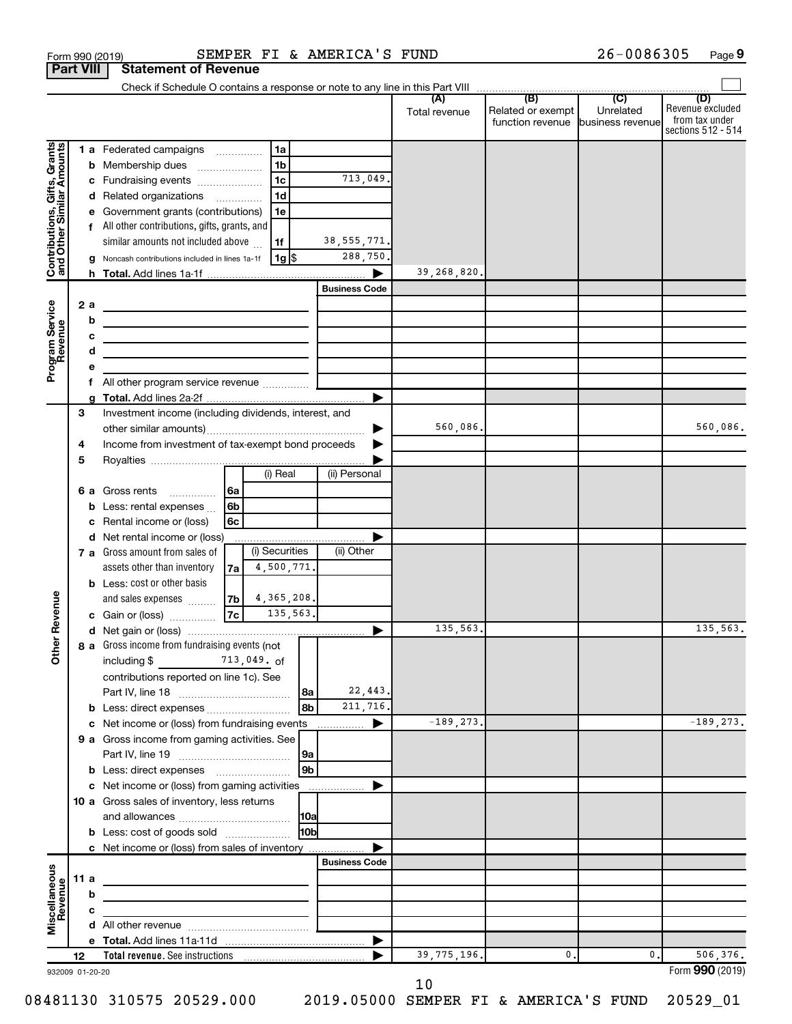|                                                           |    | Part VIII | Statement of Revenue                                                                                                  |                |                     |          |                      |               |                                   |           |                                      |
|-----------------------------------------------------------|----|-----------|-----------------------------------------------------------------------------------------------------------------------|----------------|---------------------|----------|----------------------|---------------|-----------------------------------|-----------|--------------------------------------|
|                                                           |    |           |                                                                                                                       |                |                     |          |                      | (A)           | (B)                               | (C)       | (D)                                  |
|                                                           |    |           |                                                                                                                       |                |                     |          |                      | Total revenue | Related or exempt                 | Unrelated | Revenue excluded                     |
|                                                           |    |           |                                                                                                                       |                |                     |          |                      |               | function revenue business revenue |           | from tax under<br>sections 512 - 514 |
|                                                           |    |           |                                                                                                                       |                |                     |          |                      |               |                                   |           |                                      |
|                                                           |    |           | 1 a Federated campaigns                                                                                               |                | 1a                  |          |                      |               |                                   |           |                                      |
| Contributions, Gifts, Grants<br>and Other Similar Amounts |    |           | <b>b</b> Membership dues                                                                                              |                | 1 <sub>b</sub>      |          |                      |               |                                   |           |                                      |
|                                                           |    |           | c Fundraising events                                                                                                  |                | 1 <sub>c</sub>      |          | 713,049.             |               |                                   |           |                                      |
|                                                           |    |           | d Related organizations                                                                                               |                | 1 <sub>d</sub>      |          |                      |               |                                   |           |                                      |
|                                                           |    |           | e Government grants (contributions)                                                                                   |                | 1e                  |          |                      |               |                                   |           |                                      |
|                                                           |    |           | f All other contributions, gifts, grants, and                                                                         |                |                     |          |                      |               |                                   |           |                                      |
|                                                           |    |           | similar amounts not included above                                                                                    |                | 1f                  |          | 38, 555, 771.        |               |                                   |           |                                      |
|                                                           |    | q         | Noncash contributions included in lines 1a-1f                                                                         |                | 1g                  |          | 288,750.             |               |                                   |           |                                      |
|                                                           |    |           |                                                                                                                       |                |                     |          |                      | 39,268,820.   |                                   |           |                                      |
|                                                           |    |           |                                                                                                                       |                |                     |          | <b>Business Code</b> |               |                                   |           |                                      |
|                                                           |    | 2 a       | the control of the control of the control of the control of the control of                                            |                |                     |          |                      |               |                                   |           |                                      |
|                                                           |    | b         | <u> 1989 - Johann Harry Harry Harry Harry Harry Harry Harry Harry Harry Harry Harry Harry Harry Harry Harry Harry</u> |                |                     |          |                      |               |                                   |           |                                      |
|                                                           |    | c         | <u> 1980 - Johann John Stein, markin fan it ferstjer fan de ferstjer fan it ferstjer fan it ferstjer fan it fers</u>  |                |                     |          |                      |               |                                   |           |                                      |
|                                                           |    | d         | <u> 1980 - Johann Barn, mars an t-Amerikaansk politiker (</u>                                                         |                |                     |          |                      |               |                                   |           |                                      |
| Program Service<br>Revenue                                |    |           |                                                                                                                       |                |                     |          |                      |               |                                   |           |                                      |
|                                                           |    |           |                                                                                                                       |                |                     |          |                      |               |                                   |           |                                      |
|                                                           |    | a         |                                                                                                                       |                |                     |          |                      |               |                                   |           |                                      |
|                                                           | 3  |           | Investment income (including dividends, interest, and                                                                 |                |                     |          |                      |               |                                   |           |                                      |
|                                                           |    |           |                                                                                                                       |                |                     |          |                      | 560,086.      |                                   |           | 560,086.                             |
|                                                           | 4  |           | Income from investment of tax-exempt bond proceeds                                                                    |                |                     |          |                      |               |                                   |           |                                      |
|                                                           | 5  |           |                                                                                                                       |                |                     |          |                      |               |                                   |           |                                      |
|                                                           |    |           |                                                                                                                       |                | (i) Real            |          | (ii) Personal        |               |                                   |           |                                      |
|                                                           |    |           | 6 a Gross rents                                                                                                       | 6a             |                     |          |                      |               |                                   |           |                                      |
|                                                           |    | c         | <b>b</b> Less: rental expenses $\ldots$                                                                               | l 6b           |                     |          |                      |               |                                   |           |                                      |
|                                                           |    |           | Rental income or (loss)                                                                                               | 6 <sub>c</sub> |                     |          |                      |               |                                   |           |                                      |
|                                                           |    |           | d Net rental income or (loss)                                                                                         |                |                     |          |                      |               |                                   |           |                                      |
|                                                           |    |           | 7 a Gross amount from sales of                                                                                        |                | (i) Securities      |          | (ii) Other           |               |                                   |           |                                      |
|                                                           |    |           | assets other than inventory                                                                                           | 7a l           | 4,500,771.          |          |                      |               |                                   |           |                                      |
|                                                           |    |           | <b>b</b> Less: cost or other basis                                                                                    |                |                     |          |                      |               |                                   |           |                                      |
|                                                           |    |           | and sales expenses                                                                                                    |                | $ 7b $ 4, 365, 208. |          |                      |               |                                   |           |                                      |
| Revenue                                                   |    |           | c Gain or (loss)                                                                                                      | $\sqrt{7c}$    | 135,563.            |          |                      |               |                                   |           |                                      |
|                                                           |    |           |                                                                                                                       |                |                     |          |                      | 135,563.      |                                   |           | 135,563.                             |
| ৯                                                         |    |           | 8 a Gross income from fundraising events (not                                                                         |                |                     |          |                      |               |                                   |           |                                      |
| á                                                         |    |           | including \$                                                                                                          |                | 713,049. of         |          |                      |               |                                   |           |                                      |
|                                                           |    |           | contributions reported on line 1c). See                                                                               |                |                     |          |                      |               |                                   |           |                                      |
|                                                           |    |           |                                                                                                                       |                |                     |          | 22,443.              |               |                                   |           |                                      |
|                                                           |    |           |                                                                                                                       |                |                     | 8a<br>8b | 211,716.             |               |                                   |           |                                      |
|                                                           |    |           | b Less: direct expenses                                                                                               |                |                     |          |                      |               |                                   |           |                                      |
|                                                           |    |           | c Net income or (loss) from fundraising events                                                                        |                |                     |          | ▶<br>.               | $-189, 273.$  |                                   |           | $-189, 273.$                         |
|                                                           |    |           | 9 a Gross income from gaming activities. See                                                                          |                |                     |          |                      |               |                                   |           |                                      |
|                                                           |    |           |                                                                                                                       |                |                     | 9a       |                      |               |                                   |           |                                      |
|                                                           |    |           |                                                                                                                       |                |                     | 9b       |                      |               |                                   |           |                                      |
|                                                           |    |           | c Net income or (loss) from gaming activities                                                                         |                |                     |          |                      |               |                                   |           |                                      |
|                                                           |    |           | 10 a Gross sales of inventory, less returns                                                                           |                |                     |          |                      |               |                                   |           |                                      |
|                                                           |    |           |                                                                                                                       |                |                     | 10a      |                      |               |                                   |           |                                      |
|                                                           |    |           | <b>b</b> Less: cost of goods sold                                                                                     |                |                     | l10bl    |                      |               |                                   |           |                                      |
|                                                           |    |           | c Net income or (loss) from sales of inventory                                                                        |                |                     |          |                      |               |                                   |           |                                      |
|                                                           |    |           |                                                                                                                       |                |                     |          | <b>Business Code</b> |               |                                   |           |                                      |
|                                                           |    | 11 a      |                                                                                                                       |                |                     |          |                      |               |                                   |           |                                      |
|                                                           |    | b         |                                                                                                                       |                |                     |          |                      |               |                                   |           |                                      |
|                                                           |    | с         |                                                                                                                       |                |                     |          |                      |               |                                   |           |                                      |
| Miscellaneous<br>Revenue                                  |    |           |                                                                                                                       |                |                     |          |                      |               |                                   |           |                                      |
|                                                           |    |           |                                                                                                                       |                |                     |          |                      |               |                                   |           |                                      |
|                                                           | 12 |           | Total revenue. See instructions [1011] [101] Total revenue. See instructions                                          |                |                     |          |                      | 39, 775, 196. | 0.                                | 0.        | 506,376.                             |
| 932009 01-20-20                                           |    |           |                                                                                                                       |                |                     |          |                      |               |                                   |           | Form 990 (2019)                      |

Form 990 (2019) SEMPER FI & AMERICA'S FUND 26-0086305 Page

26-0086305 Page 9

**Part 990 (2019)** 

 <sup>10</sup>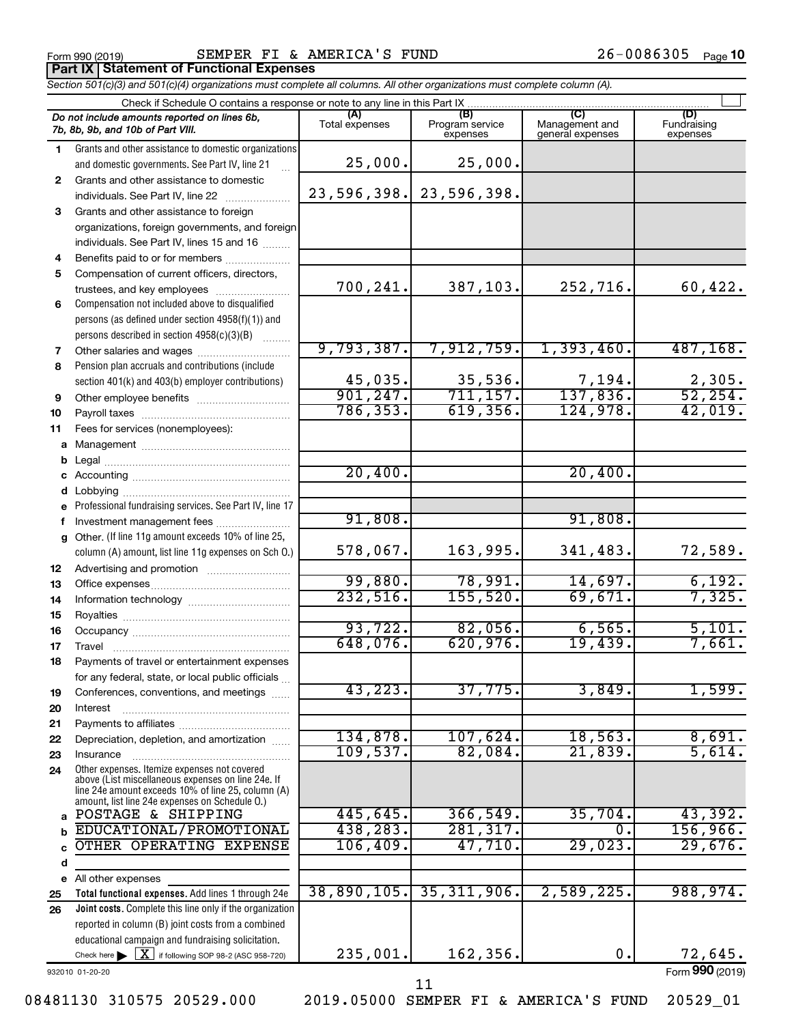Form 990 (2019) Page SEMPER FI & AMERICA'S FUND 26-0086305 **Part IX Statement of Functional Expenses**

*Section 501(c)(3) and 501(c)(4) organizations must complete all columns. All other organizations must complete column (A).*

|              | Check if Schedule O contains a response or note to any line in this Part IX                          |                       |                                    |                                    |                         |  |  |  |
|--------------|------------------------------------------------------------------------------------------------------|-----------------------|------------------------------------|------------------------------------|-------------------------|--|--|--|
|              | Do not include amounts reported on lines 6b,<br>7b, 8b, 9b, and 10b of Part VIII.                    | (A)<br>Total expenses | (B)<br>Program service<br>expenses | Management and<br>general expenses | Fundraising<br>expenses |  |  |  |
| 1.           | Grants and other assistance to domestic organizations                                                |                       |                                    |                                    |                         |  |  |  |
|              | and domestic governments. See Part IV, line 21                                                       | 25,000.               | 25,000.                            |                                    |                         |  |  |  |
| $\mathbf{2}$ | Grants and other assistance to domestic                                                              |                       |                                    |                                    |                         |  |  |  |
|              | individuals. See Part IV, line 22                                                                    | 23,596,398.           | 23,596,398.                        |                                    |                         |  |  |  |
| 3            | Grants and other assistance to foreign                                                               |                       |                                    |                                    |                         |  |  |  |
|              | organizations, foreign governments, and foreign                                                      |                       |                                    |                                    |                         |  |  |  |
| 4            | individuals. See Part IV, lines 15 and 16<br>Benefits paid to or for members                         |                       |                                    |                                    |                         |  |  |  |
| 5            | Compensation of current officers, directors,                                                         |                       |                                    |                                    |                         |  |  |  |
|              | trustees, and key employees                                                                          | 700,241.              | 387,103.                           | 252,716.                           | 60,422.                 |  |  |  |
| 6            | Compensation not included above to disqualified                                                      |                       |                                    |                                    |                         |  |  |  |
|              | persons (as defined under section 4958(f)(1)) and                                                    |                       |                                    |                                    |                         |  |  |  |
|              | persons described in section 4958(c)(3)(B)                                                           |                       |                                    |                                    |                         |  |  |  |
| 7            |                                                                                                      | 9,793,387.            | 7,912,759.                         | 1,393,460.                         | 487, 168.               |  |  |  |
| 8            | Pension plan accruals and contributions (include                                                     |                       |                                    |                                    |                         |  |  |  |
|              | section 401(k) and 403(b) employer contributions)                                                    | 45,035.               | 35,536.                            | $\frac{7,194}{137,836}$            | $\frac{2,305}{52,254}$  |  |  |  |
| 9            | Other employee benefits                                                                              | 901, 247.             | 711, 157.                          |                                    |                         |  |  |  |
| 10           |                                                                                                      | 786,353.              | 619,356.                           | 124,978.                           | 42,019.                 |  |  |  |
| 11           | Fees for services (nonemployees):                                                                    |                       |                                    |                                    |                         |  |  |  |
|              |                                                                                                      |                       |                                    |                                    |                         |  |  |  |
|              |                                                                                                      |                       |                                    |                                    |                         |  |  |  |
|              |                                                                                                      | 20,400.               |                                    | 20,400.                            |                         |  |  |  |
| d            |                                                                                                      |                       |                                    |                                    |                         |  |  |  |
|              | e Professional fundraising services. See Part IV, line 17                                            | 91,808.               |                                    | 91,808.                            |                         |  |  |  |
|              | g Other. (If line 11g amount exceeds 10% of line 25,                                                 |                       |                                    |                                    |                         |  |  |  |
|              | column (A) amount, list line 11g expenses on Sch O.)                                                 | 578,067.              | 163,995.                           | 341,483.                           | 72,589.                 |  |  |  |
| 12           |                                                                                                      |                       |                                    |                                    |                         |  |  |  |
| 13           |                                                                                                      | 99,880.               | 78,991.                            | 14,697.                            | 6,192.                  |  |  |  |
| 14           |                                                                                                      | 232,516.              | 155, 520.                          | 69,671.                            | 7,325.                  |  |  |  |
| 15           |                                                                                                      |                       |                                    |                                    |                         |  |  |  |
| 16           |                                                                                                      | 93,722.               | 82,056.                            | 6,565.                             | 5,101.                  |  |  |  |
| 17           | Travel                                                                                               | 648,076.              | 620,976.                           | 19,439.                            | 7,661.                  |  |  |  |
| 18           | Payments of travel or entertainment expenses                                                         |                       |                                    |                                    |                         |  |  |  |
|              | for any federal, state, or local public officials                                                    |                       |                                    |                                    |                         |  |  |  |
| 19           | Conferences, conventions, and meetings                                                               | 43, 223.              | 37,775.                            | 3,849.                             | 1,599.                  |  |  |  |
| 20           | Interest                                                                                             |                       |                                    |                                    |                         |  |  |  |
| 21           |                                                                                                      | 134,878.              | 107,624.                           | 18,563.                            | 8,691.                  |  |  |  |
| 22           | Depreciation, depletion, and amortization                                                            | 109,537.              | 82,084.                            | 21,839.                            | 5,614.                  |  |  |  |
| 23<br>24     | Insurance<br>Other expenses. Itemize expenses not covered                                            |                       |                                    |                                    |                         |  |  |  |
|              | above (List miscellaneous expenses on line 24e. If                                                   |                       |                                    |                                    |                         |  |  |  |
|              | line 24e amount exceeds 10% of line 25, column (A)<br>amount, list line 24e expenses on Schedule O.) |                       |                                    |                                    |                         |  |  |  |
| a            | POSTAGE & SHIPPING                                                                                   | 445,645.              | 366,549.                           | 35,704.                            | 43,392.                 |  |  |  |
|              | EDUCATIONAL/PROMOTIONAL                                                                              | 438,283.              | 281, 317.                          | $\overline{0}$ .                   | 156,966.                |  |  |  |
|              | OTHER OPERATING EXPENSE                                                                              | 106,409.              | 47,710.                            | 29,023.                            | 29,676.                 |  |  |  |
| d            |                                                                                                      |                       |                                    |                                    |                         |  |  |  |
| е            | All other expenses                                                                                   |                       |                                    |                                    |                         |  |  |  |
| 25           | Total functional expenses. Add lines 1 through 24e                                                   | 38,890,105.           | 35,311,906.                        | 2,589,225.                         | 988,974.                |  |  |  |
| 26           | Joint costs. Complete this line only if the organization                                             |                       |                                    |                                    |                         |  |  |  |
|              | reported in column (B) joint costs from a combined                                                   |                       |                                    |                                    |                         |  |  |  |
|              | educational campaign and fundraising solicitation.                                                   |                       |                                    |                                    |                         |  |  |  |
|              | Check here $\triangleright \lfloor \underline{X} \rfloor$ if following SOP 98-2 (ASC 958-720)        | 235,001.              | 162,356.                           | 0.                                 | 72,645.                 |  |  |  |

932010 01-20-20

Form (2019) **990**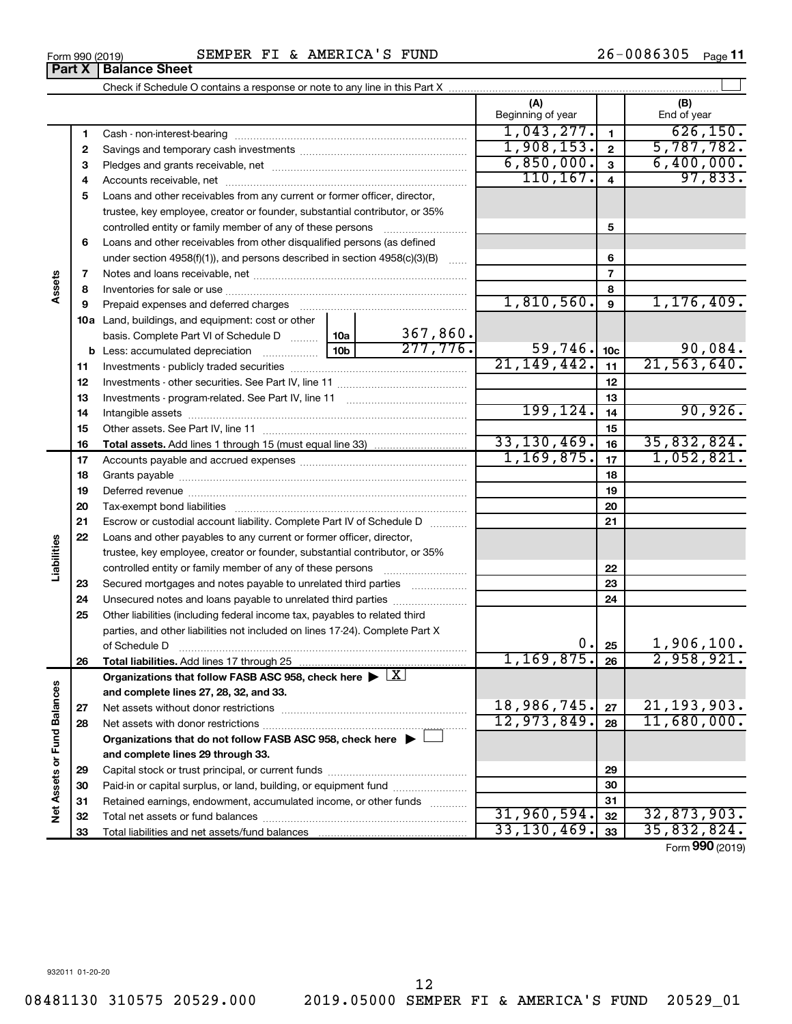|                             |    |                                                                                                                                                                                                                                |             |          |               |                 | Form 990 (2019) |
|-----------------------------|----|--------------------------------------------------------------------------------------------------------------------------------------------------------------------------------------------------------------------------------|-------------|----------|---------------|-----------------|-----------------|
|                             | 33 |                                                                                                                                                                                                                                | 33,130,469. | 33       | 35,832,824.   |                 |                 |
|                             | 32 |                                                                                                                                                                                                                                |             |          | 31,960,594.   | 32              | 32,873,903.     |
|                             | 31 | Retained earnings, endowment, accumulated income, or other funds                                                                                                                                                               |             |          |               | 31              |                 |
|                             | 30 |                                                                                                                                                                                                                                |             |          |               | 30              |                 |
|                             | 29 |                                                                                                                                                                                                                                |             |          | 29            |                 |                 |
|                             |    | and complete lines 29 through 33.                                                                                                                                                                                              |             |          |               |                 |                 |
|                             |    | Organizations that do not follow FASB ASC 958, check here $\blacktriangleright$                                                                                                                                                |             |          |               |                 |                 |
|                             | 28 |                                                                                                                                                                                                                                |             |          | 12,973,849.   | 28              | 11,680,000.     |
|                             | 27 |                                                                                                                                                                                                                                |             |          | 18,986,745.   | 27              | 21, 193, 903.   |
| Net Assets or Fund Balances |    | and complete lines 27, 28, 32, and 33.                                                                                                                                                                                         |             |          |               |                 |                 |
|                             |    | Organizations that follow FASB ASC 958, check here $\blacktriangleright \lfloor \underline{X} \rfloor$                                                                                                                         |             |          |               |                 |                 |
|                             | 26 |                                                                                                                                                                                                                                |             |          | 1, 169, 875.  | 26              | 2,958,921.      |
|                             |    | of Schedule D                                                                                                                                                                                                                  |             |          | $0$ .         | 25              | 1,906,100.      |
|                             |    | parties, and other liabilities not included on lines 17-24). Complete Part X                                                                                                                                                   |             |          |               |                 |                 |
|                             | 25 | Other liabilities (including federal income tax, payables to related third                                                                                                                                                     |             |          |               |                 |                 |
|                             | 24 | Unsecured notes and loans payable to unrelated third parties                                                                                                                                                                   |             |          |               | 24              |                 |
|                             | 23 | Secured mortgages and notes payable to unrelated third parties                                                                                                                                                                 |             |          |               | 23              |                 |
|                             |    | controlled entity or family member of any of these persons                                                                                                                                                                     |             |          |               | 22              |                 |
| Liabilities                 |    | trustee, key employee, creator or founder, substantial contributor, or 35%                                                                                                                                                     |             |          |               |                 |                 |
|                             | 22 | Loans and other payables to any current or former officer, director,                                                                                                                                                           |             |          |               |                 |                 |
|                             | 21 | Escrow or custodial account liability. Complete Part IV of Schedule D                                                                                                                                                          |             |          |               | 21              |                 |
|                             | 20 |                                                                                                                                                                                                                                |             |          |               | 20              |                 |
|                             | 19 |                                                                                                                                                                                                                                |             |          |               | 19              |                 |
|                             | 18 |                                                                                                                                                                                                                                |             |          |               | 18              |                 |
|                             | 17 |                                                                                                                                                                                                                                |             |          | 1, 169, 875.  | 17              | 1,052,821.      |
|                             | 16 |                                                                                                                                                                                                                                |             |          | 33, 130, 469. | 16              | 35,832,824.     |
|                             | 15 |                                                                                                                                                                                                                                |             |          | 15            |                 |                 |
|                             | 14 |                                                                                                                                                                                                                                |             |          | 199, 124.     | 14              | 90,926.         |
|                             | 13 |                                                                                                                                                                                                                                |             |          |               | 13              |                 |
|                             | 12 |                                                                                                                                                                                                                                |             |          |               | 12              |                 |
|                             | 11 |                                                                                                                                                                                                                                |             |          | 21, 149, 442. | 11              | 21, 563, 640.   |
|                             |    |                                                                                                                                                                                                                                |             | 277,776. | 59,746.       | 10 <sub>c</sub> | 90,084.         |
|                             |    | basis. Complete Part VI of Schedule D  10a                                                                                                                                                                                     |             | 367,860. |               |                 |                 |
|                             |    | 10a Land, buildings, and equipment: cost or other                                                                                                                                                                              |             |          |               |                 |                 |
|                             | 9  | Prepaid expenses and deferred charges [11] matter contracts and contracts and deferred charges [11] matter contracts and contracts and contracts and contracts and contracts and contracts and contracts and contracts and con |             |          | 1,810,560.    | 9               | 1, 176, 409.    |
| Assets                      | 8  |                                                                                                                                                                                                                                |             |          |               | 8               |                 |
|                             | 7  |                                                                                                                                                                                                                                |             |          |               | $\overline{7}$  |                 |
|                             |    | under section $4958(f)(1)$ , and persons described in section $4958(c)(3)(B)$                                                                                                                                                  |             |          |               | 6               |                 |
|                             | 6  | Loans and other receivables from other disqualified persons (as defined                                                                                                                                                        |             |          |               |                 |                 |
|                             |    | controlled entity or family member of any of these persons                                                                                                                                                                     |             |          |               | 5               |                 |
|                             | 5  | Loans and other receivables from any current or former officer, director,<br>trustee, key employee, creator or founder, substantial contributor, or 35%                                                                        |             |          |               |                 |                 |
|                             |    |                                                                                                                                                                                                                                |             |          |               |                 |                 |

## Form 990 (2019) Page SEMPER FI & AMERICA'S FUND 26-0086305

 Cash - non-interest-bearing ~~~~~~~~~~~~~~~~~~~~~~~~~ Savings and temporary cash investments ~~~~~~~~~~~~~~~~~~ Pledges and grants receivable, net ~~~~~~~~~~~~~~~~~~~~~ Accounts receivable, net ~~~~~~~~~~~~~~~~~~~~~~~~~~

Check if Schedule O contains a response or note to any line in this Part X

26-0086305 Page 11

 $\mathbf{r}$ 

**(A) (B)**

Beginning of year  $\parallel$  | End of year

 $1,043,277.$   $1$   $626,150.$  $1,908,153.$   $2 \mid 5,787,782.$ 6,850,000. 6,400,000.  $110, 167.$  4 97,833.

**Part X** | **Balance Sheet**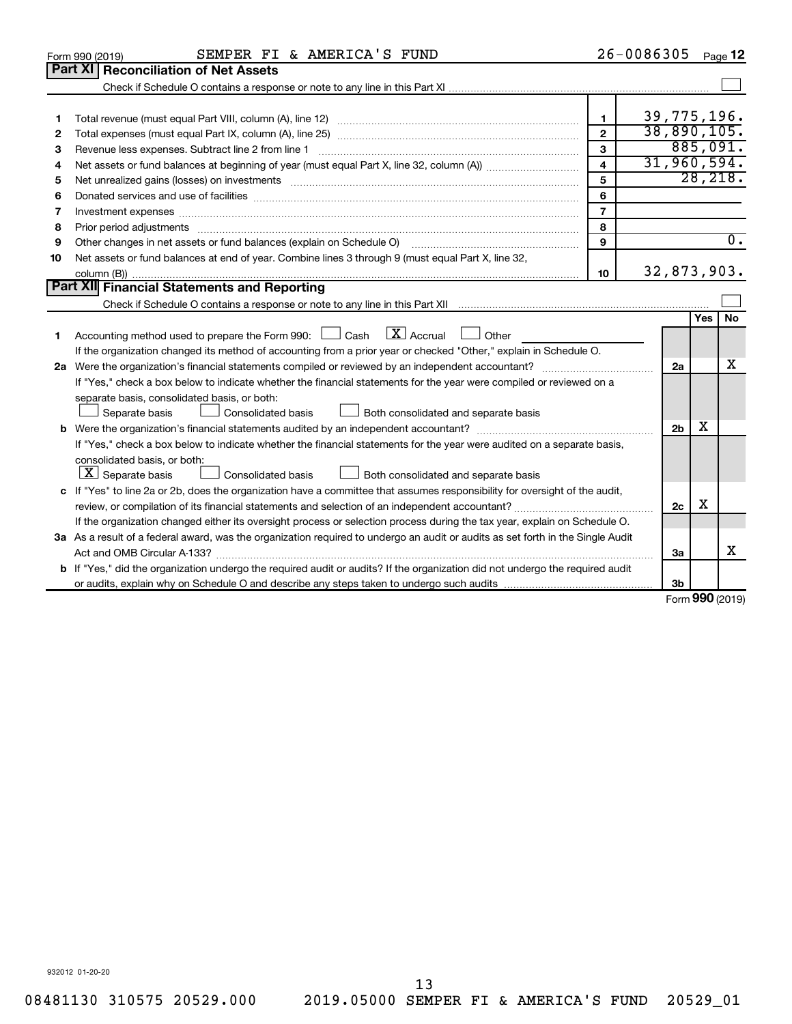|    | SEMPER FI & AMERICA'S FUND<br>Form 990 (2019)                                                                                        |                         | 26-0086305           |     | Page 12             |
|----|--------------------------------------------------------------------------------------------------------------------------------------|-------------------------|----------------------|-----|---------------------|
|    | <b>Part XI Reconciliation of Net Assets</b>                                                                                          |                         |                      |     |                     |
|    |                                                                                                                                      |                         |                      |     |                     |
|    |                                                                                                                                      |                         |                      |     |                     |
| 1  |                                                                                                                                      | 1                       | 39, 775, 196.        |     |                     |
| 2  |                                                                                                                                      | $\overline{2}$          | 38,890,105.          |     |                     |
| з  |                                                                                                                                      | 3                       |                      |     | 885,091.            |
| 4  |                                                                                                                                      | $\overline{\mathbf{A}}$ | 31,960,594.          |     |                     |
| 5  |                                                                                                                                      | 5                       |                      |     | 28, 218.            |
| 6  |                                                                                                                                      | 6                       |                      |     |                     |
| 7  | Investment expenses www.communication.com/www.communication.com/www.communication.com/www.com                                        | $\overline{7}$          |                      |     |                     |
| 8  |                                                                                                                                      | 8                       |                      |     |                     |
| 9  | Other changes in net assets or fund balances (explain on Schedule O)                                                                 | 9                       |                      |     | $\overline{0}$ .    |
| 10 | Net assets or fund balances at end of year. Combine lines 3 through 9 (must equal Part X, line 32,                                   |                         |                      |     |                     |
|    |                                                                                                                                      | 10                      | 32,873,903.          |     |                     |
|    | <b>Part XII Financial Statements and Reporting</b>                                                                                   |                         |                      |     |                     |
|    |                                                                                                                                      |                         |                      |     |                     |
|    |                                                                                                                                      |                         |                      | Yes | No                  |
| 1  | Accounting method used to prepare the Form 990: $\Box$ Cash $\Box X$ Accrual<br>Other                                                |                         |                      |     |                     |
|    | If the organization changed its method of accounting from a prior year or checked "Other," explain in Schedule O.                    |                         |                      |     |                     |
|    |                                                                                                                                      |                         | 2a                   |     | x                   |
|    | If "Yes," check a box below to indicate whether the financial statements for the year were compiled or reviewed on a                 |                         |                      |     |                     |
|    | separate basis, consolidated basis, or both:                                                                                         |                         |                      |     |                     |
|    | Both consolidated and separate basis<br>Separate basis<br>Consolidated basis                                                         |                         |                      |     |                     |
|    |                                                                                                                                      |                         | 2 <sub>b</sub>       | х   |                     |
|    | If "Yes," check a box below to indicate whether the financial statements for the year were audited on a separate basis,              |                         |                      |     |                     |
|    | consolidated basis, or both:                                                                                                         |                         |                      |     |                     |
|    | $X$ Separate basis<br>Consolidated basis<br>Both consolidated and separate basis                                                     |                         |                      |     |                     |
|    | c If "Yes" to line 2a or 2b, does the organization have a committee that assumes responsibility for oversight of the audit,          |                         |                      |     |                     |
|    | review, or compilation of its financial statements and selection of an independent accountant?                                       |                         | 2c                   | х   |                     |
|    | If the organization changed either its oversight process or selection process during the tax year, explain on Schedule O.            |                         |                      |     |                     |
|    | 3a As a result of a federal award, was the organization required to undergo an audit or audits as set forth in the Single Audit      |                         |                      |     |                     |
|    | Act and OMB Circular A-133?                                                                                                          |                         | 3a                   |     | x                   |
|    | <b>b</b> If "Yes," did the organization undergo the required audit or audits? If the organization did not undergo the required audit |                         |                      |     |                     |
|    |                                                                                                                                      |                         | 3 <sub>b</sub><br>c. |     | $000 \text{ hours}$ |
|    |                                                                                                                                      |                         |                      |     |                     |

Form (2019) **990**

932012 01-20-20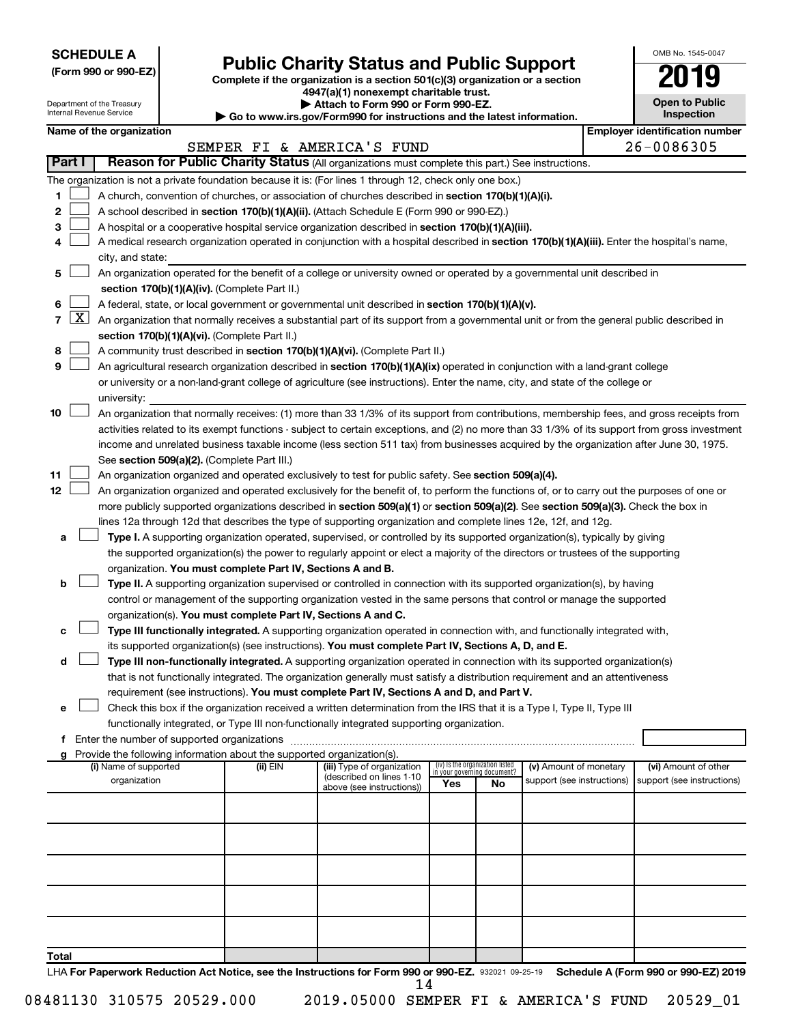**SCHEDULE A**

# **Public Charity Status and Public Support**

**(Form 990 or 990-EZ) Complete if the organization is a section 501(c)(3) organization or a section**

**4947(a)(1) nonexempt charitable trust.**

| OMB No. 1545-0047                   |
|-------------------------------------|
| 19<br>U                             |
| <b>Open to Public</b><br>Inspection |

 $\blacksquare$ 

|                                | Department of the Treasury<br>Internal Revenue Service |                                                                        | Attach to Form 990 or Form 990-EZ.<br>▶ Go to www.irs.gov/Form990 for instructions and the latest information.                                |     |                                                                |                            | <b>Open to Public</b><br>Inspection   |
|--------------------------------|--------------------------------------------------------|------------------------------------------------------------------------|-----------------------------------------------------------------------------------------------------------------------------------------------|-----|----------------------------------------------------------------|----------------------------|---------------------------------------|
|                                | Name of the organization                               |                                                                        |                                                                                                                                               |     |                                                                |                            | <b>Employer identification number</b> |
|                                |                                                        |                                                                        | SEMPER FI & AMERICA'S FUND                                                                                                                    |     |                                                                |                            | 26-0086305                            |
| Part I                         |                                                        |                                                                        | Reason for Public Charity Status (All organizations must complete this part.) See instructions.                                               |     |                                                                |                            |                                       |
|                                |                                                        |                                                                        | The organization is not a private foundation because it is: (For lines 1 through 12, check only one box.)                                     |     |                                                                |                            |                                       |
| 1                              |                                                        |                                                                        | A church, convention of churches, or association of churches described in section 170(b)(1)(A)(i).                                            |     |                                                                |                            |                                       |
| 2                              |                                                        |                                                                        | A school described in section 170(b)(1)(A)(ii). (Attach Schedule E (Form 990 or 990-EZ).)                                                     |     |                                                                |                            |                                       |
| 3                              |                                                        |                                                                        | A hospital or a cooperative hospital service organization described in section 170(b)(1)(A)(iii).                                             |     |                                                                |                            |                                       |
| 4                              |                                                        |                                                                        | A medical research organization operated in conjunction with a hospital described in section 170(b)(1)(A)(iii). Enter the hospital's name,    |     |                                                                |                            |                                       |
|                                | city, and state:                                       |                                                                        |                                                                                                                                               |     |                                                                |                            |                                       |
| 5                              |                                                        |                                                                        | An organization operated for the benefit of a college or university owned or operated by a governmental unit described in                     |     |                                                                |                            |                                       |
|                                |                                                        | section 170(b)(1)(A)(iv). (Complete Part II.)                          |                                                                                                                                               |     |                                                                |                            |                                       |
| 6                              |                                                        |                                                                        | A federal, state, or local government or governmental unit described in section 170(b)(1)(A)(v).                                              |     |                                                                |                            |                                       |
| $\mathbf{X}$<br>$\overline{7}$ |                                                        |                                                                        | An organization that normally receives a substantial part of its support from a governmental unit or from the general public described in     |     |                                                                |                            |                                       |
|                                |                                                        | section 170(b)(1)(A)(vi). (Complete Part II.)                          |                                                                                                                                               |     |                                                                |                            |                                       |
| 8                              |                                                        |                                                                        | A community trust described in section 170(b)(1)(A)(vi). (Complete Part II.)                                                                  |     |                                                                |                            |                                       |
| 9                              |                                                        |                                                                        | An agricultural research organization described in section 170(b)(1)(A)(ix) operated in conjunction with a land-grant college                 |     |                                                                |                            |                                       |
|                                |                                                        |                                                                        | or university or a non-land-grant college of agriculture (see instructions). Enter the name, city, and state of the college or                |     |                                                                |                            |                                       |
|                                | university:                                            |                                                                        |                                                                                                                                               |     |                                                                |                            |                                       |
| 10                             |                                                        |                                                                        | An organization that normally receives: (1) more than 33 1/3% of its support from contributions, membership fees, and gross receipts from     |     |                                                                |                            |                                       |
|                                |                                                        |                                                                        | activities related to its exempt functions - subject to certain exceptions, and (2) no more than 33 1/3% of its support from gross investment |     |                                                                |                            |                                       |
|                                |                                                        |                                                                        | income and unrelated business taxable income (less section 511 tax) from businesses acquired by the organization after June 30, 1975.         |     |                                                                |                            |                                       |
|                                |                                                        | See section 509(a)(2). (Complete Part III.)                            |                                                                                                                                               |     |                                                                |                            |                                       |
| 11                             |                                                        |                                                                        | An organization organized and operated exclusively to test for public safety. See section 509(a)(4).                                          |     |                                                                |                            |                                       |
| 12                             |                                                        |                                                                        | An organization organized and operated exclusively for the benefit of, to perform the functions of, or to carry out the purposes of one or    |     |                                                                |                            |                                       |
|                                |                                                        |                                                                        | more publicly supported organizations described in section 509(a)(1) or section 509(a)(2). See section 509(a)(3). Check the box in            |     |                                                                |                            |                                       |
|                                |                                                        |                                                                        | lines 12a through 12d that describes the type of supporting organization and complete lines 12e, 12f, and 12g.                                |     |                                                                |                            |                                       |
| a                              |                                                        |                                                                        | Type I. A supporting organization operated, supervised, or controlled by its supported organization(s), typically by giving                   |     |                                                                |                            |                                       |
|                                |                                                        |                                                                        | the supported organization(s) the power to regularly appoint or elect a majority of the directors or trustees of the supporting               |     |                                                                |                            |                                       |
| b                              |                                                        | organization. You must complete Part IV, Sections A and B.             | Type II. A supporting organization supervised or controlled in connection with its supported organization(s), by having                       |     |                                                                |                            |                                       |
|                                |                                                        |                                                                        | control or management of the supporting organization vested in the same persons that control or manage the supported                          |     |                                                                |                            |                                       |
|                                |                                                        | organization(s). You must complete Part IV, Sections A and C.          |                                                                                                                                               |     |                                                                |                            |                                       |
| с                              |                                                        |                                                                        | Type III functionally integrated. A supporting organization operated in connection with, and functionally integrated with,                    |     |                                                                |                            |                                       |
|                                |                                                        |                                                                        | its supported organization(s) (see instructions). You must complete Part IV, Sections A, D, and E.                                            |     |                                                                |                            |                                       |
| d                              |                                                        |                                                                        | Type III non-functionally integrated. A supporting organization operated in connection with its supported organization(s)                     |     |                                                                |                            |                                       |
|                                |                                                        |                                                                        | that is not functionally integrated. The organization generally must satisfy a distribution requirement and an attentiveness                  |     |                                                                |                            |                                       |
|                                |                                                        |                                                                        | requirement (see instructions). You must complete Part IV, Sections A and D, and Part V.                                                      |     |                                                                |                            |                                       |
|                                |                                                        |                                                                        | Check this box if the organization received a written determination from the IRS that it is a Type I, Type II, Type III                       |     |                                                                |                            |                                       |
|                                |                                                        |                                                                        | functionally integrated, or Type III non-functionally integrated supporting organization.                                                     |     |                                                                |                            |                                       |
|                                |                                                        |                                                                        |                                                                                                                                               |     |                                                                |                            |                                       |
|                                |                                                        | Provide the following information about the supported organization(s). |                                                                                                                                               |     |                                                                |                            |                                       |
|                                | (i) Name of supported                                  | (ii) EIN                                                               | (iii) Type of organization<br>(described on lines 1-10                                                                                        |     | (iv) Is the organization listed<br>in your governing document? | (v) Amount of monetary     | (vi) Amount of other                  |
|                                | organization                                           |                                                                        | above (see instructions))                                                                                                                     | Yes | No                                                             | support (see instructions) | support (see instructions)            |
|                                |                                                        |                                                                        |                                                                                                                                               |     |                                                                |                            |                                       |
|                                |                                                        |                                                                        |                                                                                                                                               |     |                                                                |                            |                                       |
|                                |                                                        |                                                                        |                                                                                                                                               |     |                                                                |                            |                                       |
|                                |                                                        |                                                                        |                                                                                                                                               |     |                                                                |                            |                                       |
|                                |                                                        |                                                                        |                                                                                                                                               |     |                                                                |                            |                                       |
|                                |                                                        |                                                                        |                                                                                                                                               |     |                                                                |                            |                                       |
|                                |                                                        |                                                                        |                                                                                                                                               |     |                                                                |                            |                                       |
|                                |                                                        |                                                                        |                                                                                                                                               |     |                                                                |                            |                                       |
|                                |                                                        |                                                                        |                                                                                                                                               |     |                                                                |                            |                                       |
| Total                          |                                                        |                                                                        |                                                                                                                                               |     |                                                                |                            |                                       |

LHA For Paperwork Reduction Act Notice, see the Instructions for Form 990 or 990-EZ. 932021 09-25-19 Schedule A (Form 990 or 990-EZ) 2019 14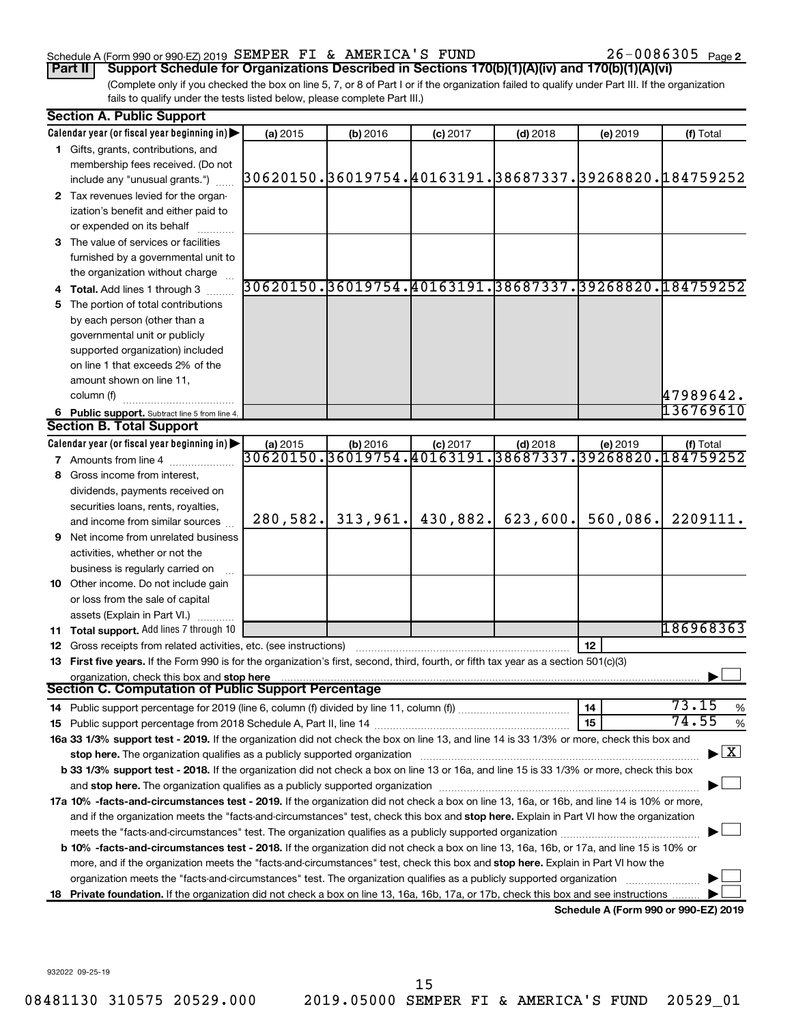### Schedule A (Form 990 or 990-EZ) 2019  ${\tt SEMPER\; FI}$  &  ${\tt AMERICA\;S\; FUND}$   $26-0086305$   ${\tt Page}$

26-0086305 Page 2

(Complete only if you checked the box on line 5, 7, or 8 of Part I or if the organization failed to qualify under Part III. If the organization fails to qualify under the tests listed below, please complete Part III.) **Part II** | Support Schedule for Organizations Described in Sections 170(b)(1)(A)(iv) and 170(b)(1)(A)(vi)

| <b>Section A. Public Support</b>                                                                                                               |          |                       |            |            |          |                                                                     |  |  |  |  |
|------------------------------------------------------------------------------------------------------------------------------------------------|----------|-----------------------|------------|------------|----------|---------------------------------------------------------------------|--|--|--|--|
| Calendar year (or fiscal year beginning in)                                                                                                    | (a) 2015 | (b) 2016              | $(c)$ 2017 | $(d)$ 2018 | (e) 2019 | (f) Total                                                           |  |  |  |  |
| 1 Gifts, grants, contributions, and                                                                                                            |          |                       |            |            |          |                                                                     |  |  |  |  |
| membership fees received. (Do not                                                                                                              |          |                       |            |            |          |                                                                     |  |  |  |  |
| include any "unusual grants.")                                                                                                                 |          |                       |            |            |          | 30620150.}36019754. 40163191. 38687337. 39268820. 184759252         |  |  |  |  |
| 2 Tax revenues levied for the organ-                                                                                                           |          |                       |            |            |          |                                                                     |  |  |  |  |
| ization's benefit and either paid to                                                                                                           |          |                       |            |            |          |                                                                     |  |  |  |  |
| or expended on its behalf                                                                                                                      |          |                       |            |            |          |                                                                     |  |  |  |  |
| 3 The value of services or facilities                                                                                                          |          |                       |            |            |          |                                                                     |  |  |  |  |
| furnished by a governmental unit to                                                                                                            |          |                       |            |            |          |                                                                     |  |  |  |  |
| the organization without charge                                                                                                                |          |                       |            |            |          |                                                                     |  |  |  |  |
| 4 Total. Add lines 1 through 3                                                                                                                 |          |                       |            |            |          | 30620150.36019754.40163191.38687337.39268820.184759252              |  |  |  |  |
| 5 The portion of total contributions                                                                                                           |          |                       |            |            |          |                                                                     |  |  |  |  |
| by each person (other than a                                                                                                                   |          |                       |            |            |          |                                                                     |  |  |  |  |
| governmental unit or publicly                                                                                                                  |          |                       |            |            |          |                                                                     |  |  |  |  |
| supported organization) included                                                                                                               |          |                       |            |            |          |                                                                     |  |  |  |  |
| on line 1 that exceeds 2% of the                                                                                                               |          |                       |            |            |          |                                                                     |  |  |  |  |
| amount shown on line 11,                                                                                                                       |          |                       |            |            |          |                                                                     |  |  |  |  |
| column (f)                                                                                                                                     |          |                       |            |            |          | 47989642.                                                           |  |  |  |  |
|                                                                                                                                                |          |                       |            |            |          | 136769610                                                           |  |  |  |  |
| 6 Public support. Subtract line 5 from line 4.<br><b>Section B. Total Support</b>                                                              |          |                       |            |            |          |                                                                     |  |  |  |  |
| Calendar year (or fiscal year beginning in)                                                                                                    |          |                       |            |            |          |                                                                     |  |  |  |  |
|                                                                                                                                                | (a) 2015 | (b) 2016              | $(c)$ 2017 | $(d)$ 2018 | (e) 2019 | (f) Total<br>30620150.36019754.40163191.38687337.39268820.184759252 |  |  |  |  |
| <b>7</b> Amounts from line 4                                                                                                                   |          |                       |            |            |          |                                                                     |  |  |  |  |
| 8 Gross income from interest,                                                                                                                  |          |                       |            |            |          |                                                                     |  |  |  |  |
| dividends, payments received on                                                                                                                |          |                       |            |            |          |                                                                     |  |  |  |  |
| securities loans, rents, royalties,                                                                                                            |          |                       |            |            |          |                                                                     |  |  |  |  |
| and income from similar sources                                                                                                                |          | $280, 582.$ 313, 961. | 430,882.   | 623,600.   | 560,086. | 2209111.                                                            |  |  |  |  |
| <b>9</b> Net income from unrelated business                                                                                                    |          |                       |            |            |          |                                                                     |  |  |  |  |
| activities, whether or not the                                                                                                                 |          |                       |            |            |          |                                                                     |  |  |  |  |
| business is regularly carried on                                                                                                               |          |                       |            |            |          |                                                                     |  |  |  |  |
| 10 Other income. Do not include gain                                                                                                           |          |                       |            |            |          |                                                                     |  |  |  |  |
| or loss from the sale of capital                                                                                                               |          |                       |            |            |          |                                                                     |  |  |  |  |
| assets (Explain in Part VI.)                                                                                                                   |          |                       |            |            |          |                                                                     |  |  |  |  |
| 11 Total support. Add lines 7 through 10                                                                                                       |          |                       |            |            |          | 186968363                                                           |  |  |  |  |
| <b>12</b> Gross receipts from related activities, etc. (see instructions)                                                                      |          |                       |            |            | 12       |                                                                     |  |  |  |  |
| 13 First five years. If the Form 990 is for the organization's first, second, third, fourth, or fifth tax year as a section 501(c)(3)          |          |                       |            |            |          |                                                                     |  |  |  |  |
| organization, check this box and stop here                                                                                                     |          |                       |            |            |          |                                                                     |  |  |  |  |
| Section C. Computation of Public Support Percentage                                                                                            |          |                       |            |            |          |                                                                     |  |  |  |  |
|                                                                                                                                                |          |                       |            |            | 14       | 73.15<br>%                                                          |  |  |  |  |
|                                                                                                                                                |          |                       |            |            | 15       | 74.55<br>%                                                          |  |  |  |  |
| 16a 33 1/3% support test - 2019. If the organization did not check the box on line 13, and line 14 is 33 1/3% or more, check this box and      |          |                       |            |            |          |                                                                     |  |  |  |  |
| stop here. The organization qualifies as a publicly supported organization                                                                     |          |                       |            |            |          | $\blacktriangleright$ $\mathbf{X}$                                  |  |  |  |  |
| b 33 1/3% support test - 2018. If the organization did not check a box on line 13 or 16a, and line 15 is 33 1/3% or more, check this box       |          |                       |            |            |          |                                                                     |  |  |  |  |
|                                                                                                                                                |          |                       |            |            |          |                                                                     |  |  |  |  |
| 17a 10% -facts-and-circumstances test - 2019. If the organization did not check a box on line 13, 16a, or 16b, and line 14 is 10% or more,     |          |                       |            |            |          |                                                                     |  |  |  |  |
| and if the organization meets the "facts-and-circumstances" test, check this box and stop here. Explain in Part VI how the organization        |          |                       |            |            |          |                                                                     |  |  |  |  |
|                                                                                                                                                |          |                       |            |            |          |                                                                     |  |  |  |  |
| <b>b 10%</b> -facts-and-circumstances test - 2018. If the organization did not check a box on line 13, 16a, 16b, or 17a, and line 15 is 10% or |          |                       |            |            |          |                                                                     |  |  |  |  |
| more, and if the organization meets the "facts-and-circumstances" test, check this box and stop here. Explain in Part VI how the               |          |                       |            |            |          |                                                                     |  |  |  |  |
| organization meets the "facts-and-circumstances" test. The organization qualifies as a publicly supported organization                         |          |                       |            |            |          |                                                                     |  |  |  |  |
| 18 Private foundation. If the organization did not check a box on line 13, 16a, 16b, 17a, or 17b, check this box and see instructions.         |          |                       |            |            |          |                                                                     |  |  |  |  |
|                                                                                                                                                |          |                       |            |            |          | Schedule A (Form 990 or 990-F7) 2019                                |  |  |  |  |

**Schedule A (Form 990 or 990-EZ) 2019**

932022 09-25-19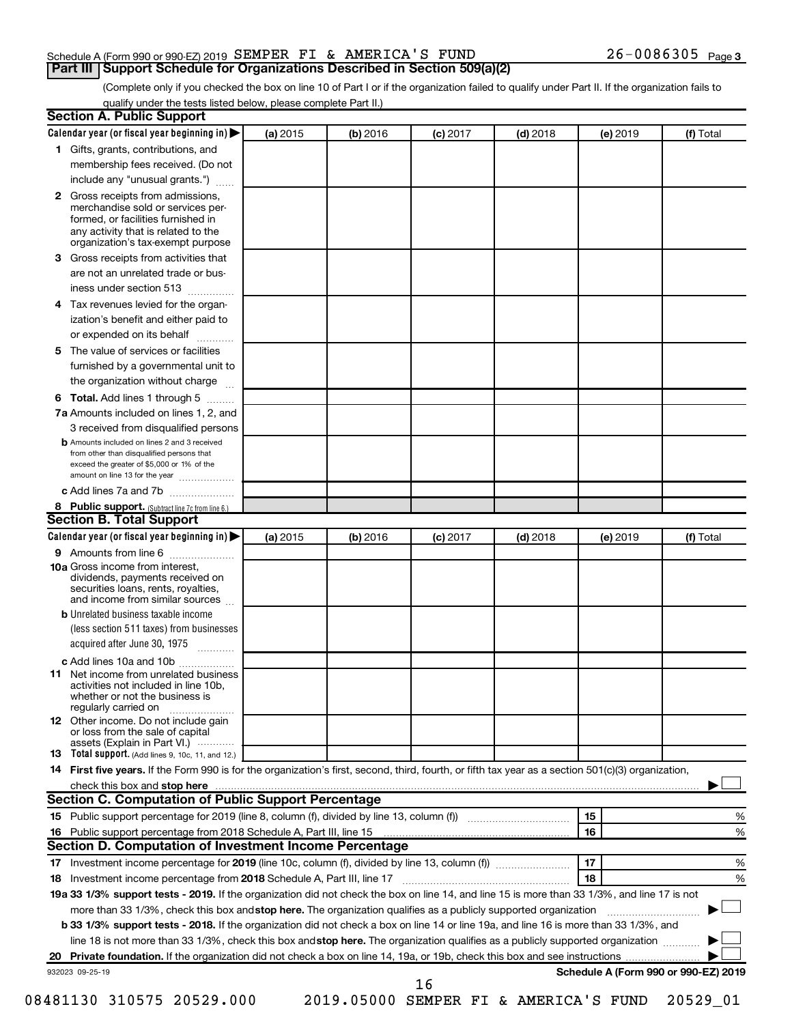|  | Schedule A (Form 990 or 990-EZ) 2019 SEMPER FI & AMERICA'S FUND                   |  |  | $26 - 0086305$ Page 3 |  |
|--|-----------------------------------------------------------------------------------|--|--|-----------------------|--|
|  | <b>Part III Support Schedule for Organizations Described in Section 509(a)(2)</b> |  |  |                       |  |

(Complete only if you checked the box on line 10 of Part I or if the organization failed to qualify under Part II. If the organization fails to qualify under the tests listed below, please complete Part II.)

| <b>Section A. Public Support</b>                                                                                                                                                         |          |          |            |            |          |                                      |
|------------------------------------------------------------------------------------------------------------------------------------------------------------------------------------------|----------|----------|------------|------------|----------|--------------------------------------|
| Calendar year (or fiscal year beginning in)                                                                                                                                              | (a) 2015 | (b) 2016 | $(c)$ 2017 | $(d)$ 2018 | (e) 2019 | (f) Total                            |
| 1 Gifts, grants, contributions, and                                                                                                                                                      |          |          |            |            |          |                                      |
| membership fees received. (Do not                                                                                                                                                        |          |          |            |            |          |                                      |
| include any "unusual grants.")                                                                                                                                                           |          |          |            |            |          |                                      |
| 2 Gross receipts from admissions,<br>merchandise sold or services per-<br>formed, or facilities furnished in<br>any activity that is related to the<br>organization's tax-exempt purpose |          |          |            |            |          |                                      |
| 3 Gross receipts from activities that                                                                                                                                                    |          |          |            |            |          |                                      |
| are not an unrelated trade or bus-                                                                                                                                                       |          |          |            |            |          |                                      |
| iness under section 513                                                                                                                                                                  |          |          |            |            |          |                                      |
| 4 Tax revenues levied for the organ-                                                                                                                                                     |          |          |            |            |          |                                      |
| ization's benefit and either paid to<br>or expended on its behalf<br>.                                                                                                                   |          |          |            |            |          |                                      |
| 5 The value of services or facilities                                                                                                                                                    |          |          |            |            |          |                                      |
| furnished by a governmental unit to                                                                                                                                                      |          |          |            |            |          |                                      |
| the organization without charge                                                                                                                                                          |          |          |            |            |          |                                      |
| 6 Total. Add lines 1 through 5                                                                                                                                                           |          |          |            |            |          |                                      |
| 7a Amounts included on lines 1, 2, and                                                                                                                                                   |          |          |            |            |          |                                      |
| 3 received from disqualified persons                                                                                                                                                     |          |          |            |            |          |                                      |
| <b>b</b> Amounts included on lines 2 and 3 received<br>from other than disqualified persons that<br>exceed the greater of \$5,000 or 1% of the<br>amount on line 13 for the year         |          |          |            |            |          |                                      |
| c Add lines 7a and 7b                                                                                                                                                                    |          |          |            |            |          |                                      |
| 8 Public support. (Subtract line 7c from line 6.)                                                                                                                                        |          |          |            |            |          |                                      |
| <b>Section B. Total Support</b>                                                                                                                                                          |          |          |            |            |          |                                      |
| Calendar year (or fiscal year beginning in)                                                                                                                                              | (a) 2015 | (b) 2016 | $(c)$ 2017 | $(d)$ 2018 | (e) 2019 | (f) Total                            |
| <b>9</b> Amounts from line 6                                                                                                                                                             |          |          |            |            |          |                                      |
| <b>10a</b> Gross income from interest,<br>dividends, payments received on<br>securities loans, rents, royalties,<br>and income from similar sources                                      |          |          |            |            |          |                                      |
| <b>b</b> Unrelated business taxable income<br>(less section 511 taxes) from businesses<br>acquired after June 30, 1975                                                                   |          |          |            |            |          |                                      |
| c Add lines 10a and 10b<br><b>11</b> Net income from unrelated business<br>activities not included in line 10b.<br>whether or not the business is<br>regularly carried on                |          |          |            |            |          |                                      |
| 12 Other income. Do not include gain<br>or loss from the sale of capital<br>assets (Explain in Part VI.)                                                                                 |          |          |            |            |          |                                      |
| <b>13</b> Total support. (Add lines 9, 10c, 11, and 12.)                                                                                                                                 |          |          |            |            |          |                                      |
| 14 First five years. If the Form 990 is for the organization's first, second, third, fourth, or fifth tax year as a section 501(c)(3) organization,                                      |          |          |            |            |          |                                      |
|                                                                                                                                                                                          |          |          |            |            |          |                                      |
| <b>Section C. Computation of Public Support Percentage</b>                                                                                                                               |          |          |            |            |          |                                      |
| 15 Public support percentage for 2019 (line 8, column (f), divided by line 13, column (f) <i></i>                                                                                        |          |          |            |            | 15       | %                                    |
| 16 Public support percentage from 2018 Schedule A, Part III, line 15                                                                                                                     |          |          |            |            | 16       | %                                    |
| Section D. Computation of Investment Income Percentage                                                                                                                                   |          |          |            |            |          |                                      |
|                                                                                                                                                                                          |          |          |            |            | 17       | %                                    |
| 18 Investment income percentage from 2018 Schedule A, Part III, line 17                                                                                                                  |          |          |            |            | 18       | %                                    |
| 19a 33 1/3% support tests - 2019. If the organization did not check the box on line 14, and line 15 is more than 33 1/3%, and line 17 is not                                             |          |          |            |            |          |                                      |
| more than 33 1/3%, check this box and stop here. The organization qualifies as a publicly supported organization                                                                         |          |          |            |            |          |                                      |
| b 33 1/3% support tests - 2018. If the organization did not check a box on line 14 or line 19a, and line 16 is more than 33 1/3%, and                                                    |          |          |            |            |          |                                      |
| line 18 is not more than 33 1/3%, check this box and stop here. The organization qualifies as a publicly supported organization                                                          |          |          |            |            |          |                                      |
|                                                                                                                                                                                          |          |          |            |            |          |                                      |
| 932023 09-25-19                                                                                                                                                                          |          |          |            |            |          | Schedule A (Form 990 or 990-EZ) 2019 |
|                                                                                                                                                                                          |          |          | 16         |            |          |                                      |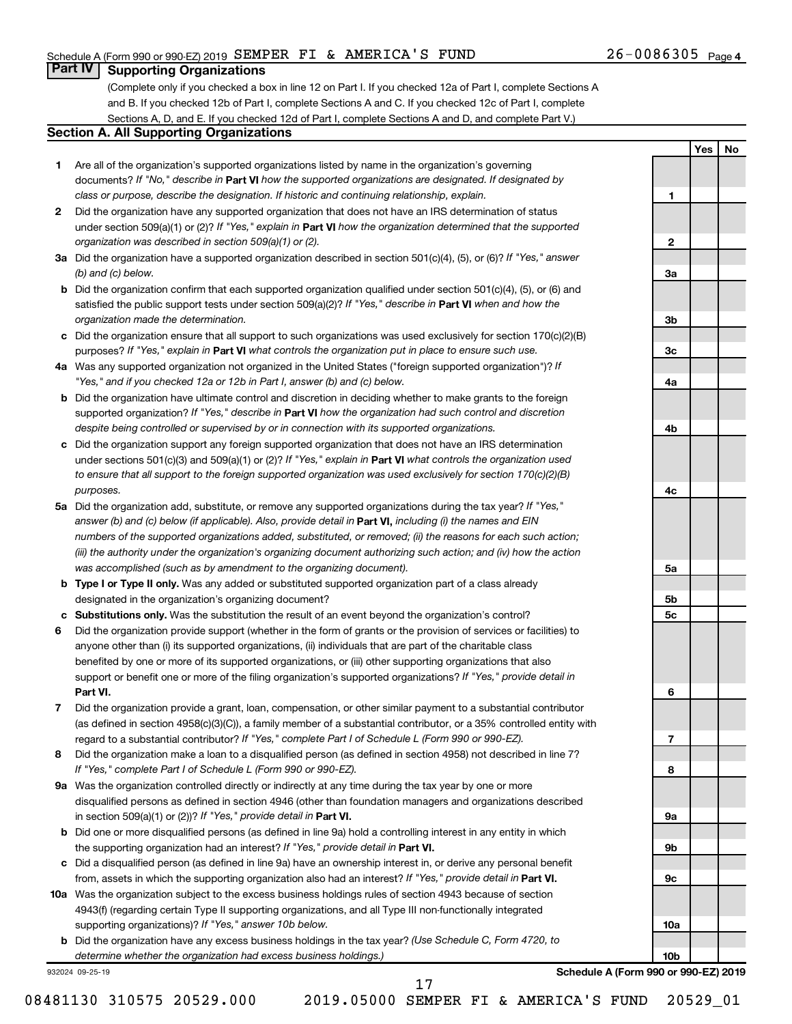**1**

**2**

**3a**

**3b**

**3c**

**4a**

**4b**

**4c**

**5a**

**5b 5c**

**6**

**7**

**8**

**9a**

**9b**

**9c**

**10a**

**10b**

**Yes No**

### **Part IV Supporting Organizations**

(Complete only if you checked a box in line 12 on Part I. If you checked 12a of Part I, complete Sections A and B. If you checked 12b of Part I, complete Sections A and C. If you checked 12c of Part I, complete Sections A, D, and E. If you checked 12d of Part I, complete Sections A and D, and complete Part V.)

### **Section A. All Supporting Organizations**

- **1** Are all of the organization's supported organizations listed by name in the organization's governing documents? If "No," describe in Part VI how the supported organizations are designated. If designated by *class or purpose, describe the designation. If historic and continuing relationship, explain.*
- **2** Did the organization have any supported organization that does not have an IRS determination of status under section 509(a)(1) or (2)? If "Yes," explain in Part **VI** how the organization determined that the supported *organization was described in section 509(a)(1) or (2).*
- **3a** Did the organization have a supported organization described in section 501(c)(4), (5), or (6)? If "Yes," answer *(b) and (c) below.*
- **b** Did the organization confirm that each supported organization qualified under section 501(c)(4), (5), or (6) and satisfied the public support tests under section 509(a)(2)? If "Yes," describe in Part VI when and how the *organization made the determination.*
- **c** Did the organization ensure that all support to such organizations was used exclusively for section 170(c)(2)(B) purposes? If "Yes," explain in Part VI what controls the organization put in place to ensure such use.
- **4 a** *If* Was any supported organization not organized in the United States ("foreign supported organization")? *"Yes," and if you checked 12a or 12b in Part I, answer (b) and (c) below.*
- **b** Did the organization have ultimate control and discretion in deciding whether to make grants to the foreign supported organization? If "Yes," describe in Part VI how the organization had such control and discretion *despite being controlled or supervised by or in connection with its supported organizations.*
- **c** Did the organization support any foreign supported organization that does not have an IRS determination under sections 501(c)(3) and 509(a)(1) or (2)? If "Yes," explain in Part VI what controls the organization used *to ensure that all support to the foreign supported organization was used exclusively for section 170(c)(2)(B) purposes.*
- **5a** Did the organization add, substitute, or remove any supported organizations during the tax year? If "Yes," answer (b) and (c) below (if applicable). Also, provide detail in **Part VI,** including (i) the names and EIN *numbers of the supported organizations added, substituted, or removed; (ii) the reasons for each such action; (iii) the authority under the organization's organizing document authorizing such action; and (iv) how the action was accomplished (such as by amendment to the organizing document).*
- **b Type I or Type II only.** Was any added or substituted supported organization part of a class already designated in the organization's organizing document?
- **c Substitutions only.**  Was the substitution the result of an event beyond the organization's control?
- **6** Did the organization provide support (whether in the form of grants or the provision of services or facilities) to **Part VI.** support or benefit one or more of the filing organization's supported organizations? If "Yes," provide detail in anyone other than (i) its supported organizations, (ii) individuals that are part of the charitable class benefited by one or more of its supported organizations, or (iii) other supporting organizations that also
- **7** Did the organization provide a grant, loan, compensation, or other similar payment to a substantial contributor regard to a substantial contributor? If "Yes," complete Part I of Schedule L (Form 990 or 990-EZ). (as defined in section 4958(c)(3)(C)), a family member of a substantial contributor, or a 35% controlled entity with
- **8** Did the organization make a loan to a disqualified person (as defined in section 4958) not described in line 7? *If "Yes," complete Part I of Schedule L (Form 990 or 990-EZ).*
- **9 a** Was the organization controlled directly or indirectly at any time during the tax year by one or more in section 509(a)(1) or (2))? If "Yes," provide detail in **Part VI.** disqualified persons as defined in section 4946 (other than foundation managers and organizations described
- **b** Did one or more disqualified persons (as defined in line 9a) hold a controlling interest in any entity in which the supporting organization had an interest? If "Yes," provide detail in Part VI.
- **c** Did a disqualified person (as defined in line 9a) have an ownership interest in, or derive any personal benefit from, assets in which the supporting organization also had an interest? If "Yes," provide detail in Part VI.
- **10 a** Was the organization subject to the excess business holdings rules of section 4943 because of section supporting organizations)? If "Yes," answer 10b below. 4943(f) (regarding certain Type II supporting organizations, and all Type III non-functionally integrated
	- **b** Did the organization have any excess business holdings in the tax year? (Use Schedule C, Form 4720, to *determine whether the organization had excess business holdings.)*

932024 09-25-19

**Schedule A (Form 990 or 990-EZ) 2019**

08481130 310575 20529.000 2019.05000 SEMPER FI & AMERICA'S FUND 20529\_01

17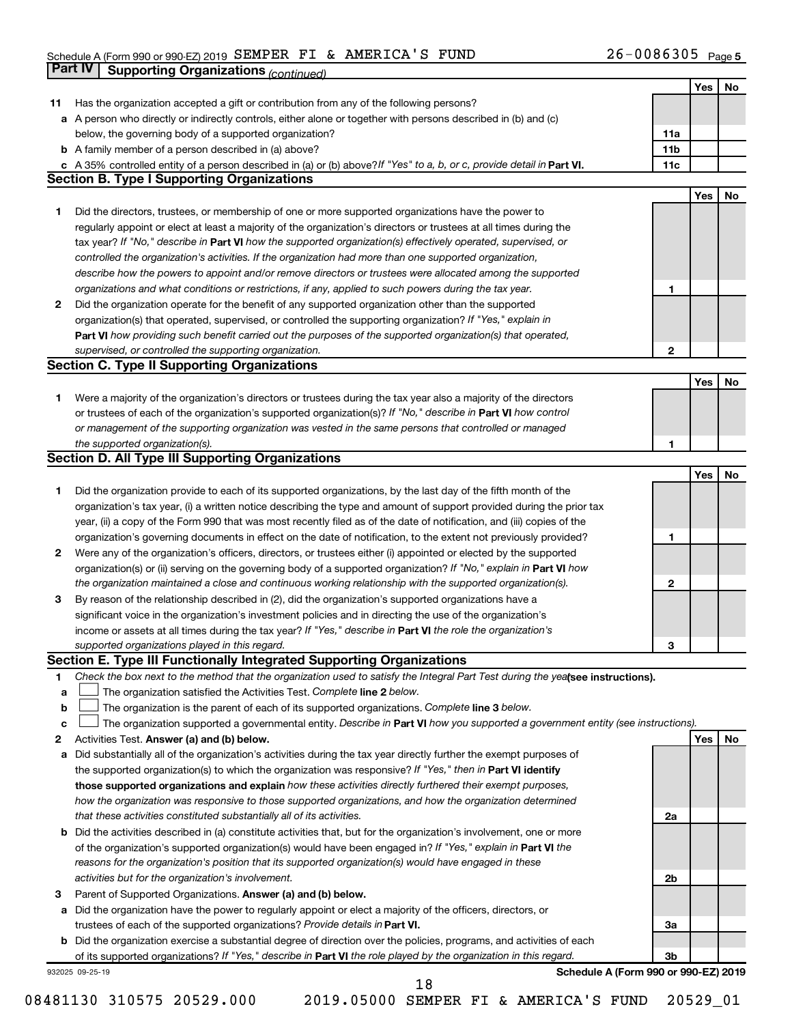### Schedule A (Form 990 or 990-EZ) 2019 SEMPER FI & AMERICA S FUND Z6-UU863U5 Page SEMPER FI & AMERICA'S FUND 26-0086305

|    | <b>Part IV</b>  | <b>Supporting Organizations (continued)</b>                                                                                     |                 |     |    |
|----|-----------------|---------------------------------------------------------------------------------------------------------------------------------|-----------------|-----|----|
|    |                 |                                                                                                                                 |                 | Yes | No |
| 11 |                 | Has the organization accepted a gift or contribution from any of the following persons?                                         |                 |     |    |
| а  |                 | A person who directly or indirectly controls, either alone or together with persons described in (b) and (c)                    |                 |     |    |
|    |                 | below, the governing body of a supported organization?                                                                          | 11a             |     |    |
|    |                 | <b>b</b> A family member of a person described in (a) above?                                                                    | 11 <sub>b</sub> |     |    |
|    |                 | c A 35% controlled entity of a person described in (a) or (b) above? If "Yes" to a, b, or c, provide detail in Part VI.         | 11c             |     |    |
|    |                 | <b>Section B. Type I Supporting Organizations</b>                                                                               |                 |     |    |
|    |                 |                                                                                                                                 |                 | Yes | No |
| 1. |                 | Did the directors, trustees, or membership of one or more supported organizations have the power to                             |                 |     |    |
|    |                 | regularly appoint or elect at least a majority of the organization's directors or trustees at all times during the              |                 |     |    |
|    |                 | tax year? If "No," describe in Part VI how the supported organization(s) effectively operated, supervised, or                   |                 |     |    |
|    |                 | controlled the organization's activities. If the organization had more than one supported organization,                         |                 |     |    |
|    |                 | describe how the powers to appoint and/or remove directors or trustees were allocated among the supported                       |                 |     |    |
|    |                 | organizations and what conditions or restrictions, if any, applied to such powers during the tax year.                          | 1               |     |    |
| 2  |                 | Did the organization operate for the benefit of any supported organization other than the supported                             |                 |     |    |
|    |                 | organization(s) that operated, supervised, or controlled the supporting organization? If "Yes," explain in                      |                 |     |    |
|    |                 | Part VI how providing such benefit carried out the purposes of the supported organization(s) that operated,                     |                 |     |    |
|    |                 | supervised, or controlled the supporting organization.                                                                          | 2               |     |    |
|    |                 | <b>Section C. Type II Supporting Organizations</b>                                                                              |                 |     |    |
|    |                 |                                                                                                                                 |                 | Yes | No |
| 1. |                 | Were a majority of the organization's directors or trustees during the tax year also a majority of the directors                |                 |     |    |
|    |                 | or trustees of each of the organization's supported organization(s)? If "No," describe in Part VI how control                   |                 |     |    |
|    |                 | or management of the supporting organization was vested in the same persons that controlled or managed                          |                 |     |    |
|    |                 | the supported organization(s).                                                                                                  | 1               |     |    |
|    |                 | <b>Section D. All Type III Supporting Organizations</b>                                                                         |                 |     |    |
|    |                 |                                                                                                                                 |                 | Yes | No |
| 1  |                 | Did the organization provide to each of its supported organizations, by the last day of the fifth month of the                  |                 |     |    |
|    |                 | organization's tax year, (i) a written notice describing the type and amount of support provided during the prior tax           |                 |     |    |
|    |                 | year, (ii) a copy of the Form 990 that was most recently filed as of the date of notification, and (iii) copies of the          |                 |     |    |
|    |                 | organization's governing documents in effect on the date of notification, to the extent not previously provided?                | 1               |     |    |
| 2  |                 | Were any of the organization's officers, directors, or trustees either (i) appointed or elected by the supported                |                 |     |    |
|    |                 | organization(s) or (ii) serving on the governing body of a supported organization? If "No," explain in Part VI how              |                 |     |    |
|    |                 | the organization maintained a close and continuous working relationship with the supported organization(s).                     | 2               |     |    |
| 3  |                 | By reason of the relationship described in (2), did the organization's supported organizations have a                           |                 |     |    |
|    |                 | significant voice in the organization's investment policies and in directing the use of the organization's                      |                 |     |    |
|    |                 | income or assets at all times during the tax year? If "Yes," describe in Part VI the role the organization's                    |                 |     |    |
|    |                 | supported organizations played in this regard.                                                                                  | 3               |     |    |
|    |                 | Section E. Type III Functionally Integrated Supporting Organizations                                                            |                 |     |    |
| 1  |                 | Check the box next to the method that the organization used to satisfy the Integral Part Test during the yealsee instructions). |                 |     |    |
| a  |                 | The organization satisfied the Activities Test. Complete line 2 below.                                                          |                 |     |    |
| b  |                 | The organization is the parent of each of its supported organizations. Complete line 3 below.                                   |                 |     |    |
| c  |                 | The organization supported a governmental entity. Describe in Part VI how you supported a government entity (see instructions). |                 |     |    |
| 2  |                 | Activities Test. Answer (a) and (b) below.                                                                                      |                 | Yes | No |
| а  |                 | Did substantially all of the organization's activities during the tax year directly further the exempt purposes of              |                 |     |    |
|    |                 | the supported organization(s) to which the organization was responsive? If "Yes," then in Part VI identify                      |                 |     |    |
|    |                 | those supported organizations and explain how these activities directly furthered their exempt purposes,                        |                 |     |    |
|    |                 | how the organization was responsive to those supported organizations, and how the organization determined                       |                 |     |    |
|    |                 | that these activities constituted substantially all of its activities.                                                          | 2a              |     |    |
| b  |                 | Did the activities described in (a) constitute activities that, but for the organization's involvement, one or more             |                 |     |    |
|    |                 | of the organization's supported organization(s) would have been engaged in? If "Yes," explain in Part VI the                    |                 |     |    |
|    |                 | reasons for the organization's position that its supported organization(s) would have engaged in these                          |                 |     |    |
| 3  |                 | activities but for the organization's involvement.<br>Parent of Supported Organizations. Answer (a) and (b) below.              | 2b              |     |    |
|    |                 | Did the organization have the power to regularly appoint or elect a majority of the officers, directors, or                     |                 |     |    |
| а  |                 | trustees of each of the supported organizations? Provide details in Part VI.                                                    | За              |     |    |
|    |                 | <b>b</b> Did the organization exercise a substantial degree of direction over the policies, programs, and activities of each    |                 |     |    |
|    |                 | of its supported organizations? If "Yes," describe in Part VI the role played by the organization in this regard.               | Зb              |     |    |
|    | 932025 09-25-19 | Schedule A (Form 990 or 990-EZ) 2019                                                                                            |                 |     |    |
|    |                 | 18                                                                                                                              |                 |     |    |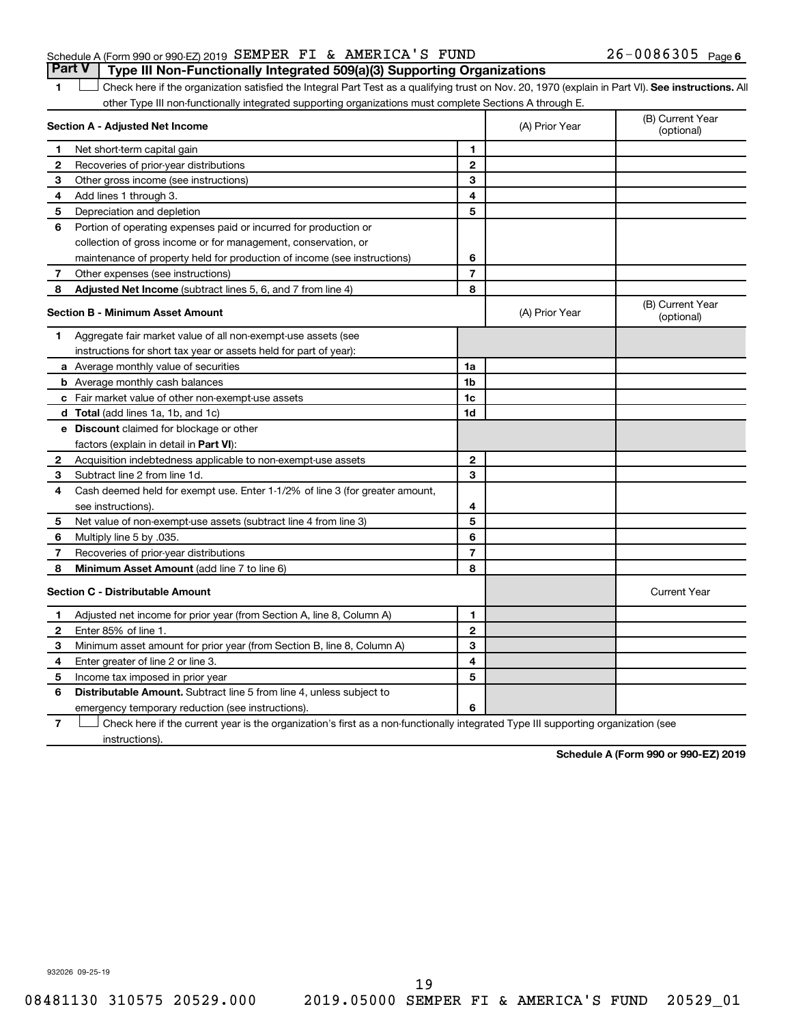|  | Schedule A (Form 990 or 990-EZ) 2019 SEMPER FI & AMERICA'S FUND |  |                                                                                         | $26 - 0086305$ Page 6 |  |
|--|-----------------------------------------------------------------|--|-----------------------------------------------------------------------------------------|-----------------------|--|
|  |                                                                 |  | <b>Part V</b>   Type III Non-Functionally Integrated 509(a)(3) Supporting Organizations |                       |  |

1 Check here if the organization satisfied the Integral Part Test as a qualifying trust on Nov. 20, 1970 (explain in Part VI). See instructions. All other Type III non-functionally integrated supporting organizations must complete Sections A through E.

|              | Section A - Adjusted Net Income                                              |                | (A) Prior Year | (B) Current Year<br>(optional) |
|--------------|------------------------------------------------------------------------------|----------------|----------------|--------------------------------|
| 1.           | Net short-term capital gain                                                  | 1              |                |                                |
| $\mathbf{2}$ | Recoveries of prior-year distributions                                       | $\overline{2}$ |                |                                |
| З            | Other gross income (see instructions)                                        | 3              |                |                                |
| 4            | Add lines 1 through 3.                                                       | 4              |                |                                |
| 5            | Depreciation and depletion                                                   | 5              |                |                                |
| 6            | Portion of operating expenses paid or incurred for production or             |                |                |                                |
|              | collection of gross income or for management, conservation, or               |                |                |                                |
|              | maintenance of property held for production of income (see instructions)     | 6              |                |                                |
| 7            | Other expenses (see instructions)                                            | $\overline{7}$ |                |                                |
| 8            | Adjusted Net Income (subtract lines 5, 6, and 7 from line 4)                 | 8              |                |                                |
|              | Section B - Minimum Asset Amount                                             |                | (A) Prior Year | (B) Current Year<br>(optional) |
| 1            | Aggregate fair market value of all non-exempt-use assets (see                |                |                |                                |
|              | instructions for short tax year or assets held for part of year):            |                |                |                                |
|              | a Average monthly value of securities                                        | 1a             |                |                                |
|              | <b>b</b> Average monthly cash balances                                       | 1 <sub>b</sub> |                |                                |
|              | c Fair market value of other non-exempt-use assets                           | 1 <sub>c</sub> |                |                                |
|              | <b>d</b> Total (add lines 1a, 1b, and 1c)                                    | 1d             |                |                                |
|              | e Discount claimed for blockage or other                                     |                |                |                                |
|              | factors (explain in detail in <b>Part VI</b> ):                              |                |                |                                |
| 2            | Acquisition indebtedness applicable to non-exempt-use assets                 | $\mathbf{2}$   |                |                                |
| 3            | Subtract line 2 from line 1d.                                                | 3              |                |                                |
| 4            | Cash deemed held for exempt use. Enter 1-1/2% of line 3 (for greater amount, |                |                |                                |
|              | see instructions).                                                           | 4              |                |                                |
| 5            | Net value of non-exempt-use assets (subtract line 4 from line 3)             | 5              |                |                                |
| 6            | Multiply line 5 by .035.                                                     | 6              |                |                                |
| 7            | Recoveries of prior-year distributions                                       | $\overline{7}$ |                |                                |
| 8            | Minimum Asset Amount (add line 7 to line 6)                                  | 8              |                |                                |
|              | <b>Section C - Distributable Amount</b>                                      |                |                | <b>Current Year</b>            |
| 1            | Adjusted net income for prior year (from Section A, line 8, Column A)        | 1              |                |                                |
| $\mathbf{2}$ | Enter 85% of line 1.                                                         | $\mathbf{2}$   |                |                                |
| З            | Minimum asset amount for prior year (from Section B, line 8, Column A)       | 3              |                |                                |
| 4            | Enter greater of line 2 or line 3.                                           | 4              |                |                                |
| 5            | Income tax imposed in prior year                                             | 5              |                |                                |
| 6            | Distributable Amount. Subtract line 5 from line 4, unless subject to         |                |                |                                |
|              | emergency temporary reduction (see instructions).                            | 6              |                |                                |
|              |                                                                              |                |                |                                |

**7** Check here if the current year is the organization's first as a non-functionally integrated Type III supporting organization (see instructions).

**Schedule A (Form 990 or 990-EZ) 2019**

932026 09-25-19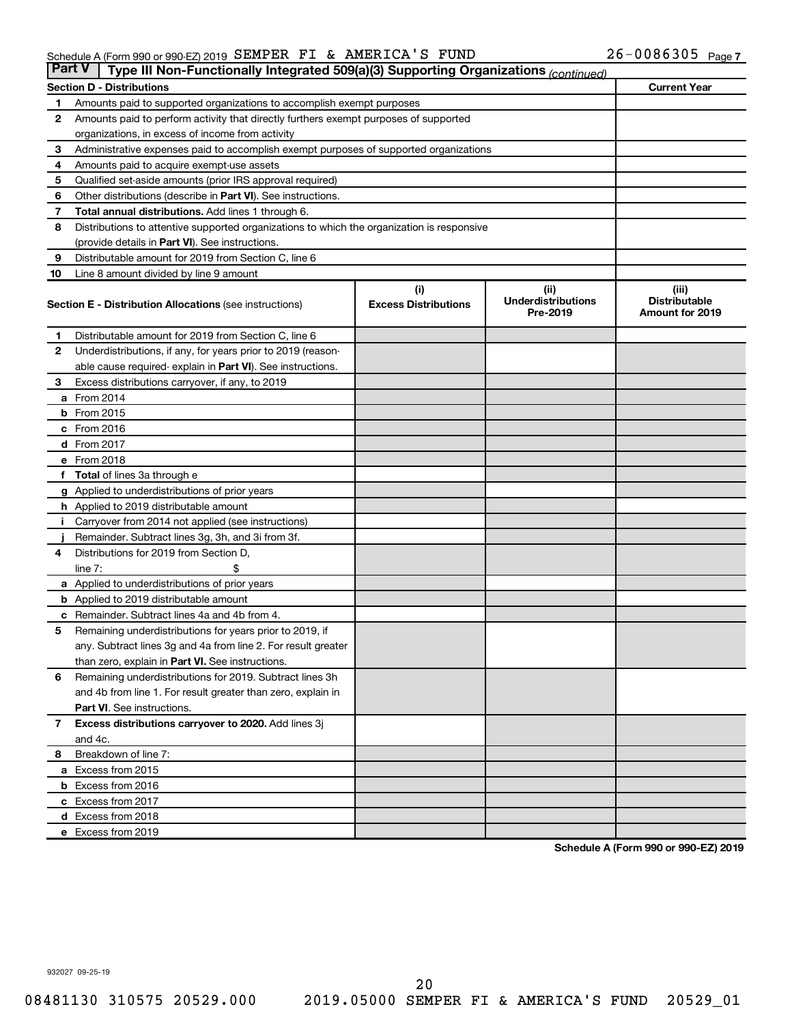| <b>Part V</b> | Type III Non-Functionally Integrated 509(a)(3) Supporting Organizations (continued)        |                                    |                                               |                                                         |  |  |
|---------------|--------------------------------------------------------------------------------------------|------------------------------------|-----------------------------------------------|---------------------------------------------------------|--|--|
|               | <b>Section D - Distributions</b><br><b>Current Year</b>                                    |                                    |                                               |                                                         |  |  |
| 1             | Amounts paid to supported organizations to accomplish exempt purposes                      |                                    |                                               |                                                         |  |  |
| 2             | Amounts paid to perform activity that directly furthers exempt purposes of supported       |                                    |                                               |                                                         |  |  |
|               | organizations, in excess of income from activity                                           |                                    |                                               |                                                         |  |  |
| З             | Administrative expenses paid to accomplish exempt purposes of supported organizations      |                                    |                                               |                                                         |  |  |
| 4             | Amounts paid to acquire exempt-use assets                                                  |                                    |                                               |                                                         |  |  |
| 5             | Qualified set-aside amounts (prior IRS approval required)                                  |                                    |                                               |                                                         |  |  |
| 6             | Other distributions (describe in <b>Part VI</b> ). See instructions.                       |                                    |                                               |                                                         |  |  |
| 7             | <b>Total annual distributions.</b> Add lines 1 through 6.                                  |                                    |                                               |                                                         |  |  |
| 8             | Distributions to attentive supported organizations to which the organization is responsive |                                    |                                               |                                                         |  |  |
|               | (provide details in Part VI). See instructions.                                            |                                    |                                               |                                                         |  |  |
| 9             | Distributable amount for 2019 from Section C, line 6                                       |                                    |                                               |                                                         |  |  |
| 10            | Line 8 amount divided by line 9 amount                                                     |                                    |                                               |                                                         |  |  |
|               | <b>Section E - Distribution Allocations (see instructions)</b>                             | (i)<br><b>Excess Distributions</b> | (ii)<br><b>Underdistributions</b><br>Pre-2019 | (iii)<br><b>Distributable</b><br><b>Amount for 2019</b> |  |  |
| 1.            | Distributable amount for 2019 from Section C, line 6                                       |                                    |                                               |                                                         |  |  |
| 2             | Underdistributions, if any, for years prior to 2019 (reason-                               |                                    |                                               |                                                         |  |  |
|               | able cause required-explain in Part VI). See instructions.                                 |                                    |                                               |                                                         |  |  |
| З             | Excess distributions carryover, if any, to 2019                                            |                                    |                                               |                                                         |  |  |
|               | <b>a</b> From 2014                                                                         |                                    |                                               |                                                         |  |  |
|               | <b>b</b> From 2015                                                                         |                                    |                                               |                                                         |  |  |
|               | $c$ From 2016                                                                              |                                    |                                               |                                                         |  |  |
|               | <b>d</b> From 2017                                                                         |                                    |                                               |                                                         |  |  |
|               | e From 2018                                                                                |                                    |                                               |                                                         |  |  |
|               | f Total of lines 3a through e                                                              |                                    |                                               |                                                         |  |  |
|               | <b>g</b> Applied to underdistributions of prior years                                      |                                    |                                               |                                                         |  |  |
|               | <b>h</b> Applied to 2019 distributable amount                                              |                                    |                                               |                                                         |  |  |
| Ť.            | Carryover from 2014 not applied (see instructions)                                         |                                    |                                               |                                                         |  |  |
|               | Remainder. Subtract lines 3g, 3h, and 3i from 3f.                                          |                                    |                                               |                                                         |  |  |
| 4             | Distributions for 2019 from Section D.                                                     |                                    |                                               |                                                         |  |  |
|               | line $7:$                                                                                  |                                    |                                               |                                                         |  |  |
|               | <b>a</b> Applied to underdistributions of prior years                                      |                                    |                                               |                                                         |  |  |
|               | <b>b</b> Applied to 2019 distributable amount                                              |                                    |                                               |                                                         |  |  |
|               | <b>c</b> Remainder. Subtract lines 4a and 4b from 4.                                       |                                    |                                               |                                                         |  |  |
| 5             | Remaining underdistributions for years prior to 2019, if                                   |                                    |                                               |                                                         |  |  |
|               | any. Subtract lines 3g and 4a from line 2. For result greater                              |                                    |                                               |                                                         |  |  |
|               | than zero, explain in Part VI. See instructions.                                           |                                    |                                               |                                                         |  |  |
| 6             | Remaining underdistributions for 2019. Subtract lines 3h                                   |                                    |                                               |                                                         |  |  |
|               | and 4b from line 1. For result greater than zero, explain in                               |                                    |                                               |                                                         |  |  |
|               | <b>Part VI.</b> See instructions.                                                          |                                    |                                               |                                                         |  |  |
| 7             | Excess distributions carryover to 2020. Add lines 3j                                       |                                    |                                               |                                                         |  |  |
|               | and 4c.                                                                                    |                                    |                                               |                                                         |  |  |
| 8             | Breakdown of line 7:                                                                       |                                    |                                               |                                                         |  |  |
|               | a Excess from 2015                                                                         |                                    |                                               |                                                         |  |  |
|               | <b>b</b> Excess from 2016                                                                  |                                    |                                               |                                                         |  |  |
|               | c Excess from 2017                                                                         |                                    |                                               |                                                         |  |  |
|               | d Excess from 2018                                                                         |                                    |                                               |                                                         |  |  |
|               | e Excess from 2019                                                                         |                                    |                                               |                                                         |  |  |

**Schedule A (Form 990 or 990-EZ) 2019**

932027 09-25-19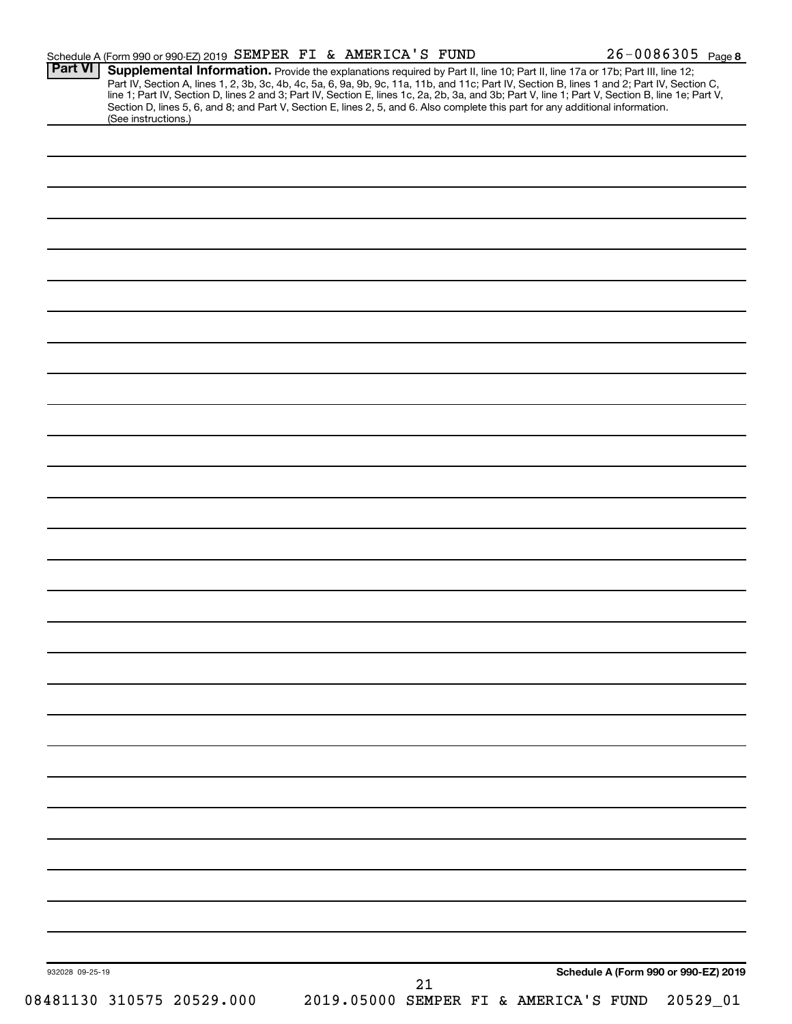| <b>Part VI</b>  | Schedule A (Form 990 or 990-EZ) 2019 SEMPER FI & AMERICA'S FUND                                                                                        |    | $26 - 0086305$ Page 8                                                                                                                                                                                                                                                         |
|-----------------|--------------------------------------------------------------------------------------------------------------------------------------------------------|----|-------------------------------------------------------------------------------------------------------------------------------------------------------------------------------------------------------------------------------------------------------------------------------|
|                 |                                                                                                                                                        |    | Supplemental Information. Provide the explanations required by Part II, line 10; Part II, line 17a or 17b; Part III, line 12;<br>Part IV, Section A, lines 1, 2, 3b, 3c, 4b, 4c, 5a, 6, 9a, 9b, 9c, 11a, 11b, and 11c; Part IV, Section B, lines 1 and 2; Part IV, Section C, |
|                 |                                                                                                                                                        |    | line 1; Part IV, Section D, lines 2 and 3; Part IV, Section E, lines 1c, 2a, 2b, 3a, and 3b; Part V, line 1; Part V, Section B, line 1e; Part V,                                                                                                                              |
|                 | Section D, lines 5, 6, and 8; and Part V, Section E, lines 2, 5, and 6. Also complete this part for any additional information.<br>(See instructions.) |    |                                                                                                                                                                                                                                                                               |
|                 |                                                                                                                                                        |    |                                                                                                                                                                                                                                                                               |
|                 |                                                                                                                                                        |    |                                                                                                                                                                                                                                                                               |
|                 |                                                                                                                                                        |    |                                                                                                                                                                                                                                                                               |
|                 |                                                                                                                                                        |    |                                                                                                                                                                                                                                                                               |
|                 |                                                                                                                                                        |    |                                                                                                                                                                                                                                                                               |
|                 |                                                                                                                                                        |    |                                                                                                                                                                                                                                                                               |
|                 |                                                                                                                                                        |    |                                                                                                                                                                                                                                                                               |
|                 |                                                                                                                                                        |    |                                                                                                                                                                                                                                                                               |
|                 |                                                                                                                                                        |    |                                                                                                                                                                                                                                                                               |
|                 |                                                                                                                                                        |    |                                                                                                                                                                                                                                                                               |
|                 |                                                                                                                                                        |    |                                                                                                                                                                                                                                                                               |
|                 |                                                                                                                                                        |    |                                                                                                                                                                                                                                                                               |
|                 |                                                                                                                                                        |    |                                                                                                                                                                                                                                                                               |
|                 |                                                                                                                                                        |    |                                                                                                                                                                                                                                                                               |
|                 |                                                                                                                                                        |    |                                                                                                                                                                                                                                                                               |
|                 |                                                                                                                                                        |    |                                                                                                                                                                                                                                                                               |
|                 |                                                                                                                                                        |    |                                                                                                                                                                                                                                                                               |
|                 |                                                                                                                                                        |    |                                                                                                                                                                                                                                                                               |
|                 |                                                                                                                                                        |    |                                                                                                                                                                                                                                                                               |
|                 |                                                                                                                                                        |    |                                                                                                                                                                                                                                                                               |
|                 |                                                                                                                                                        |    |                                                                                                                                                                                                                                                                               |
|                 |                                                                                                                                                        |    |                                                                                                                                                                                                                                                                               |
|                 |                                                                                                                                                        |    |                                                                                                                                                                                                                                                                               |
|                 |                                                                                                                                                        |    |                                                                                                                                                                                                                                                                               |
|                 |                                                                                                                                                        |    |                                                                                                                                                                                                                                                                               |
|                 |                                                                                                                                                        |    |                                                                                                                                                                                                                                                                               |
|                 |                                                                                                                                                        |    |                                                                                                                                                                                                                                                                               |
|                 |                                                                                                                                                        |    |                                                                                                                                                                                                                                                                               |
|                 |                                                                                                                                                        |    |                                                                                                                                                                                                                                                                               |
|                 |                                                                                                                                                        |    |                                                                                                                                                                                                                                                                               |
|                 |                                                                                                                                                        |    |                                                                                                                                                                                                                                                                               |
|                 |                                                                                                                                                        |    |                                                                                                                                                                                                                                                                               |
|                 |                                                                                                                                                        |    |                                                                                                                                                                                                                                                                               |
|                 |                                                                                                                                                        |    |                                                                                                                                                                                                                                                                               |
|                 |                                                                                                                                                        |    |                                                                                                                                                                                                                                                                               |
|                 |                                                                                                                                                        |    |                                                                                                                                                                                                                                                                               |
|                 |                                                                                                                                                        |    |                                                                                                                                                                                                                                                                               |
|                 |                                                                                                                                                        |    |                                                                                                                                                                                                                                                                               |
|                 |                                                                                                                                                        |    |                                                                                                                                                                                                                                                                               |
|                 |                                                                                                                                                        |    |                                                                                                                                                                                                                                                                               |
|                 |                                                                                                                                                        |    |                                                                                                                                                                                                                                                                               |
|                 |                                                                                                                                                        |    |                                                                                                                                                                                                                                                                               |
|                 |                                                                                                                                                        |    |                                                                                                                                                                                                                                                                               |
|                 |                                                                                                                                                        |    |                                                                                                                                                                                                                                                                               |
|                 |                                                                                                                                                        |    |                                                                                                                                                                                                                                                                               |
|                 |                                                                                                                                                        |    |                                                                                                                                                                                                                                                                               |
|                 |                                                                                                                                                        |    |                                                                                                                                                                                                                                                                               |
|                 |                                                                                                                                                        |    |                                                                                                                                                                                                                                                                               |
|                 |                                                                                                                                                        |    |                                                                                                                                                                                                                                                                               |
|                 |                                                                                                                                                        |    |                                                                                                                                                                                                                                                                               |
|                 |                                                                                                                                                        |    |                                                                                                                                                                                                                                                                               |
|                 |                                                                                                                                                        |    |                                                                                                                                                                                                                                                                               |
|                 |                                                                                                                                                        |    |                                                                                                                                                                                                                                                                               |
|                 |                                                                                                                                                        |    |                                                                                                                                                                                                                                                                               |
|                 |                                                                                                                                                        |    |                                                                                                                                                                                                                                                                               |
|                 |                                                                                                                                                        |    |                                                                                                                                                                                                                                                                               |
| 932028 09-25-19 |                                                                                                                                                        | 21 | Schedule A (Form 990 or 990-EZ) 2019                                                                                                                                                                                                                                          |
|                 | 08481130 310575 20529.000                                                                                                                              |    | 2019.05000 SEMPER FI & AMERICA'S FUND<br>20529_01                                                                                                                                                                                                                             |
|                 |                                                                                                                                                        |    |                                                                                                                                                                                                                                                                               |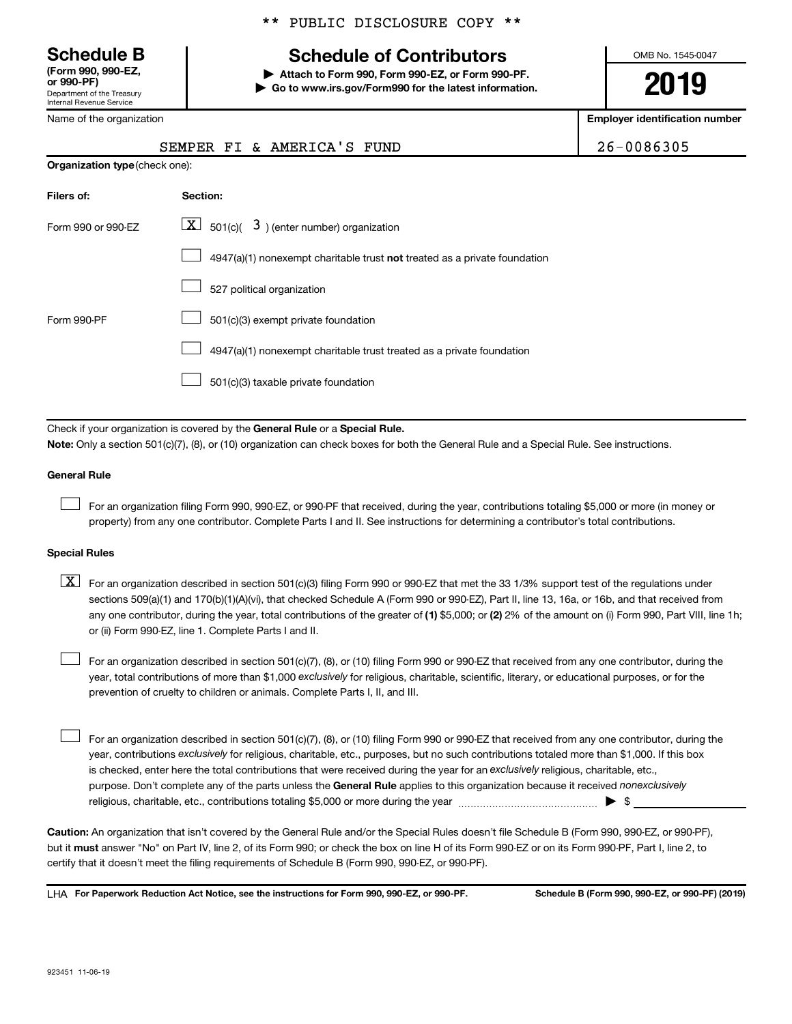Department of the Treasury Internal Revenue Service **(Form 990, 990-EZ,**

Name of the organization

# **Schedule B Schedule of Contributors**

**or 990-PF) | Attach to Form 990, Form 990-EZ, or Form 990-PF. | Go to www.irs.gov/Form990 for the latest information.** OMB No. 1545-0047

**2019**

**Employer identification number**

|                                | SEMPER FI & AMERICA'S FUND                                                                                                                                                                                                                                                                                                                                                                                                                                                                                | 26-0086305 |  |  |  |  |
|--------------------------------|-----------------------------------------------------------------------------------------------------------------------------------------------------------------------------------------------------------------------------------------------------------------------------------------------------------------------------------------------------------------------------------------------------------------------------------------------------------------------------------------------------------|------------|--|--|--|--|
| Organization type (check one): |                                                                                                                                                                                                                                                                                                                                                                                                                                                                                                           |            |  |  |  |  |
| Filers of:                     | Section:                                                                                                                                                                                                                                                                                                                                                                                                                                                                                                  |            |  |  |  |  |
| Form 990 or 990-EZ             | $\lfloor x \rfloor$ 501(c)( 3) (enter number) organization                                                                                                                                                                                                                                                                                                                                                                                                                                                |            |  |  |  |  |
|                                | 4947(a)(1) nonexempt charitable trust not treated as a private foundation                                                                                                                                                                                                                                                                                                                                                                                                                                 |            |  |  |  |  |
|                                | 527 political organization                                                                                                                                                                                                                                                                                                                                                                                                                                                                                |            |  |  |  |  |
| Form 990-PF                    | 501(c)(3) exempt private foundation                                                                                                                                                                                                                                                                                                                                                                                                                                                                       |            |  |  |  |  |
|                                | 4947(a)(1) nonexempt charitable trust treated as a private foundation                                                                                                                                                                                                                                                                                                                                                                                                                                     |            |  |  |  |  |
|                                | 501(c)(3) taxable private foundation                                                                                                                                                                                                                                                                                                                                                                                                                                                                      |            |  |  |  |  |
|                                |                                                                                                                                                                                                                                                                                                                                                                                                                                                                                                           |            |  |  |  |  |
|                                | Check if your organization is covered by the General Rule or a Special Rule.<br>Note: Only a section 501(c)(7), (8), or (10) organization can check boxes for both the General Rule and a Special Rule. See instructions.                                                                                                                                                                                                                                                                                 |            |  |  |  |  |
| <b>General Rule</b>            |                                                                                                                                                                                                                                                                                                                                                                                                                                                                                                           |            |  |  |  |  |
|                                | For an organization filing Form 990, 990-EZ, or 990-PF that received, during the year, contributions totaling \$5,000 or more (in money or<br>property) from any one contributor. Complete Parts I and II. See instructions for determining a contributor's total contributions.                                                                                                                                                                                                                          |            |  |  |  |  |
| <b>Special Rules</b>           |                                                                                                                                                                                                                                                                                                                                                                                                                                                                                                           |            |  |  |  |  |
| $\lfloor x \rfloor$            | For an organization described in section 501(c)(3) filing Form 990 or 990-EZ that met the 33 1/3% support test of the regulations under<br>sections 509(a)(1) and 170(b)(1)(A)(vi), that checked Schedule A (Form 990 or 990-EZ), Part II, line 13, 16a, or 16b, and that received from<br>any one contributor, during the year, total contributions of the greater of (1) \$5,000; or (2) 2% of the amount on (i) Form 990, Part VIII, line 1h;<br>or (ii) Form 990-EZ, line 1. Complete Parts I and II. |            |  |  |  |  |
|                                | For an organization described in section 501(c)(7), (8), or (10) filing Form 990 or 990-EZ that received from any one contributor, during the<br>year, total contributions of more than \$1,000 exclusively for religious, charitable, scientific, literary, or educational purposes, or for the<br>prevention of cruelty to children or animals. Complete Parts I, II, and III.                                                                                                                          |            |  |  |  |  |

purpose. Don't complete any of the parts unless the General Rule applies to this organization because it received nonexclusively year, contributions exclusively for religious, charitable, etc., purposes, but no such contributions totaled more than \$1,000. If this box is checked, enter here the total contributions that were received during the year for an exclusively religious, charitable, etc., For an organization described in section 501(c)(7), (8), or (10) filing Form 990 or 990-EZ that received from any one contributor, during the religious, charitable, etc., contributions totaling \$5,000 or more during the year  $\ldots$  $\ldots$  $\ldots$  $\ldots$  $\ldots$  $\ldots$  $\mathcal{L}^{\text{eff}}$ 

**Caution:**  An organization that isn't covered by the General Rule and/or the Special Rules doesn't file Schedule B (Form 990, 990-EZ, or 990-PF),  **must** but it answer "No" on Part IV, line 2, of its Form 990; or check the box on line H of its Form 990-EZ or on its Form 990-PF, Part I, line 2, to certify that it doesn't meet the filing requirements of Schedule B (Form 990, 990-EZ, or 990-PF).

LHA For Paperwork Reduction Act Notice, see the instructions for Form 990, 990-EZ, or 990-PF. Schedule B (Form 990, 990-EZ, or 990-PF) (2019)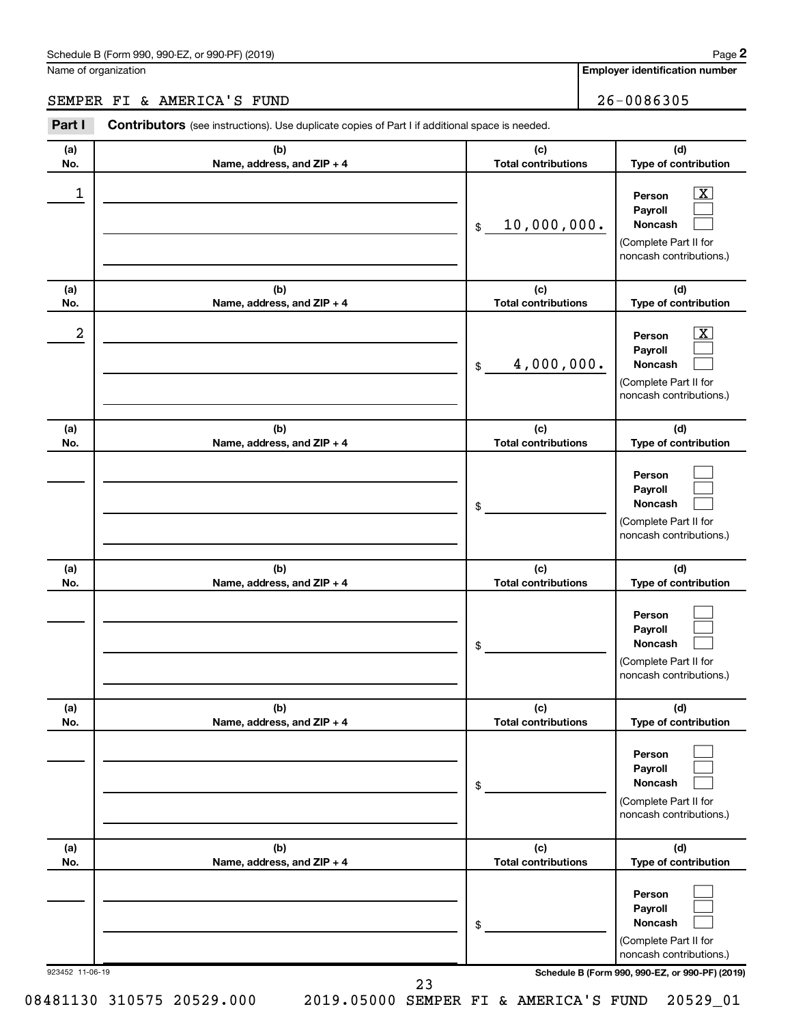### Schedule B (Form 990, 990-EZ, or 990-PF) (2019)

Name of organization

**Employer identification number**

# SEMPER FI & AMERICA'S FUND 26-0086305

| Part I          | <b>Contributors</b> (see instructions). Use duplicate copies of Part I if additional space is needed. |                                   |                                                                                                             |  |  |  |
|-----------------|-------------------------------------------------------------------------------------------------------|-----------------------------------|-------------------------------------------------------------------------------------------------------------|--|--|--|
| (a)<br>No.      | (b)<br>Name, address, and ZIP + 4                                                                     | (c)<br><b>Total contributions</b> | (d)<br>Type of contribution                                                                                 |  |  |  |
| 1               |                                                                                                       | 10,000,000.<br>\$                 | $\boxed{\mathbf{X}}$<br>Person<br>Payroll<br>Noncash<br>(Complete Part II for<br>noncash contributions.)    |  |  |  |
| (a)<br>No.      | (b)<br>Name, address, and ZIP + 4                                                                     | (c)<br><b>Total contributions</b> | (d)<br>Type of contribution                                                                                 |  |  |  |
| 2               |                                                                                                       | 4,000,000.<br>\$                  | $\overline{\mathbf{X}}$<br>Person<br>Payroll<br>Noncash<br>(Complete Part II for<br>noncash contributions.) |  |  |  |
| (a)<br>No.      | (b)<br>Name, address, and ZIP + 4                                                                     | (c)<br><b>Total contributions</b> | (d)<br>Type of contribution                                                                                 |  |  |  |
|                 |                                                                                                       | \$                                | Person<br>Payroll<br>Noncash<br>(Complete Part II for<br>noncash contributions.)                            |  |  |  |
| (a)<br>No.      | (b)<br>Name, address, and ZIP + 4                                                                     | (c)<br><b>Total contributions</b> | (d)<br>Type of contribution                                                                                 |  |  |  |
|                 |                                                                                                       | \$                                | Person<br>Payroll<br>Noncash<br>(Complete Part II for<br>noncash contributions.)                            |  |  |  |
| (a)<br>No.      | (b)<br>Name, address, and ZIP + 4                                                                     | (c)<br><b>Total contributions</b> | (d)<br>Type of contribution                                                                                 |  |  |  |
|                 |                                                                                                       | \$                                | Person<br>Payroll<br>Noncash<br>(Complete Part II for<br>noncash contributions.)                            |  |  |  |
| (a)<br>No.      | (b)<br>Name, address, and ZIP + 4                                                                     | (c)<br><b>Total contributions</b> | (d)<br>Type of contribution                                                                                 |  |  |  |
|                 |                                                                                                       | \$                                | Person<br>Payroll<br>Noncash<br>(Complete Part II for<br>noncash contributions.)                            |  |  |  |
| 923452 11-06-19 |                                                                                                       | 23                                | Schedule B (Form 990, 990-EZ, or 990-PF) (2019)                                                             |  |  |  |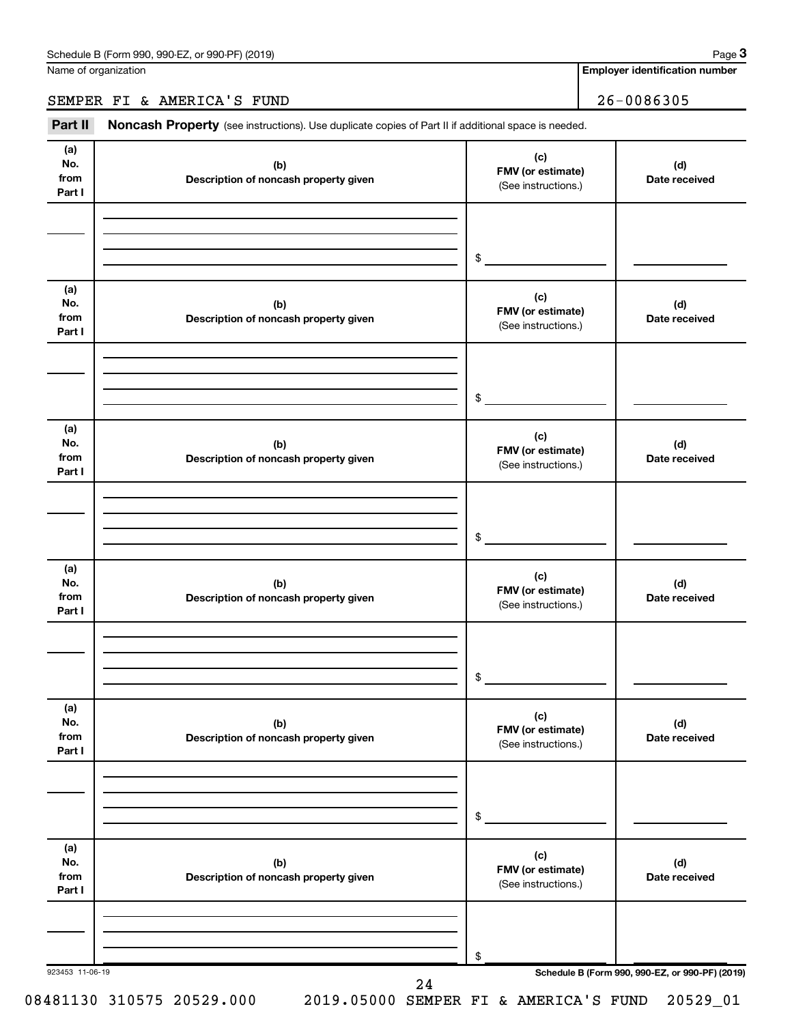Name of organization

**Employer identification number**

SEMPER FI & AMERICA'S FUND 26-0086305

Part II Noncash Property (see instructions). Use duplicate copies of Part II if additional space is needed.

| No.<br>from<br>Part I        | (b)<br>Description of noncash property given | (c)<br>FMV (or estimate)<br>(See instructions.) | (d)<br>Date received |
|------------------------------|----------------------------------------------|-------------------------------------------------|----------------------|
|                              |                                              |                                                 |                      |
| (a)<br>No.<br>from<br>Part I | (b)<br>Description of noncash property given | (c)<br>FMV (or estimate)<br>(See instructions.) | (d)<br>Date received |
|                              |                                              | $\sim$                                          |                      |
| (a)<br>No.<br>from<br>Part I | (b)<br>Description of noncash property given | (c)<br>FMV (or estimate)<br>(See instructions.) | (d)<br>Date received |
|                              |                                              | $\sim$                                          |                      |
| (a)<br>No.<br>from<br>Part I | (b)<br>Description of noncash property given | (c)<br>FMV (or estimate)<br>(See instructions.) | (d)<br>Date received |
|                              |                                              | $$\sim$$                                        |                      |
| (a)<br>No.<br>from<br>Part I | (b)<br>Description of noncash property given | (c)<br>FMV (or estimate)<br>(See instructions.) | (d)<br>Date received |
|                              |                                              | \$                                              |                      |
| (a)<br>No.<br>from<br>Part I | (b)<br>Description of noncash property given | (c)<br>FMV (or estimate)<br>(See instructions.) | (d)<br>Date received |
|                              |                                              | \$                                              |                      |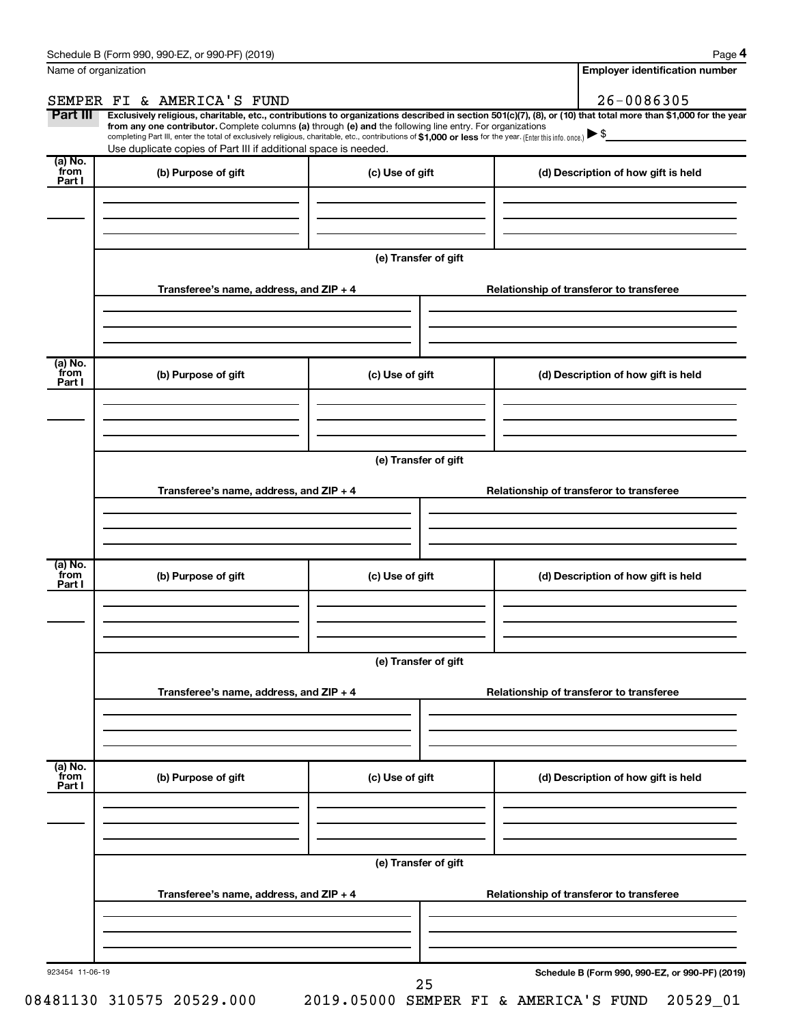| 26-0086305<br>SEMPER FI & AMERICA'S FUND<br>Part III<br>Exclusively religious, charitable, etc., contributions to organizations described in section 501(c)(7), (8), or (10) that total more than \$1,000 for the year<br>from any one contributor. Complete columns (a) through (e) and the following line entry. For organizations<br>completing Part III, enter the total of exclusively religious, charitable, etc., contributions of \$1,000 or less for the year. (Enter this info. once.) $\blacktriangleright$ \$<br>Use duplicate copies of Part III if additional space is needed.<br>(a) No.<br>from<br>(b) Purpose of gift<br>(c) Use of gift<br>(d) Description of how gift is held<br>Part I<br>(e) Transfer of gift<br>Transferee's name, address, and ZIP + 4<br>Relationship of transferor to transferee<br>(a) No.<br>from<br>(b) Purpose of gift<br>(c) Use of gift<br>(d) Description of how gift is held<br>Part I<br>(e) Transfer of gift<br>Transferee's name, address, and ZIP + 4<br>Relationship of transferor to transferee<br>(a) No.<br>from<br>(b) Purpose of gift<br>(c) Use of gift<br>(d) Description of how gift is held<br>Part I<br>(e) Transfer of gift<br>Transferee's name, address, and ZIP + 4<br>Relationship of transferor to transferee<br>(a) No.<br>from<br>(b) Purpose of gift<br>(c) Use of gift<br>(d) Description of how gift is held<br>Part I<br>(e) Transfer of gift<br>Transferee's name, address, and ZIP + 4<br>Relationship of transferor to transferee | Name of organization |  | <b>Employer identification number</b> |
|------------------------------------------------------------------------------------------------------------------------------------------------------------------------------------------------------------------------------------------------------------------------------------------------------------------------------------------------------------------------------------------------------------------------------------------------------------------------------------------------------------------------------------------------------------------------------------------------------------------------------------------------------------------------------------------------------------------------------------------------------------------------------------------------------------------------------------------------------------------------------------------------------------------------------------------------------------------------------------------------------------------------------------------------------------------------------------------------------------------------------------------------------------------------------------------------------------------------------------------------------------------------------------------------------------------------------------------------------------------------------------------------------------------------------------------------------------------------------------------------------------------|----------------------|--|---------------------------------------|
|                                                                                                                                                                                                                                                                                                                                                                                                                                                                                                                                                                                                                                                                                                                                                                                                                                                                                                                                                                                                                                                                                                                                                                                                                                                                                                                                                                                                                                                                                                                  |                      |  |                                       |
|                                                                                                                                                                                                                                                                                                                                                                                                                                                                                                                                                                                                                                                                                                                                                                                                                                                                                                                                                                                                                                                                                                                                                                                                                                                                                                                                                                                                                                                                                                                  |                      |  |                                       |
|                                                                                                                                                                                                                                                                                                                                                                                                                                                                                                                                                                                                                                                                                                                                                                                                                                                                                                                                                                                                                                                                                                                                                                                                                                                                                                                                                                                                                                                                                                                  |                      |  |                                       |
|                                                                                                                                                                                                                                                                                                                                                                                                                                                                                                                                                                                                                                                                                                                                                                                                                                                                                                                                                                                                                                                                                                                                                                                                                                                                                                                                                                                                                                                                                                                  |                      |  |                                       |
|                                                                                                                                                                                                                                                                                                                                                                                                                                                                                                                                                                                                                                                                                                                                                                                                                                                                                                                                                                                                                                                                                                                                                                                                                                                                                                                                                                                                                                                                                                                  |                      |  |                                       |
|                                                                                                                                                                                                                                                                                                                                                                                                                                                                                                                                                                                                                                                                                                                                                                                                                                                                                                                                                                                                                                                                                                                                                                                                                                                                                                                                                                                                                                                                                                                  |                      |  |                                       |
|                                                                                                                                                                                                                                                                                                                                                                                                                                                                                                                                                                                                                                                                                                                                                                                                                                                                                                                                                                                                                                                                                                                                                                                                                                                                                                                                                                                                                                                                                                                  |                      |  |                                       |
|                                                                                                                                                                                                                                                                                                                                                                                                                                                                                                                                                                                                                                                                                                                                                                                                                                                                                                                                                                                                                                                                                                                                                                                                                                                                                                                                                                                                                                                                                                                  |                      |  |                                       |
|                                                                                                                                                                                                                                                                                                                                                                                                                                                                                                                                                                                                                                                                                                                                                                                                                                                                                                                                                                                                                                                                                                                                                                                                                                                                                                                                                                                                                                                                                                                  |                      |  |                                       |
|                                                                                                                                                                                                                                                                                                                                                                                                                                                                                                                                                                                                                                                                                                                                                                                                                                                                                                                                                                                                                                                                                                                                                                                                                                                                                                                                                                                                                                                                                                                  |                      |  |                                       |
|                                                                                                                                                                                                                                                                                                                                                                                                                                                                                                                                                                                                                                                                                                                                                                                                                                                                                                                                                                                                                                                                                                                                                                                                                                                                                                                                                                                                                                                                                                                  |                      |  |                                       |
|                                                                                                                                                                                                                                                                                                                                                                                                                                                                                                                                                                                                                                                                                                                                                                                                                                                                                                                                                                                                                                                                                                                                                                                                                                                                                                                                                                                                                                                                                                                  |                      |  |                                       |
|                                                                                                                                                                                                                                                                                                                                                                                                                                                                                                                                                                                                                                                                                                                                                                                                                                                                                                                                                                                                                                                                                                                                                                                                                                                                                                                                                                                                                                                                                                                  |                      |  |                                       |
|                                                                                                                                                                                                                                                                                                                                                                                                                                                                                                                                                                                                                                                                                                                                                                                                                                                                                                                                                                                                                                                                                                                                                                                                                                                                                                                                                                                                                                                                                                                  |                      |  |                                       |
|                                                                                                                                                                                                                                                                                                                                                                                                                                                                                                                                                                                                                                                                                                                                                                                                                                                                                                                                                                                                                                                                                                                                                                                                                                                                                                                                                                                                                                                                                                                  |                      |  |                                       |
|                                                                                                                                                                                                                                                                                                                                                                                                                                                                                                                                                                                                                                                                                                                                                                                                                                                                                                                                                                                                                                                                                                                                                                                                                                                                                                                                                                                                                                                                                                                  |                      |  |                                       |
|                                                                                                                                                                                                                                                                                                                                                                                                                                                                                                                                                                                                                                                                                                                                                                                                                                                                                                                                                                                                                                                                                                                                                                                                                                                                                                                                                                                                                                                                                                                  |                      |  |                                       |
|                                                                                                                                                                                                                                                                                                                                                                                                                                                                                                                                                                                                                                                                                                                                                                                                                                                                                                                                                                                                                                                                                                                                                                                                                                                                                                                                                                                                                                                                                                                  |                      |  |                                       |
|                                                                                                                                                                                                                                                                                                                                                                                                                                                                                                                                                                                                                                                                                                                                                                                                                                                                                                                                                                                                                                                                                                                                                                                                                                                                                                                                                                                                                                                                                                                  |                      |  |                                       |
|                                                                                                                                                                                                                                                                                                                                                                                                                                                                                                                                                                                                                                                                                                                                                                                                                                                                                                                                                                                                                                                                                                                                                                                                                                                                                                                                                                                                                                                                                                                  |                      |  |                                       |
|                                                                                                                                                                                                                                                                                                                                                                                                                                                                                                                                                                                                                                                                                                                                                                                                                                                                                                                                                                                                                                                                                                                                                                                                                                                                                                                                                                                                                                                                                                                  |                      |  |                                       |
| 923454 11-06-19<br>Schedule B (Form 990, 990-EZ, or 990-PF) (2019)<br>25                                                                                                                                                                                                                                                                                                                                                                                                                                                                                                                                                                                                                                                                                                                                                                                                                                                                                                                                                                                                                                                                                                                                                                                                                                                                                                                                                                                                                                         |                      |  |                                       |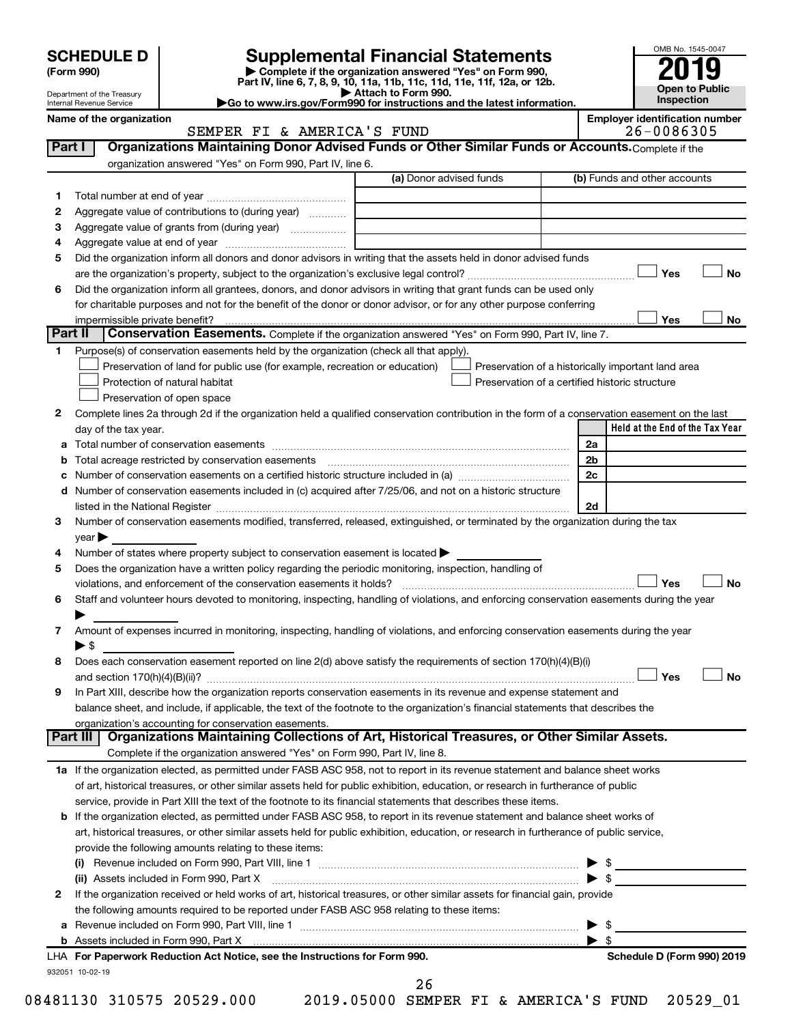| (Form 990) |  |
|------------|--|
|------------|--|

# SCHEDULE D<br>(Form 990) **Supplemental Financial Statements**<br>(Form 990) **2019**

**(Form 990) | Complete if the organization answered "Yes" on Form 990, Part IV, line 6, 7, 8, 9, 10, 11a, 11b, 11c, 11d, 11e, 11f, 12a, or 12b.**

**| Attach to Form 990. |Go to www.irs.gov/Form990 for instructions and the latest information.**



| Name of the organization   |  |
|----------------------------|--|
| Internal Revenue Service   |  |
| Department of the Treasury |  |

**Name of the organization Employer identification number** SEMPER FI & AMERICA'S FUND

|                | Organizations Maintaining Donor Advised Funds or Other Similar Funds or Accounts. Complete if the<br>Part I                                                                                                                    |                                                |                |                                                    |
|----------------|--------------------------------------------------------------------------------------------------------------------------------------------------------------------------------------------------------------------------------|------------------------------------------------|----------------|----------------------------------------------------|
|                | organization answered "Yes" on Form 990, Part IV, line 6.                                                                                                                                                                      |                                                |                |                                                    |
|                |                                                                                                                                                                                                                                | (a) Donor advised funds                        |                | (b) Funds and other accounts                       |
| 1.             |                                                                                                                                                                                                                                |                                                |                |                                                    |
| 2              | Aggregate value of contributions to (during year)                                                                                                                                                                              |                                                |                |                                                    |
| З              | Aggregate value of grants from (during year)                                                                                                                                                                                   |                                                |                |                                                    |
| 4              |                                                                                                                                                                                                                                |                                                |                |                                                    |
| 5              | Did the organization inform all donors and donor advisors in writing that the assets held in donor advised funds                                                                                                               |                                                |                |                                                    |
|                |                                                                                                                                                                                                                                |                                                |                | Yes<br>No                                          |
| 6              | Did the organization inform all grantees, donors, and donor advisors in writing that grant funds can be used only                                                                                                              |                                                |                |                                                    |
|                | for charitable purposes and not for the benefit of the donor or donor advisor, or for any other purpose conferring                                                                                                             |                                                |                |                                                    |
|                | impermissible private benefit?<br>Part II<br><b>Conservation Easements.</b> Complete if the organization answered "Yes" on Form 990, Part IV, line 7.                                                                          |                                                |                | Yes<br>No                                          |
| 1.             | Purpose(s) of conservation easements held by the organization (check all that apply).                                                                                                                                          |                                                |                |                                                    |
|                | Preservation of land for public use (for example, recreation or education)                                                                                                                                                     |                                                |                | Preservation of a historically important land area |
|                | Protection of natural habitat                                                                                                                                                                                                  | Preservation of a certified historic structure |                |                                                    |
|                | Preservation of open space                                                                                                                                                                                                     |                                                |                |                                                    |
| 2              | Complete lines 2a through 2d if the organization held a qualified conservation contribution in the form of a conservation easement on the last                                                                                 |                                                |                |                                                    |
|                | day of the tax year.                                                                                                                                                                                                           |                                                |                | Held at the End of the Tax Year                    |
| а              |                                                                                                                                                                                                                                |                                                | 2a             |                                                    |
| b              | Total acreage restricted by conservation easements                                                                                                                                                                             |                                                | 2 <sub>b</sub> |                                                    |
| с              | Number of conservation easements on a certified historic structure included in (a) manufacture included in (a)                                                                                                                 |                                                | 2c             |                                                    |
| d              | Number of conservation easements included in (c) acquired after 7/25/06, and not on a historic structure                                                                                                                       |                                                |                |                                                    |
|                | listed in the National Register [111] [12] The Mational Register [12] The Mathematic Material Register [12] The Mational Register [12] The Mation Material Register [12] The Material Register [12] The Material Register [12] |                                                | 2d             |                                                    |
| 3              | Number of conservation easements modified, transferred, released, extinguished, or terminated by the organization during the tax                                                                                               |                                                |                |                                                    |
|                | year                                                                                                                                                                                                                           |                                                |                |                                                    |
| 4              | Number of states where property subject to conservation easement is located >                                                                                                                                                  |                                                |                |                                                    |
| 5              | Does the organization have a written policy regarding the periodic monitoring, inspection, handling of                                                                                                                         |                                                |                |                                                    |
|                |                                                                                                                                                                                                                                |                                                |                | Yes<br>No                                          |
| 6              | Staff and volunteer hours devoted to monitoring, inspecting, handling of violations, and enforcing conservation easements during the year                                                                                      |                                                |                |                                                    |
|                |                                                                                                                                                                                                                                |                                                |                |                                                    |
| $\overline{7}$ | Amount of expenses incurred in monitoring, inspecting, handling of violations, and enforcing conservation easements during the year                                                                                            |                                                |                |                                                    |
|                | $\blacktriangleright$ \$                                                                                                                                                                                                       |                                                |                |                                                    |
| 8              | Does each conservation easement reported on line 2(d) above satisfy the requirements of section 170(h)(4)(B)(i)                                                                                                                |                                                |                |                                                    |
|                |                                                                                                                                                                                                                                |                                                |                | Yes<br><b>No</b>                                   |
| 9              | In Part XIII, describe how the organization reports conservation easements in its revenue and expense statement and                                                                                                            |                                                |                |                                                    |
|                | balance sheet, and include, if applicable, the text of the footnote to the organization's financial statements that describes the                                                                                              |                                                |                |                                                    |
|                | organization's accounting for conservation easements.                                                                                                                                                                          |                                                |                |                                                    |
|                | Organizations Maintaining Collections of Art, Historical Treasures, or Other Similar Assets.<br>Part III I                                                                                                                     |                                                |                |                                                    |
|                | Complete if the organization answered "Yes" on Form 990, Part IV, line 8.                                                                                                                                                      |                                                |                |                                                    |
|                | 1a If the organization elected, as permitted under FASB ASC 958, not to report in its revenue statement and balance sheet works                                                                                                |                                                |                |                                                    |
|                | of art, historical treasures, or other similar assets held for public exhibition, education, or research in furtherance of public                                                                                              |                                                |                |                                                    |
|                | service, provide in Part XIII the text of the footnote to its financial statements that describes these items.                                                                                                                 |                                                |                |                                                    |
|                | <b>b</b> If the organization elected, as permitted under FASB ASC 958, to report in its revenue statement and balance sheet works of                                                                                           |                                                |                |                                                    |
|                | art, historical treasures, or other similar assets held for public exhibition, education, or research in furtherance of public service,                                                                                        |                                                |                |                                                    |
|                | provide the following amounts relating to these items:                                                                                                                                                                         |                                                |                |                                                    |
|                |                                                                                                                                                                                                                                |                                                |                |                                                    |
|                |                                                                                                                                                                                                                                |                                                |                |                                                    |
| 2              | If the organization received or held works of art, historical treasures, or other similar assets for financial gain, provide                                                                                                   |                                                |                |                                                    |
|                | the following amounts required to be reported under FASB ASC 958 relating to these items:                                                                                                                                      |                                                |                |                                                    |
|                |                                                                                                                                                                                                                                |                                                |                |                                                    |
|                | b Assets included in Form 990, Part X [111] [12] Assets included in Form 990, Part X [12] Assets included in Form 990, Part X [12] [12] Assets included in Form 990, Part X [12] [12] Assets included in Form 1990, Part X [12 |                                                | S              |                                                    |
|                | LHA For Paperwork Reduction Act Notice, see the Instructions for Form 990.                                                                                                                                                     |                                                |                | Schedule D (Form 990) 2019                         |
|                | 932051 10-02-19                                                                                                                                                                                                                |                                                |                |                                                    |
|                |                                                                                                                                                                                                                                | 26                                             |                |                                                    |
|                | 08481130 310575 20529.000                                                                                                                                                                                                      | 2019.05000 SEMPER FI & AMERICA'S FUND          |                | 20529_01                                           |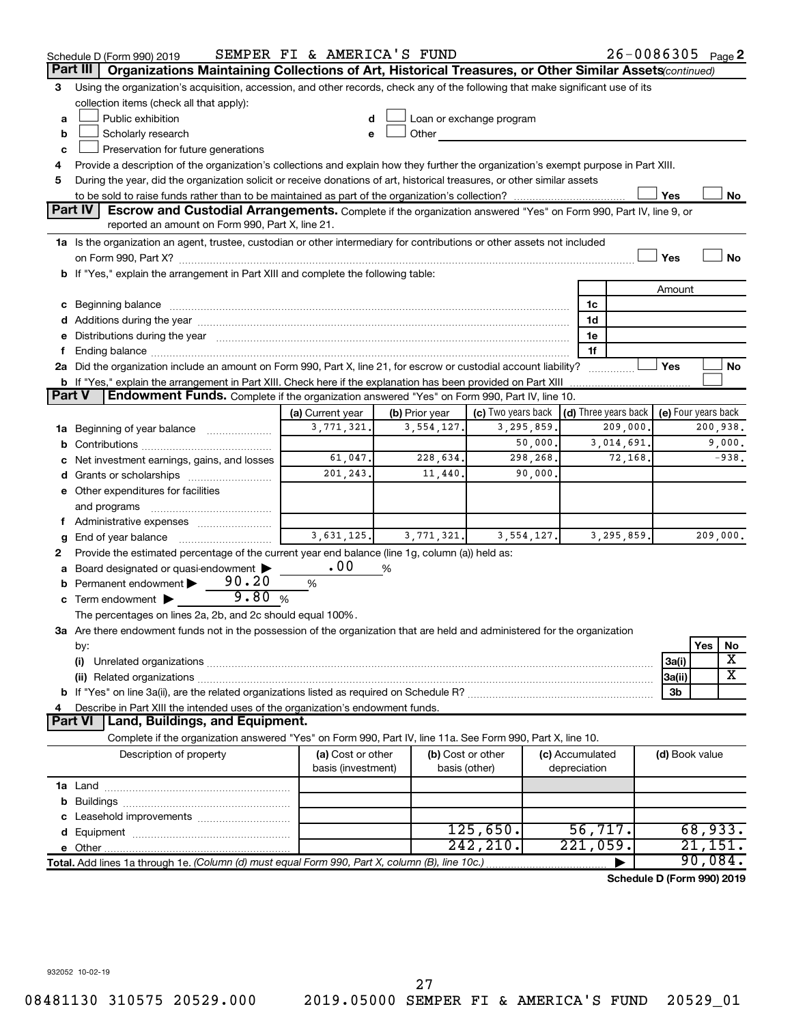|        | 26-0086305 Page 2<br>SEMPER FI & AMERICA'S FUND<br>Schedule D (Form 990) 2019                                                                                                                                                  |                    |                |                                                         |              |                      |            |                     |                    |          |
|--------|--------------------------------------------------------------------------------------------------------------------------------------------------------------------------------------------------------------------------------|--------------------|----------------|---------------------------------------------------------|--------------|----------------------|------------|---------------------|--------------------|----------|
|        | Organizations Maintaining Collections of Art, Historical Treasures, or Other Similar Assets (continued)<br>Part III                                                                                                            |                    |                |                                                         |              |                      |            |                     |                    |          |
| 3      | Using the organization's acquisition, accession, and other records, check any of the following that make significant use of its                                                                                                |                    |                |                                                         |              |                      |            |                     |                    |          |
|        | collection items (check all that apply):                                                                                                                                                                                       |                    |                |                                                         |              |                      |            |                     |                    |          |
| a      | Public exhibition                                                                                                                                                                                                              |                    |                | Loan or exchange program                                |              |                      |            |                     |                    |          |
| b      | Scholarly research                                                                                                                                                                                                             | e                  | Other          |                                                         |              |                      |            |                     |                    |          |
| с      | Preservation for future generations                                                                                                                                                                                            |                    |                |                                                         |              |                      |            |                     |                    |          |
| 4      | Provide a description of the organization's collections and explain how they further the organization's exempt purpose in Part XIII.                                                                                           |                    |                |                                                         |              |                      |            |                     |                    |          |
| 5      | During the year, did the organization solicit or receive donations of art, historical treasures, or other similar assets                                                                                                       |                    |                |                                                         |              |                      |            |                     |                    |          |
|        |                                                                                                                                                                                                                                |                    |                |                                                         |              |                      |            | Yes                 |                    | No       |
|        | <b>Part IV</b><br>Escrow and Custodial Arrangements. Complete if the organization answered "Yes" on Form 990, Part IV, line 9, or                                                                                              |                    |                |                                                         |              |                      |            |                     |                    |          |
|        | reported an amount on Form 990, Part X, line 21.                                                                                                                                                                               |                    |                |                                                         |              |                      |            |                     |                    |          |
|        | 1a Is the organization an agent, trustee, custodian or other intermediary for contributions or other assets not included                                                                                                       |                    |                |                                                         |              |                      |            |                     |                    |          |
|        |                                                                                                                                                                                                                                |                    |                |                                                         |              |                      |            | Yes                 |                    | No       |
|        | b If "Yes," explain the arrangement in Part XIII and complete the following table:                                                                                                                                             |                    |                |                                                         |              |                      |            |                     |                    |          |
|        |                                                                                                                                                                                                                                |                    |                |                                                         |              |                      |            | Amount              |                    |          |
|        | c Beginning balance measurements and the contract of the contract of the contract of the contract of the contract of the contract of the contract of the contract of the contract of the contract of the contract of the contr |                    |                |                                                         |              | 1c                   |            |                     |                    |          |
|        |                                                                                                                                                                                                                                |                    |                |                                                         |              | 1d                   |            |                     |                    |          |
|        | e Distributions during the year manufactured and continuum and contained and the year manufactured and contained and the year manufactured and contained and contained and contained and contained and contained and contained |                    |                |                                                         |              | 1e<br>1f             |            |                     |                    |          |
| f      | 2a Did the organization include an amount on Form 990, Part X, line 21, for escrow or custodial account liability?                                                                                                             |                    |                |                                                         |              |                      |            | Yes                 |                    | No       |
|        | <b>b</b> If "Yes," explain the arrangement in Part XIII. Check here if the explanation has been provided on Part XIII                                                                                                          |                    |                |                                                         |              |                      | .          |                     |                    |          |
| Part V | Endowment Funds. Complete if the organization answered "Yes" on Form 990, Part IV, line 10.                                                                                                                                    |                    |                |                                                         |              |                      |            |                     |                    |          |
|        |                                                                                                                                                                                                                                | (a) Current year   | (b) Prior year | (c) Two years back $\vert$ (d) Three years back $\vert$ |              |                      |            | (e) Four years back |                    |          |
|        | 1a Beginning of year balance                                                                                                                                                                                                   | 3,771,321.         | 3,554,127.     |                                                         | 3, 295, 859. |                      | 209,000.   |                     |                    | 200,938. |
|        |                                                                                                                                                                                                                                |                    |                |                                                         | 50,000.      |                      | 3,014,691. |                     |                    | 9,000.   |
|        | c Net investment earnings, gains, and losses                                                                                                                                                                                   | 61,047.            | 228,634.       |                                                         | 298, 268.    |                      | 72,168.    |                     |                    | $-938.$  |
|        | d Grants or scholarships                                                                                                                                                                                                       | 201,243.           | 11,440.        |                                                         | 90,000.      |                      |            |                     |                    |          |
|        | e Other expenditures for facilities                                                                                                                                                                                            |                    |                |                                                         |              |                      |            |                     |                    |          |
|        | and programs                                                                                                                                                                                                                   |                    |                |                                                         |              |                      |            |                     |                    |          |
|        | f Administrative expenses                                                                                                                                                                                                      |                    |                |                                                         |              |                      |            |                     |                    |          |
| g      |                                                                                                                                                                                                                                | 3,631,125.         | 3,771,321.     |                                                         | 3,554,127.   |                      | 3,295,859. |                     |                    | 209,000. |
| 2      | Provide the estimated percentage of the current year end balance (line 1g, column (a)) held as:                                                                                                                                |                    |                |                                                         |              |                      |            |                     |                    |          |
|        | a Board designated or quasi-endowment >                                                                                                                                                                                        | .00                | %              |                                                         |              |                      |            |                     |                    |          |
|        | 90.20<br><b>b</b> Permanent endowment $\blacktriangleright$                                                                                                                                                                    | %                  |                |                                                         |              |                      |            |                     |                    |          |
|        | 9.80%<br>c Term endowment $\blacktriangleright$                                                                                                                                                                                |                    |                |                                                         |              |                      |            |                     |                    |          |
|        | The percentages on lines 2a, 2b, and 2c should equal 100%.                                                                                                                                                                     |                    |                |                                                         |              |                      |            |                     |                    |          |
|        | 3a Are there endowment funds not in the possession of the organization that are held and administered for the organization                                                                                                     |                    |                |                                                         |              |                      |            |                     |                    |          |
|        | by:                                                                                                                                                                                                                            |                    |                |                                                         |              |                      |            |                     | Yes                | No       |
|        | (i)                                                                                                                                                                                                                            |                    |                |                                                         |              |                      |            | 3a(i)               |                    | х        |
|        |                                                                                                                                                                                                                                |                    |                |                                                         |              |                      |            | 3a(ii)              |                    | х        |
|        |                                                                                                                                                                                                                                |                    |                |                                                         |              |                      |            | 3b                  |                    |          |
| 4      | Describe in Part XIII the intended uses of the organization's endowment funds.                                                                                                                                                 |                    |                |                                                         |              |                      |            |                     |                    |          |
|        | Land, Buildings, and Equipment.<br><b>Part VI</b>                                                                                                                                                                              |                    |                |                                                         |              |                      |            |                     |                    |          |
|        | Complete if the organization answered "Yes" on Form 990, Part IV, line 11a. See Form 990, Part X, line 10.                                                                                                                     |                    |                |                                                         |              |                      |            |                     |                    |          |
|        | Description of property                                                                                                                                                                                                        | (a) Cost or other  |                | (b) Cost or other                                       |              | (c) Accumulated      |            | (d) Book value      |                    |          |
|        |                                                                                                                                                                                                                                | basis (investment) |                | basis (other)                                           |              | depreciation         |            |                     |                    |          |
|        |                                                                                                                                                                                                                                |                    |                |                                                         |              |                      |            |                     |                    |          |
|        |                                                                                                                                                                                                                                |                    |                |                                                         |              |                      |            |                     |                    |          |
|        |                                                                                                                                                                                                                                |                    |                |                                                         |              |                      |            |                     |                    |          |
|        |                                                                                                                                                                                                                                |                    |                | 125,650.<br>242, 210.                                   |              | 56, 717.<br>221,059. |            |                     | 68,933.<br>21,151. |          |
|        |                                                                                                                                                                                                                                |                    |                |                                                         |              |                      |            |                     |                    |          |
|        | $90,084$ .<br>Total. Add lines 1a through 1e. (Column (d) must equal Form 990, Part X, column (B), line 10c.)<br>Schedule D (Form 990) 2019                                                                                    |                    |                |                                                         |              |                      |            |                     |                    |          |
|        |                                                                                                                                                                                                                                |                    |                |                                                         |              |                      |            |                     |                    |          |

932052 10-02-19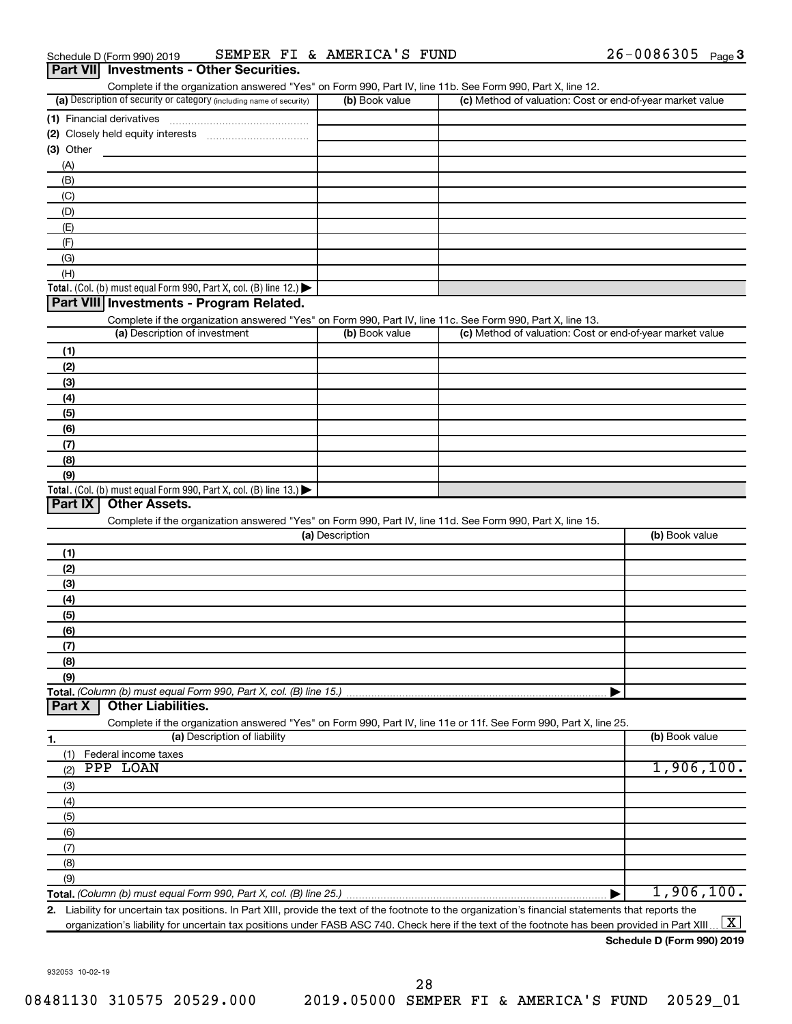| Part VII Investments - Other Securities.                                                                   |                 |                                                                                                                                                      |
|------------------------------------------------------------------------------------------------------------|-----------------|------------------------------------------------------------------------------------------------------------------------------------------------------|
| Complete if the organization answered "Yes" on Form 990, Part IV, line 11b. See Form 990, Part X, line 12. |                 |                                                                                                                                                      |
| (a) Description of security or category (including name of security)                                       | (b) Book value  | (c) Method of valuation: Cost or end-of-year market value                                                                                            |
| (1) Financial derivatives                                                                                  |                 |                                                                                                                                                      |
|                                                                                                            |                 |                                                                                                                                                      |
| $(3)$ Other                                                                                                |                 |                                                                                                                                                      |
| (A)<br>(B)                                                                                                 |                 |                                                                                                                                                      |
| (C)                                                                                                        |                 |                                                                                                                                                      |
| (D)                                                                                                        |                 |                                                                                                                                                      |
| (E)                                                                                                        |                 |                                                                                                                                                      |
| (F)                                                                                                        |                 |                                                                                                                                                      |
| (G)                                                                                                        |                 |                                                                                                                                                      |
| (H)                                                                                                        |                 |                                                                                                                                                      |
| Total. (Col. (b) must equal Form 990, Part X, col. (B) line 12.) $\blacktriangleright$                     |                 |                                                                                                                                                      |
| Part VIII Investments - Program Related.                                                                   |                 |                                                                                                                                                      |
| Complete if the organization answered "Yes" on Form 990, Part IV, line 11c. See Form 990, Part X, line 13. |                 |                                                                                                                                                      |
| (a) Description of investment                                                                              | (b) Book value  | (c) Method of valuation: Cost or end-of-year market value                                                                                            |
| (1)                                                                                                        |                 |                                                                                                                                                      |
| (2)                                                                                                        |                 |                                                                                                                                                      |
| (3)                                                                                                        |                 |                                                                                                                                                      |
| (4)                                                                                                        |                 |                                                                                                                                                      |
| (5)                                                                                                        |                 |                                                                                                                                                      |
| (6)                                                                                                        |                 |                                                                                                                                                      |
| (7)                                                                                                        |                 |                                                                                                                                                      |
| (8)                                                                                                        |                 |                                                                                                                                                      |
| (9)<br>Total. (Col. (b) must equal Form 990, Part X, col. (B) line $13.$ )                                 |                 |                                                                                                                                                      |
| Part IX<br><b>Other Assets.</b>                                                                            |                 |                                                                                                                                                      |
| Complete if the organization answered "Yes" on Form 990, Part IV, line 11d. See Form 990, Part X, line 15. |                 |                                                                                                                                                      |
|                                                                                                            | (a) Description | (b) Book value                                                                                                                                       |
| (1)                                                                                                        |                 |                                                                                                                                                      |
| (2)                                                                                                        |                 |                                                                                                                                                      |
| (3)                                                                                                        |                 |                                                                                                                                                      |
| (4)                                                                                                        |                 |                                                                                                                                                      |
| (5)                                                                                                        |                 |                                                                                                                                                      |
| (6)                                                                                                        |                 |                                                                                                                                                      |
| (7)                                                                                                        |                 |                                                                                                                                                      |
| (8)                                                                                                        |                 |                                                                                                                                                      |
| (9)                                                                                                        |                 |                                                                                                                                                      |
| Part X<br><b>Other Liabilities.</b>                                                                        |                 |                                                                                                                                                      |
|                                                                                                            |                 | Complete if the organization answered "Yes" on Form 990, Part IV, line 11e or 11f. See Form 990, Part X, line 25.                                    |
| (a) Description of liability                                                                               |                 | (b) Book value                                                                                                                                       |
| 1.<br>Federal income taxes<br>(1)                                                                          |                 |                                                                                                                                                      |
| PPP LOAN<br>(2)                                                                                            |                 | 1,906,100.                                                                                                                                           |
| (3)                                                                                                        |                 |                                                                                                                                                      |
| (4)                                                                                                        |                 |                                                                                                                                                      |
| (5)                                                                                                        |                 |                                                                                                                                                      |
| (6)                                                                                                        |                 |                                                                                                                                                      |
| (7)                                                                                                        |                 |                                                                                                                                                      |
| (8)                                                                                                        |                 |                                                                                                                                                      |
| (9)                                                                                                        |                 |                                                                                                                                                      |
|                                                                                                            |                 | 1,906,100.                                                                                                                                           |
|                                                                                                            |                 | 2. Liability for uncertain tax positions. In Part XIII, provide the text of the footnote to the organization's financial statements that reports the |

III, provide the text of the footnote to the organization's financial statements that reports the  $\,$ organization's liability for uncertain tax positions under FASB ASC 740. Check here if the text of the footnote has been provided in Part XIII…  $\boxed{\mathrm{X}}$ 

### **Schedule D (Form 990) 2019**

932053 10-02-19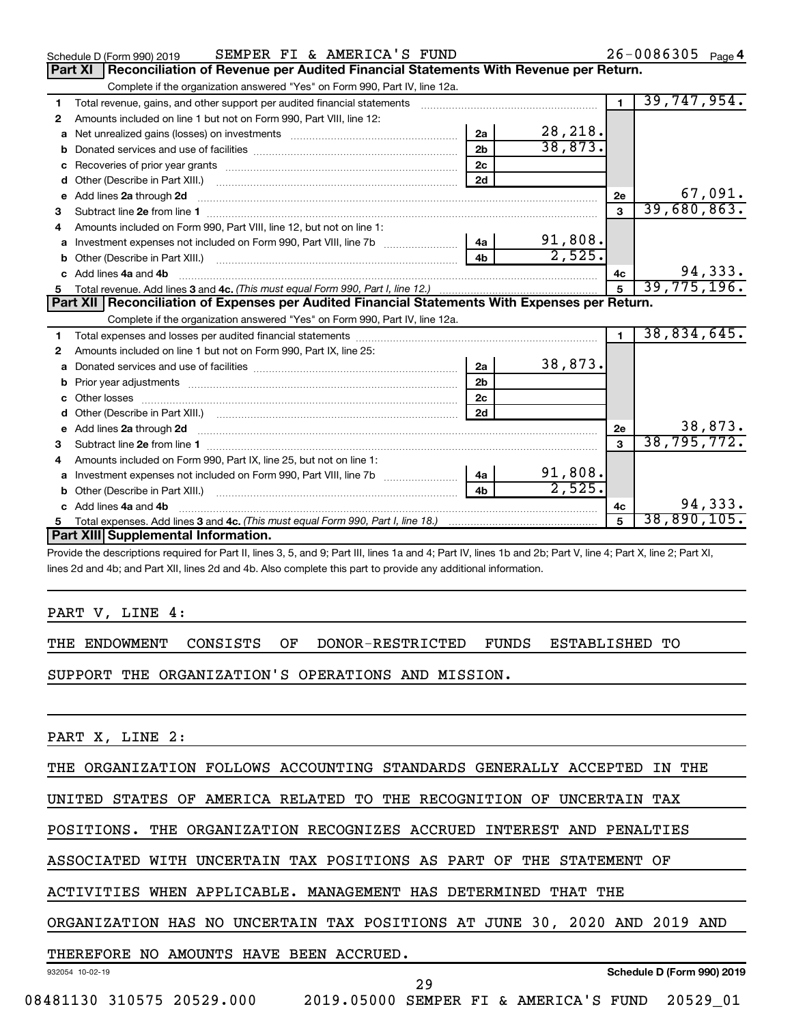|    | SEMPER FI & AMERICA'S FUND<br>Schedule D (Form 990) 2019                                                                                                                                                                       |                |             |                | $26 - 0086305$ Page 4 |
|----|--------------------------------------------------------------------------------------------------------------------------------------------------------------------------------------------------------------------------------|----------------|-------------|----------------|-----------------------|
|    | Reconciliation of Revenue per Audited Financial Statements With Revenue per Return.<br>Part XI                                                                                                                                 |                |             |                |                       |
|    | Complete if the organization answered "Yes" on Form 990, Part IV, line 12a.                                                                                                                                                    |                |             |                |                       |
| 1  | Total revenue, gains, and other support per audited financial statements                                                                                                                                                       |                |             | $\blacksquare$ | 39,747,954.           |
| 2  | Amounts included on line 1 but not on Form 990, Part VIII, line 12:                                                                                                                                                            |                |             |                |                       |
| a  |                                                                                                                                                                                                                                | 2a             | 28, 218.    |                |                       |
|    |                                                                                                                                                                                                                                | 2 <sub>b</sub> | 38,873.     |                |                       |
| c  |                                                                                                                                                                                                                                | 2c             |             |                |                       |
| d  |                                                                                                                                                                                                                                | 2d             |             |                |                       |
| е  | Add lines 2a through 2d                                                                                                                                                                                                        |                |             | 2е             | 67,091.               |
| 3  |                                                                                                                                                                                                                                |                |             | 3              | 39,680,863.           |
| 4  | Amounts included on Form 990, Part VIII, line 12, but not on line 1:                                                                                                                                                           |                |             |                |                       |
|    |                                                                                                                                                                                                                                |                | 91,808.     |                |                       |
|    |                                                                                                                                                                                                                                | 4 <sub>b</sub> | 2,525.      |                |                       |
| C. | Add lines 4a and 4b                                                                                                                                                                                                            |                |             | 4с             | 94,333.               |
|    |                                                                                                                                                                                                                                |                | 39,775,196. |                |                       |
|    |                                                                                                                                                                                                                                |                |             |                |                       |
|    | Part XII Reconciliation of Expenses per Audited Financial Statements With Expenses per Return.                                                                                                                                 |                |             |                |                       |
|    | Complete if the organization answered "Yes" on Form 990, Part IV, line 12a.                                                                                                                                                    |                |             |                |                       |
| 1  |                                                                                                                                                                                                                                |                |             | $\blacksquare$ | 38,834,645.           |
| 2  | Amounts included on line 1 but not on Form 990, Part IX, line 25:                                                                                                                                                              |                |             |                |                       |
| a  |                                                                                                                                                                                                                                | 2a             | 38,873.     |                |                       |
| b  |                                                                                                                                                                                                                                | 2 <sub>b</sub> |             |                |                       |
|    |                                                                                                                                                                                                                                | 2 <sub>c</sub> |             |                |                       |
| d  |                                                                                                                                                                                                                                | 2d             |             |                |                       |
|    | e Add lines 2a through 2d [11] manual contract and a set of the Add lines 2a through 2d [11] manual contract and the Add lines 2a through 2d [11] manual contract and the Add Lines and Add and Add Add and Add and Add Add an |                |             | 2е             | 38,873.               |
| 3  |                                                                                                                                                                                                                                |                |             | 3              | 38, 795, 772.         |
| 4  | Amounts included on Form 990, Part IX, line 25, but not on line 1:                                                                                                                                                             |                |             |                |                       |
| a  | Investment expenses not included on Form 990, Part VIII, line 7b [                                                                                                                                                             | 4a             | 91,808.     |                |                       |
|    |                                                                                                                                                                                                                                | 4 <sub>b</sub> | 2,525.      |                |                       |
| c  | Add lines 4a and 4b                                                                                                                                                                                                            |                |             | 4c             | 94,333.               |
|    | Part XIII Supplemental Information.                                                                                                                                                                                            |                |             |                | 38,890,105.           |

Provide the descriptions required for Part II, lines 3, 5, and 9; Part III, lines 1a and 4; Part IV, lines 1b and 2b; Part V, line 4; Part X, line 2; Part XI, lines 2d and 4b; and Part XII, lines 2d and 4b. Also complete this part to provide any additional information.

PART V, LINE 4:

THE ENDOWMENT CONSISTS OF DONOR-RESTRICTED FUNDS ESTABLISHED TO

SUPPORT THE ORGANIZATION'S OPERATIONS AND MISSION.

PART X, LINE 2:

THE ORGANIZATION FOLLOWS ACCOUNTING STANDARDS GENERALLY ACCEPTED IN THE

UNITED STATES OF AMERICA RELATED TO THE RECOGNITION OF UNCERTAIN TAX

POSITIONS. THE ORGANIZATION RECOGNIZES ACCRUED INTEREST AND PENALTIES

ASSOCIATED WITH UNCERTAIN TAX POSITIONS AS PART OF THE STATEMENT OF

ACTIVITIES WHEN APPLICABLE. MANAGEMENT HAS DETERMINED THAT THE

ORGANIZATION HAS NO UNCERTAIN TAX POSITIONS AT JUNE 30, 2020 AND 2019 AND

### THEREFORE NO AMOUNTS HAVE BEEN ACCRUED.

932054 10-02-19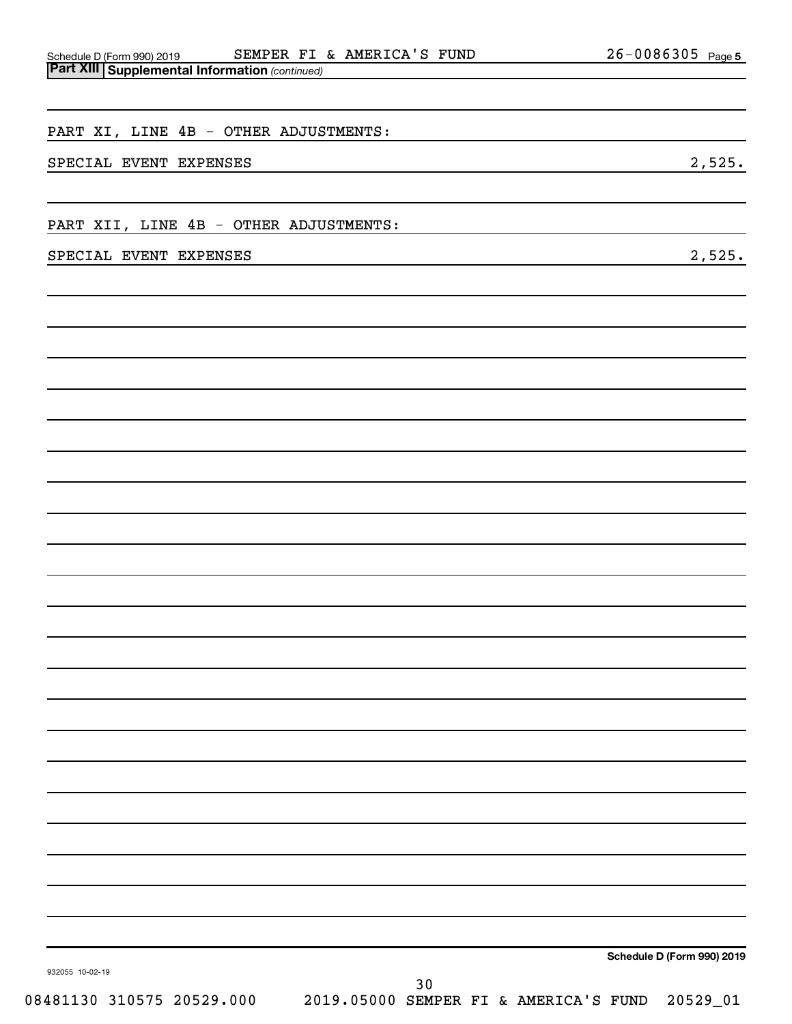| $\sim$                                                                                                                                            |                                                                                                                       |
|---------------------------------------------------------------------------------------------------------------------------------------------------|-----------------------------------------------------------------------------------------------------------------------|
| PART XI, LINE 4B - OTHER ADJUSTMENTS:                                                                                                             |                                                                                                                       |
| SPECIAL EVENT EXPENSES<br>the control of the control of the control of the control of the control of the control of the control of the control of | 2,525.                                                                                                                |
| PART XII, LINE 4B - OTHER ADJUSTMENTS:                                                                                                            | <u> 1989 - Johann Barn, mars ann an t-Amhair an t-Amhair an t-Amhair an t-Amhair an t-Amhair an t-Amhair an t-Amh</u> |
| SPECIAL EVENT EXPENSES<br>and the control of the control of the control of the control of the control of the control of the control of the        | 2,525.                                                                                                                |
|                                                                                                                                                   |                                                                                                                       |
|                                                                                                                                                   |                                                                                                                       |
|                                                                                                                                                   |                                                                                                                       |
|                                                                                                                                                   |                                                                                                                       |
|                                                                                                                                                   |                                                                                                                       |
|                                                                                                                                                   |                                                                                                                       |
|                                                                                                                                                   |                                                                                                                       |
|                                                                                                                                                   |                                                                                                                       |
|                                                                                                                                                   |                                                                                                                       |
|                                                                                                                                                   |                                                                                                                       |
|                                                                                                                                                   |                                                                                                                       |
|                                                                                                                                                   |                                                                                                                       |
|                                                                                                                                                   |                                                                                                                       |
|                                                                                                                                                   | Schedule D (Form 990) 2019                                                                                            |
| 932055 10-02-19<br>30                                                                                                                             |                                                                                                                       |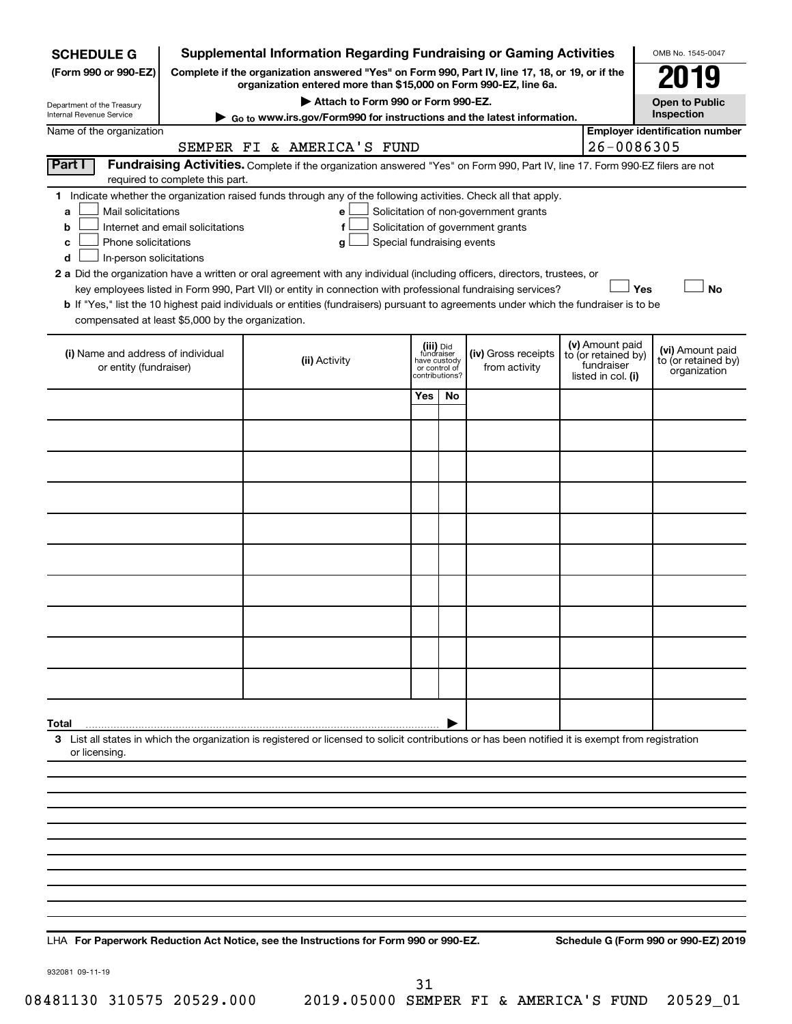| <b>SCHEDULE G</b>                                                                                                                                                                                                                                                                                                                                                                                                                                                                                                                                                                                                                                                                                                                                                                                                                  |               | <b>Supplemental Information Regarding Fundraising or Gaming Activities</b>                                                                                          |     |                                      |  |                                                                            |                                                         | OMB No. 1545-0047                     |  |  |  |
|------------------------------------------------------------------------------------------------------------------------------------------------------------------------------------------------------------------------------------------------------------------------------------------------------------------------------------------------------------------------------------------------------------------------------------------------------------------------------------------------------------------------------------------------------------------------------------------------------------------------------------------------------------------------------------------------------------------------------------------------------------------------------------------------------------------------------------|---------------|---------------------------------------------------------------------------------------------------------------------------------------------------------------------|-----|--------------------------------------|--|----------------------------------------------------------------------------|---------------------------------------------------------|---------------------------------------|--|--|--|
| (Form 990 or 990-EZ)                                                                                                                                                                                                                                                                                                                                                                                                                                                                                                                                                                                                                                                                                                                                                                                                               |               | Complete if the organization answered "Yes" on Form 990, Part IV, line 17, 18, or 19, or if the<br>organization entered more than \$15,000 on Form 990-EZ, line 6a. |     |                                      |  |                                                                            |                                                         |                                       |  |  |  |
| Department of the Treasury                                                                                                                                                                                                                                                                                                                                                                                                                                                                                                                                                                                                                                                                                                                                                                                                         |               | Attach to Form 990 or Form 990-EZ.                                                                                                                                  |     |                                      |  |                                                                            |                                                         | <b>Open to Public</b>                 |  |  |  |
| Internal Revenue Service                                                                                                                                                                                                                                                                                                                                                                                                                                                                                                                                                                                                                                                                                                                                                                                                           |               | Go to www.irs.gov/Form990 for instructions and the latest information.                                                                                              |     |                                      |  |                                                                            |                                                         | Inspection                            |  |  |  |
| Name of the organization                                                                                                                                                                                                                                                                                                                                                                                                                                                                                                                                                                                                                                                                                                                                                                                                           |               | SEMPER FI & AMERICA'S FUND                                                                                                                                          |     |                                      |  |                                                                            | 26-0086305                                              | <b>Employer identification number</b> |  |  |  |
| Part I<br>Fundraising Activities. Complete if the organization answered "Yes" on Form 990, Part IV, line 17. Form 990-EZ filers are not<br>required to complete this part.                                                                                                                                                                                                                                                                                                                                                                                                                                                                                                                                                                                                                                                         |               |                                                                                                                                                                     |     |                                      |  |                                                                            |                                                         |                                       |  |  |  |
| 1 Indicate whether the organization raised funds through any of the following activities. Check all that apply.<br>Mail solicitations<br>Solicitation of non-government grants<br>e<br>a<br>Internet and email solicitations<br>Solicitation of government grants<br>f<br>b<br>Phone solicitations<br>Special fundraising events<br>с<br>g<br>In-person solicitations<br>d<br>2 a Did the organization have a written or oral agreement with any individual (including officers, directors, trustees, or<br>Yes<br>No<br>key employees listed in Form 990, Part VII) or entity in connection with professional fundraising services?<br>b If "Yes," list the 10 highest paid individuals or entities (fundraisers) pursuant to agreements under which the fundraiser is to be<br>compensated at least \$5,000 by the organization. |               |                                                                                                                                                                     |     |                                      |  |                                                                            |                                                         |                                       |  |  |  |
| (i) Name and address of individual<br>or entity (fundraiser)                                                                                                                                                                                                                                                                                                                                                                                                                                                                                                                                                                                                                                                                                                                                                                       | (ii) Activity | (iii) Did<br>fundraiser<br>have custody<br>or control of<br>contributions?                                                                                          |     | (iv) Gross receipts<br>from activity |  | (v) Amount paid<br>to (or retained by)<br>fundraiser<br>listed in col. (i) | (vi) Amount paid<br>to (or retained by)<br>organization |                                       |  |  |  |
|                                                                                                                                                                                                                                                                                                                                                                                                                                                                                                                                                                                                                                                                                                                                                                                                                                    |               |                                                                                                                                                                     | Yes | No                                   |  |                                                                            |                                                         |                                       |  |  |  |
|                                                                                                                                                                                                                                                                                                                                                                                                                                                                                                                                                                                                                                                                                                                                                                                                                                    |               |                                                                                                                                                                     |     |                                      |  |                                                                            |                                                         |                                       |  |  |  |
|                                                                                                                                                                                                                                                                                                                                                                                                                                                                                                                                                                                                                                                                                                                                                                                                                                    |               |                                                                                                                                                                     |     |                                      |  |                                                                            |                                                         |                                       |  |  |  |
|                                                                                                                                                                                                                                                                                                                                                                                                                                                                                                                                                                                                                                                                                                                                                                                                                                    |               |                                                                                                                                                                     |     |                                      |  |                                                                            |                                                         |                                       |  |  |  |
|                                                                                                                                                                                                                                                                                                                                                                                                                                                                                                                                                                                                                                                                                                                                                                                                                                    |               |                                                                                                                                                                     |     |                                      |  |                                                                            |                                                         |                                       |  |  |  |
|                                                                                                                                                                                                                                                                                                                                                                                                                                                                                                                                                                                                                                                                                                                                                                                                                                    |               |                                                                                                                                                                     |     |                                      |  |                                                                            |                                                         |                                       |  |  |  |
|                                                                                                                                                                                                                                                                                                                                                                                                                                                                                                                                                                                                                                                                                                                                                                                                                                    |               |                                                                                                                                                                     |     |                                      |  |                                                                            |                                                         |                                       |  |  |  |
|                                                                                                                                                                                                                                                                                                                                                                                                                                                                                                                                                                                                                                                                                                                                                                                                                                    |               |                                                                                                                                                                     |     |                                      |  |                                                                            |                                                         |                                       |  |  |  |
|                                                                                                                                                                                                                                                                                                                                                                                                                                                                                                                                                                                                                                                                                                                                                                                                                                    |               |                                                                                                                                                                     |     |                                      |  |                                                                            |                                                         |                                       |  |  |  |
|                                                                                                                                                                                                                                                                                                                                                                                                                                                                                                                                                                                                                                                                                                                                                                                                                                    |               |                                                                                                                                                                     |     |                                      |  |                                                                            |                                                         |                                       |  |  |  |
|                                                                                                                                                                                                                                                                                                                                                                                                                                                                                                                                                                                                                                                                                                                                                                                                                                    |               |                                                                                                                                                                     |     |                                      |  |                                                                            |                                                         |                                       |  |  |  |
| Total                                                                                                                                                                                                                                                                                                                                                                                                                                                                                                                                                                                                                                                                                                                                                                                                                              |               |                                                                                                                                                                     |     |                                      |  |                                                                            |                                                         |                                       |  |  |  |
| or licensing.                                                                                                                                                                                                                                                                                                                                                                                                                                                                                                                                                                                                                                                                                                                                                                                                                      |               | 3 List all states in which the organization is registered or licensed to solicit contributions or has been notified it is exempt from registration                  |     |                                      |  |                                                                            |                                                         |                                       |  |  |  |
|                                                                                                                                                                                                                                                                                                                                                                                                                                                                                                                                                                                                                                                                                                                                                                                                                                    |               |                                                                                                                                                                     |     |                                      |  |                                                                            |                                                         |                                       |  |  |  |
|                                                                                                                                                                                                                                                                                                                                                                                                                                                                                                                                                                                                                                                                                                                                                                                                                                    |               |                                                                                                                                                                     |     |                                      |  |                                                                            |                                                         |                                       |  |  |  |
|                                                                                                                                                                                                                                                                                                                                                                                                                                                                                                                                                                                                                                                                                                                                                                                                                                    |               |                                                                                                                                                                     |     |                                      |  |                                                                            |                                                         |                                       |  |  |  |
|                                                                                                                                                                                                                                                                                                                                                                                                                                                                                                                                                                                                                                                                                                                                                                                                                                    |               |                                                                                                                                                                     |     |                                      |  |                                                                            |                                                         |                                       |  |  |  |
|                                                                                                                                                                                                                                                                                                                                                                                                                                                                                                                                                                                                                                                                                                                                                                                                                                    |               |                                                                                                                                                                     |     |                                      |  |                                                                            |                                                         |                                       |  |  |  |
|                                                                                                                                                                                                                                                                                                                                                                                                                                                                                                                                                                                                                                                                                                                                                                                                                                    |               |                                                                                                                                                                     |     |                                      |  |                                                                            |                                                         |                                       |  |  |  |
|                                                                                                                                                                                                                                                                                                                                                                                                                                                                                                                                                                                                                                                                                                                                                                                                                                    |               |                                                                                                                                                                     |     |                                      |  |                                                                            |                                                         |                                       |  |  |  |
|                                                                                                                                                                                                                                                                                                                                                                                                                                                                                                                                                                                                                                                                                                                                                                                                                                    |               |                                                                                                                                                                     |     |                                      |  |                                                                            |                                                         |                                       |  |  |  |
|                                                                                                                                                                                                                                                                                                                                                                                                                                                                                                                                                                                                                                                                                                                                                                                                                                    |               |                                                                                                                                                                     |     |                                      |  |                                                                            |                                                         |                                       |  |  |  |

LHA For Paperwork Reduction Act Notice, see the Instructions for Form 990 or 990-EZ. Schedule G (Form 990 or 990-EZ) 2019

932081 09-11-19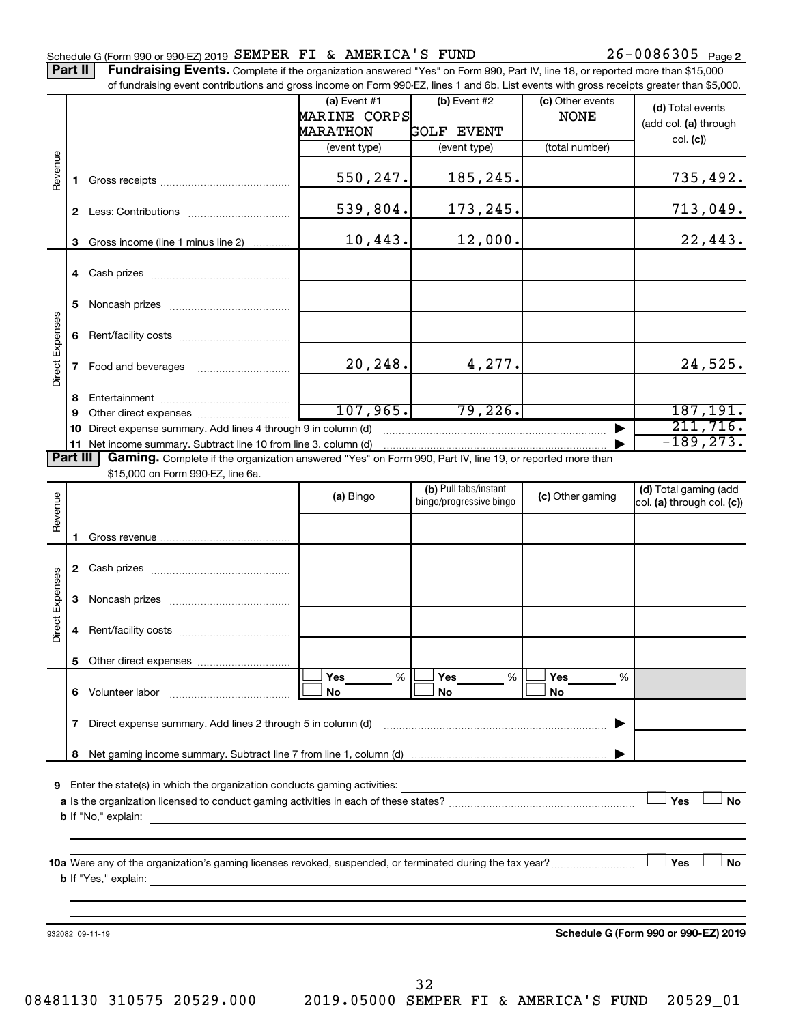|                 |              | Schedule G (Form 990 or 990-EZ) 2019 SEMPER FI & AMERICA'S FUND                                                                                                                                                                                                            |                                                   |                                     |                                 | $26 - 0086305$ Page 2                     |
|-----------------|--------------|----------------------------------------------------------------------------------------------------------------------------------------------------------------------------------------------------------------------------------------------------------------------------|---------------------------------------------------|-------------------------------------|---------------------------------|-------------------------------------------|
|                 | Part II      | Fundraising Events. Complete if the organization answered "Yes" on Form 990, Part IV, line 18, or reported more than \$15,000<br>of fundraising event contributions and gross income on Form 990-EZ, lines 1 and 6b. List events with gross receipts greater than \$5,000. |                                                   |                                     |                                 |                                           |
|                 |              |                                                                                                                                                                                                                                                                            | (a) Event $#1$<br>MARINE CORPS<br><b>MARATHON</b> | $(b)$ Event #2<br><b>GOLF EVENT</b> | (c) Other events<br><b>NONE</b> | (d) Total events<br>(add col. (a) through |
|                 |              |                                                                                                                                                                                                                                                                            | (event type)                                      | (event type)                        | (total number)                  | col. (c)                                  |
| Revenue         | 1.           | Gross receipts and the control of the control of the control of the control of the control of the control of the control of the control of the control of the control of the control of the control of the control of the cont                                             | 550, 247.                                         | 185,245.                            |                                 | 735,492.                                  |
|                 |              |                                                                                                                                                                                                                                                                            | 539,804.                                          | 173,245.                            |                                 | 713,049.                                  |
|                 |              | 3 Gross income (line 1 minus line 2)                                                                                                                                                                                                                                       | 10,443.                                           | 12,000.                             |                                 | 22,443.                                   |
|                 |              | 4 Cash prizes                                                                                                                                                                                                                                                              |                                                   |                                     |                                 |                                           |
|                 | 5            |                                                                                                                                                                                                                                                                            |                                                   |                                     |                                 |                                           |
|                 | 6            |                                                                                                                                                                                                                                                                            |                                                   |                                     |                                 |                                           |
| Direct Expenses |              | 7 Food and beverages                                                                                                                                                                                                                                                       | 20, 248.                                          | 4,277.                              |                                 | 24,525.                                   |
|                 | 8<br>9       |                                                                                                                                                                                                                                                                            | 107,965.                                          | 79,226.                             |                                 | 187, 191.                                 |
|                 | 10           | Direct expense summary. Add lines 4 through 9 in column (d)                                                                                                                                                                                                                |                                                   |                                     |                                 | 211,716.                                  |
|                 |              | 11 Net income summary. Subtract line 10 from line 3, column (d)                                                                                                                                                                                                            |                                                   |                                     |                                 | $-189, 273.$                              |
|                 | Part III     | Gaming. Complete if the organization answered "Yes" on Form 990, Part IV, line 19, or reported more than                                                                                                                                                                   |                                                   |                                     |                                 |                                           |
|                 |              | \$15,000 on Form 990-EZ, line 6a.                                                                                                                                                                                                                                          |                                                   | (b) Pull tabs/instant               |                                 | (d) Total gaming (add                     |
| Ф<br>Revenu     |              |                                                                                                                                                                                                                                                                            | (a) Bingo                                         | bingo/progressive bingo             | (c) Other gaming                | col. (a) through col. (c))                |
|                 |              |                                                                                                                                                                                                                                                                            |                                                   |                                     |                                 |                                           |
|                 | $\mathbf{2}$ |                                                                                                                                                                                                                                                                            |                                                   |                                     |                                 |                                           |
| Direct Expenses | 3            |                                                                                                                                                                                                                                                                            |                                                   |                                     |                                 |                                           |
|                 | 4            |                                                                                                                                                                                                                                                                            |                                                   |                                     |                                 |                                           |

**9** Enter the state(s) in which the organization conducts gaming activities:

**8** Net gaming income summary. Subtract line 7 from line 1, column (d)

**7** Direct expense summary. Add lines 2 through 5 in column (d)

**6** Volunteer labor ~~~~~~~~~~~~~

**5** Other direct expenses

| a Is the organization licensed to conduct gaming activities in each of these states? | Yes | No |
|--------------------------------------------------------------------------------------|-----|----|
| <b>b</b> If "No." explain:                                                           |     |    |

**│ │ Y**es % │ │ Yes % │ │ Yes % **No No No**

 $|\Box$  No  $|\Box$  No  $|\Box$ 

~~~~~~~~~~~~~~~~~~~~~~~~ |

|

**10 a** Were any of the organization's gaming licenses revoked, suspended, or terminated during the tax year? ~~~~~~~~~ **b** If "Yes," explain:  $\Box$  Yes

932082 09-11-19

**Schedule G (Form 990 or 990-EZ) 2019**

 $\Box$  No

32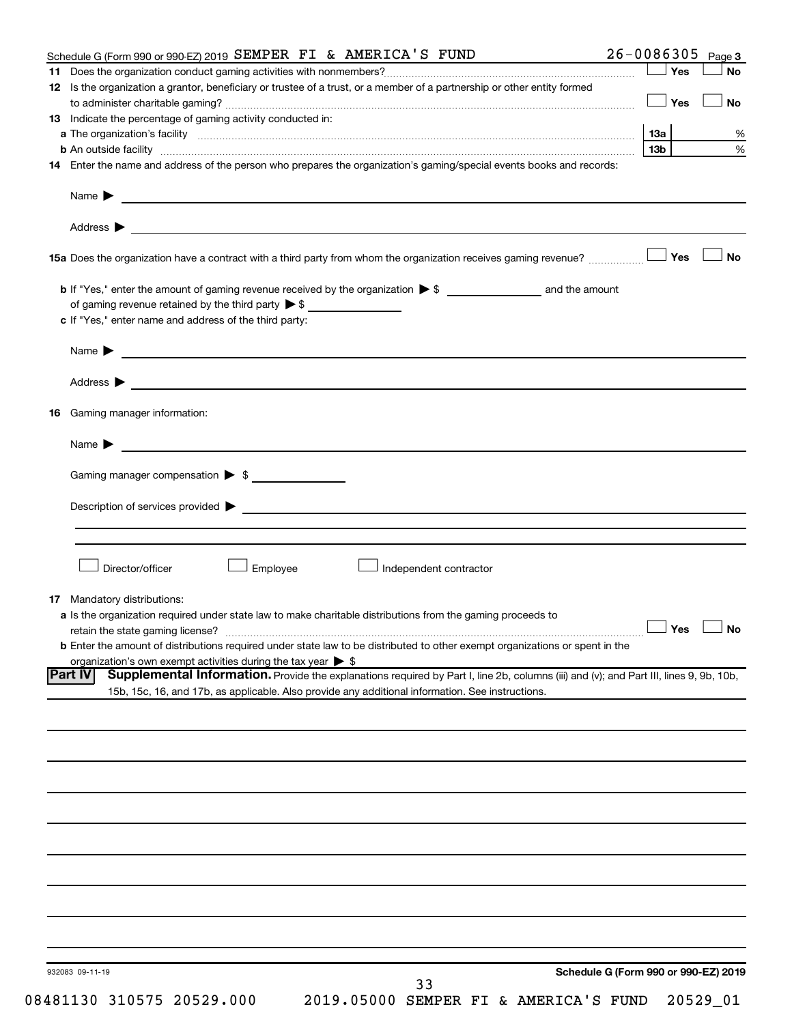|    | Schedule G (Form 990 or 990-EZ) 2019 SEMPER FI & AMERICA'S FUND                                                                                                                                                                                                    | 26-0086305      |                      | Page 3    |
|----|--------------------------------------------------------------------------------------------------------------------------------------------------------------------------------------------------------------------------------------------------------------------|-----------------|----------------------|-----------|
|    |                                                                                                                                                                                                                                                                    |                 | ∣ Yes                | No        |
|    | 12 Is the organization a grantor, beneficiary or trustee of a trust, or a member of a partnership or other entity formed                                                                                                                                           |                 |                      |           |
|    |                                                                                                                                                                                                                                                                    | <b>」Yes</b>     |                      | <b>No</b> |
|    | <b>13</b> Indicate the percentage of gaming activity conducted in:                                                                                                                                                                                                 |                 |                      |           |
|    |                                                                                                                                                                                                                                                                    |                 |                      |           |
|    |                                                                                                                                                                                                                                                                    | 13а             |                      |           |
|    | <b>b</b> An outside facility <i>www.communicality www.communicality.communicality www.communicality www.communicality.communicality www.communicality.com</i>                                                                                                      | 13 <sub>b</sub> |                      |           |
|    | 14 Enter the name and address of the person who prepares the organization's gaming/special events books and records:                                                                                                                                               |                 |                      |           |
|    | Name $\blacktriangleright$<br><u>and the state of the state of the state of the state of the state of the state of the state of the state of the state of the state of the state of the state of the state of the state of the state of the state of the state</u> |                 |                      |           |
|    | Address $\blacktriangleright$<br><u>some started and the started and the started and the started and the started and the started and the started and</u>                                                                                                           |                 |                      |           |
|    |                                                                                                                                                                                                                                                                    |                 |                      | <b>No</b> |
|    |                                                                                                                                                                                                                                                                    |                 |                      |           |
|    |                                                                                                                                                                                                                                                                    |                 |                      |           |
|    | of gaming revenue retained by the third party $\triangleright$ \$                                                                                                                                                                                                  |                 |                      |           |
|    | c If "Yes," enter name and address of the third party:                                                                                                                                                                                                             |                 |                      |           |
|    | <u>and the contract of the contract of the contract of the contract of the contract of the contract of the contract of</u><br>Name $\blacktriangleright$                                                                                                           |                 |                      |           |
|    | Address $\blacktriangleright$<br><u>and the control of the control of the control of the control of the control of the control of the control of</u>                                                                                                               |                 |                      |           |
| 16 | Gaming manager information:                                                                                                                                                                                                                                        |                 |                      |           |
|    | <u> 1989 - Johann Barn, mars et al. (b. 1989)</u><br>Name $\blacktriangleright$                                                                                                                                                                                    |                 |                      |           |
|    |                                                                                                                                                                                                                                                                    |                 |                      |           |
|    | Gaming manager compensation > \$                                                                                                                                                                                                                                   |                 |                      |           |
|    |                                                                                                                                                                                                                                                                    |                 |                      |           |
|    |                                                                                                                                                                                                                                                                    |                 |                      |           |
|    |                                                                                                                                                                                                                                                                    |                 |                      |           |
|    | Director/officer<br>Employee<br>Independent contractor                                                                                                                                                                                                             |                 |                      |           |
|    |                                                                                                                                                                                                                                                                    |                 |                      |           |
|    | <b>17</b> Mandatory distributions:                                                                                                                                                                                                                                 |                 |                      |           |
|    | a Is the organization required under state law to make charitable distributions from the gaming proceeds to                                                                                                                                                        |                 |                      |           |
|    |                                                                                                                                                                                                                                                                    |                 | $\Box$ Yes $\Box$ No |           |
|    | <b>b</b> Enter the amount of distributions required under state law to be distributed to other exempt organizations or spent in the                                                                                                                                |                 |                      |           |
|    | organization's own exempt activities during the tax year $\triangleright$ \$                                                                                                                                                                                       |                 |                      |           |
|    | Supplemental Information. Provide the explanations required by Part I, line 2b, columns (iii) and (v); and Part III, lines 9, 9b, 10b,<br><b>Part IV</b>                                                                                                           |                 |                      |           |
|    | 15b, 15c, 16, and 17b, as applicable. Also provide any additional information. See instructions.                                                                                                                                                                   |                 |                      |           |
|    |                                                                                                                                                                                                                                                                    |                 |                      |           |
|    |                                                                                                                                                                                                                                                                    |                 |                      |           |
|    |                                                                                                                                                                                                                                                                    |                 |                      |           |
|    |                                                                                                                                                                                                                                                                    |                 |                      |           |
|    |                                                                                                                                                                                                                                                                    |                 |                      |           |
|    |                                                                                                                                                                                                                                                                    |                 |                      |           |
|    |                                                                                                                                                                                                                                                                    |                 |                      |           |
|    |                                                                                                                                                                                                                                                                    |                 |                      |           |
|    |                                                                                                                                                                                                                                                                    |                 |                      |           |
|    |                                                                                                                                                                                                                                                                    |                 |                      |           |
|    |                                                                                                                                                                                                                                                                    |                 |                      |           |
|    |                                                                                                                                                                                                                                                                    |                 |                      |           |
|    |                                                                                                                                                                                                                                                                    |                 |                      |           |
|    |                                                                                                                                                                                                                                                                    |                 |                      |           |
|    |                                                                                                                                                                                                                                                                    |                 |                      |           |
|    |                                                                                                                                                                                                                                                                    |                 |                      |           |
|    |                                                                                                                                                                                                                                                                    |                 |                      |           |
|    | Schedule G (Form 990 or 990-EZ) 2019<br>932083 09-11-19                                                                                                                                                                                                            |                 |                      |           |
|    | 33                                                                                                                                                                                                                                                                 |                 |                      |           |
|    | 08481130 310575 20529.000<br>2019.05000 SEMPER FI & AMERICA'S FUND                                                                                                                                                                                                 |                 | 20529_01             |           |
|    |                                                                                                                                                                                                                                                                    |                 |                      |           |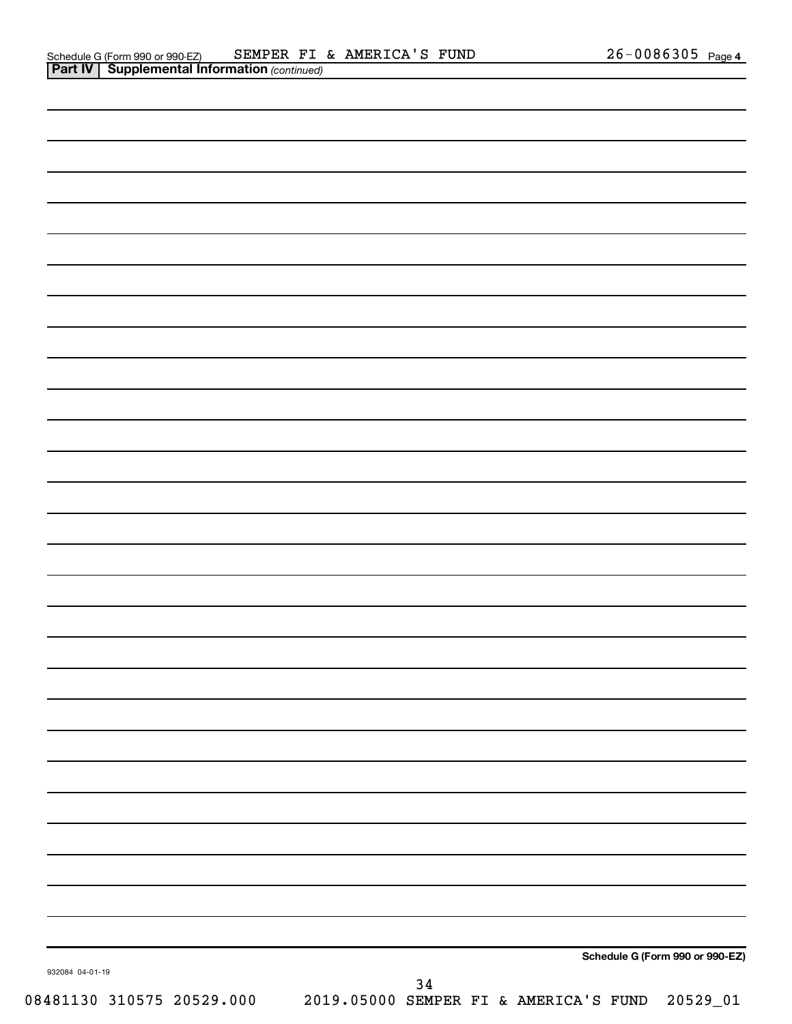| 932084 04-01-19           |                                                |    |  |  | Schedule G (Form 990 or 990-EZ) |
|---------------------------|------------------------------------------------|----|--|--|---------------------------------|
| 08481130 310575 20529.000 | 2019.05000 SEMPER FI & AMERICA'S FUND 20529_01 | 34 |  |  |                                 |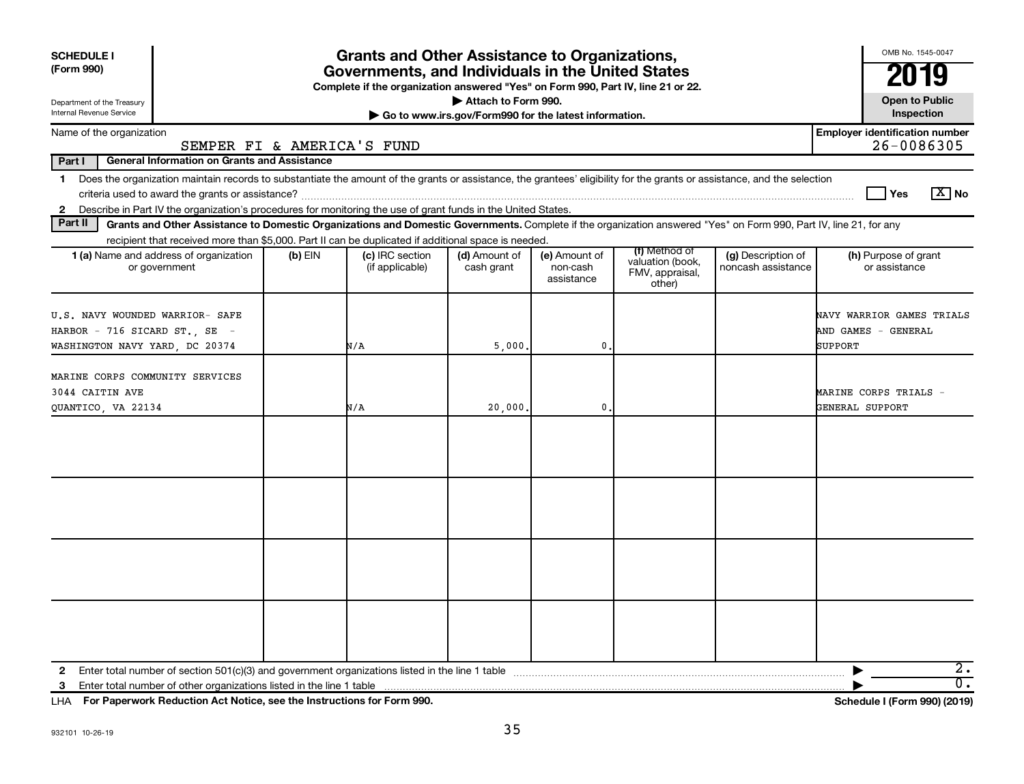| <b>SCHEDULE I</b><br>(Form 990)                                                                                                                                                                                                                                                               | <b>Grants and Other Assistance to Organizations,</b><br>Governments, and Individuals in the United States<br>Complete if the organization answered "Yes" on Form 990, Part IV, line 21 or 22. |                                    |                                                                              |                                         |                                                                |                                          |                                                             |  |  |  |  |  |
|-----------------------------------------------------------------------------------------------------------------------------------------------------------------------------------------------------------------------------------------------------------------------------------------------|-----------------------------------------------------------------------------------------------------------------------------------------------------------------------------------------------|------------------------------------|------------------------------------------------------------------------------|-----------------------------------------|----------------------------------------------------------------|------------------------------------------|-------------------------------------------------------------|--|--|--|--|--|
| Department of the Treasury<br>Internal Revenue Service                                                                                                                                                                                                                                        |                                                                                                                                                                                               |                                    | Attach to Form 990.<br>Go to www.irs.gov/Form990 for the latest information. |                                         |                                                                |                                          | <b>Open to Public</b><br>Inspection                         |  |  |  |  |  |
| Name of the organization<br>SEMPER FI & AMERICA'S FUND                                                                                                                                                                                                                                        |                                                                                                                                                                                               |                                    |                                                                              |                                         |                                                                |                                          | <b>Employer identification number</b><br>26-0086305         |  |  |  |  |  |
| Part I<br><b>General Information on Grants and Assistance</b>                                                                                                                                                                                                                                 |                                                                                                                                                                                               |                                    |                                                                              |                                         |                                                                |                                          |                                                             |  |  |  |  |  |
| 1 Does the organization maintain records to substantiate the amount of the grants or assistance, the grantees' eligibility for the grants or assistance, and the selection<br>2 Describe in Part IV the organization's procedures for monitoring the use of grant funds in the United States. |                                                                                                                                                                                               |                                    |                                                                              |                                         |                                                                |                                          | $\sqrt{X}$ No<br>Yes                                        |  |  |  |  |  |
| Part II<br>Grants and Other Assistance to Domestic Organizations and Domestic Governments. Complete if the organization answered "Yes" on Form 990, Part IV, line 21, for any                                                                                                                 |                                                                                                                                                                                               |                                    |                                                                              |                                         |                                                                |                                          |                                                             |  |  |  |  |  |
| recipient that received more than \$5,000. Part II can be duplicated if additional space is needed.<br>1 (a) Name and address of organization<br>or government                                                                                                                                | $(b)$ EIN                                                                                                                                                                                     | (c) IRC section<br>(if applicable) | (d) Amount of<br>cash grant                                                  | (e) Amount of<br>non-cash<br>assistance | (f) Method of<br>valuation (book,<br>FMV, appraisal,<br>other) | (g) Description of<br>noncash assistance | (h) Purpose of grant<br>or assistance                       |  |  |  |  |  |
| U.S. NAVY WOUNDED WARRIOR- SAFE<br>HARBOR - 716 SICARD ST., SE -<br>WASHINGTON NAVY YARD, DC 20374                                                                                                                                                                                            |                                                                                                                                                                                               | N/A                                | 5,000                                                                        | $\mathbf{0}$                            |                                                                |                                          | NAVY WARRIOR GAMES TRIALS<br>AND GAMES - GENERAL<br>SUPPORT |  |  |  |  |  |
| MARINE CORPS COMMUNITY SERVICES<br>3044 CAITIN AVE<br>QUANTICO, VA 22134                                                                                                                                                                                                                      |                                                                                                                                                                                               | N/A                                | 20,000                                                                       | 0                                       |                                                                |                                          | MARINE CORPS TRIALS -<br>GENERAL SUPPORT                    |  |  |  |  |  |
|                                                                                                                                                                                                                                                                                               |                                                                                                                                                                                               |                                    |                                                                              |                                         |                                                                |                                          |                                                             |  |  |  |  |  |
|                                                                                                                                                                                                                                                                                               |                                                                                                                                                                                               |                                    |                                                                              |                                         |                                                                |                                          |                                                             |  |  |  |  |  |
|                                                                                                                                                                                                                                                                                               |                                                                                                                                                                                               |                                    |                                                                              |                                         |                                                                |                                          |                                                             |  |  |  |  |  |
|                                                                                                                                                                                                                                                                                               |                                                                                                                                                                                               |                                    |                                                                              |                                         |                                                                |                                          |                                                             |  |  |  |  |  |
| Enter total number of other organizations listed in the line 1 table<br>3                                                                                                                                                                                                                     |                                                                                                                                                                                               |                                    |                                                                              |                                         |                                                                |                                          | $\overline{2}$ .<br>$\overline{\mathfrak{0}}$ .             |  |  |  |  |  |

**For Paperwork Reduction Act Notice, see the Instructions for Form 990. Schedule I (Form 990) (2019)** LHA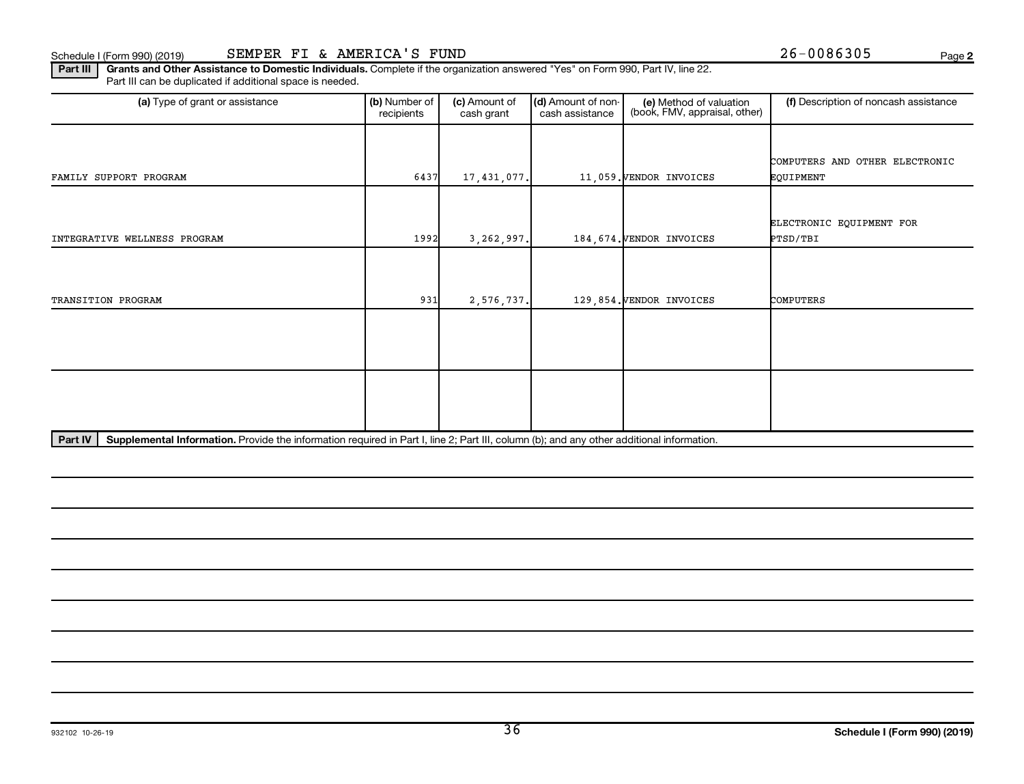**2**

Part III | Grants and Other Assistance to Domestic Individuals. Complete if the organization answered "Yes" on Form 990, Part IV, line 22. Part III can be duplicated if additional space is needed.

| (a) Type of grant or assistance                                                                                                                      | (b) Number of<br>recipients | (c) Amount of<br>cash grant | (d) Amount of non-<br>(e) Method of valuation<br>(book, FMV, appraisal, other)<br>cash assistance |                           | (f) Description of noncash assistance |
|------------------------------------------------------------------------------------------------------------------------------------------------------|-----------------------------|-----------------------------|---------------------------------------------------------------------------------------------------|---------------------------|---------------------------------------|
|                                                                                                                                                      |                             |                             |                                                                                                   |                           |                                       |
|                                                                                                                                                      |                             |                             |                                                                                                   |                           | COMPUTERS AND OTHER ELECTRONIC        |
| FAMILY SUPPORT PROGRAM                                                                                                                               | 6437                        | 17,431,077.                 |                                                                                                   | 11,059. VENDOR INVOICES   | EQUIPMENT                             |
|                                                                                                                                                      |                             |                             |                                                                                                   |                           |                                       |
|                                                                                                                                                      |                             |                             |                                                                                                   |                           | ELECTRONIC EQUIPMENT FOR              |
| INTEGRATIVE WELLNESS PROGRAM                                                                                                                         | 1992                        | 3,262,997.                  |                                                                                                   | 184, 674. VENDOR INVOICES | PTSD/TBI                              |
|                                                                                                                                                      |                             |                             |                                                                                                   |                           |                                       |
|                                                                                                                                                      |                             |                             |                                                                                                   |                           |                                       |
|                                                                                                                                                      |                             |                             |                                                                                                   |                           |                                       |
| TRANSITION PROGRAM                                                                                                                                   | 931                         | 2,576,737.                  |                                                                                                   | 129,854. VENDOR INVOICES  | COMPUTERS                             |
|                                                                                                                                                      |                             |                             |                                                                                                   |                           |                                       |
|                                                                                                                                                      |                             |                             |                                                                                                   |                           |                                       |
|                                                                                                                                                      |                             |                             |                                                                                                   |                           |                                       |
|                                                                                                                                                      |                             |                             |                                                                                                   |                           |                                       |
|                                                                                                                                                      |                             |                             |                                                                                                   |                           |                                       |
|                                                                                                                                                      |                             |                             |                                                                                                   |                           |                                       |
|                                                                                                                                                      |                             |                             |                                                                                                   |                           |                                       |
| Part IV<br>Supplemental Information. Provide the information required in Part I, line 2; Part III, column (b); and any other additional information. |                             |                             |                                                                                                   |                           |                                       |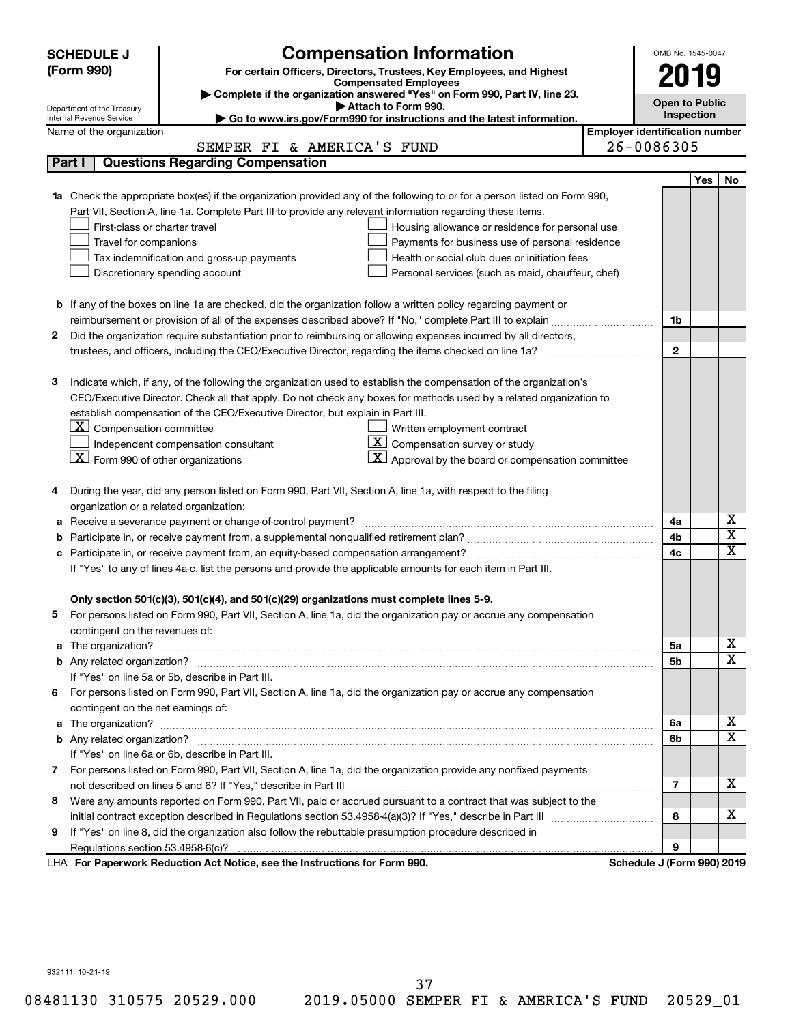| <b>Compensation Information</b><br><b>SCHEDULE J</b>                                                                             |                                       | OMB No. 1545-0047           |  |  |  |  |  |
|----------------------------------------------------------------------------------------------------------------------------------|---------------------------------------|-----------------------------|--|--|--|--|--|
| (Form 990)<br>For certain Officers, Directors, Trustees, Key Employees, and Highest                                              |                                       |                             |  |  |  |  |  |
| <b>Compensated Employees</b>                                                                                                     |                                       | 019                         |  |  |  |  |  |
| Complete if the organization answered "Yes" on Form 990, Part IV, line 23.<br>Attach to Form 990.                                |                                       | <b>Open to Public</b>       |  |  |  |  |  |
| Department of the Treasury<br>Go to www.irs.gov/Form990 for instructions and the latest information.<br>Internal Revenue Service |                                       | Inspection                  |  |  |  |  |  |
| Name of the organization                                                                                                         | <b>Employer identification number</b> |                             |  |  |  |  |  |
| SEMPER FI & AMERICA'S FUND                                                                                                       | 26-0086305                            |                             |  |  |  |  |  |
| <b>Questions Regarding Compensation</b><br>Part I                                                                                |                                       |                             |  |  |  |  |  |
|                                                                                                                                  |                                       | <b>Yes</b><br>No            |  |  |  |  |  |
| Check the appropriate box(es) if the organization provided any of the following to or for a person listed on Form 990,           |                                       |                             |  |  |  |  |  |
| Part VII, Section A, line 1a. Complete Part III to provide any relevant information regarding these items.                       |                                       |                             |  |  |  |  |  |
| First-class or charter travel<br>Housing allowance or residence for personal use                                                 |                                       |                             |  |  |  |  |  |
| Travel for companions<br>Payments for business use of personal residence                                                         |                                       |                             |  |  |  |  |  |
| Tax indemnification and gross-up payments<br>Health or social club dues or initiation fees                                       |                                       |                             |  |  |  |  |  |
| Discretionary spending account<br>Personal services (such as maid, chauffeur, chef)                                              |                                       |                             |  |  |  |  |  |
|                                                                                                                                  |                                       |                             |  |  |  |  |  |
| <b>b</b> If any of the boxes on line 1a are checked, did the organization follow a written policy regarding payment or           |                                       |                             |  |  |  |  |  |
| reimbursement or provision of all of the expenses described above? If "No," complete Part III to explain                         | 1b                                    |                             |  |  |  |  |  |
| 2<br>Did the organization require substantiation prior to reimbursing or allowing expenses incurred by all directors,            |                                       |                             |  |  |  |  |  |
|                                                                                                                                  | $\mathbf{2}$                          |                             |  |  |  |  |  |
| Indicate which, if any, of the following the organization used to establish the compensation of the organization's<br>з          |                                       |                             |  |  |  |  |  |
| CEO/Executive Director. Check all that apply. Do not check any boxes for methods used by a related organization to               |                                       |                             |  |  |  |  |  |
| establish compensation of the CEO/Executive Director, but explain in Part III.                                                   |                                       |                             |  |  |  |  |  |
| $\lfloor \underline{X} \rfloor$ Compensation committee<br>Written employment contract                                            |                                       |                             |  |  |  |  |  |
| $ \mathbf{X} $ Compensation survey or study<br>Independent compensation consultant                                               |                                       |                             |  |  |  |  |  |
| $\lfloor x \rfloor$ Form 990 of other organizations<br>Approval by the board or compensation committee                           |                                       |                             |  |  |  |  |  |
|                                                                                                                                  |                                       |                             |  |  |  |  |  |
| During the year, did any person listed on Form 990, Part VII, Section A, line 1a, with respect to the filing<br>4                |                                       |                             |  |  |  |  |  |
| organization or a related organization:                                                                                          |                                       |                             |  |  |  |  |  |
| Receive a severance payment or change-of-control payment?<br>а                                                                   | 4a                                    | х                           |  |  |  |  |  |
| b                                                                                                                                | 4b                                    | $\overline{\text{x}}$       |  |  |  |  |  |
| с                                                                                                                                | 4c                                    | $\overline{\textnormal{x}}$ |  |  |  |  |  |
| If "Yes" to any of lines 4a-c, list the persons and provide the applicable amounts for each item in Part III.                    |                                       |                             |  |  |  |  |  |
|                                                                                                                                  |                                       |                             |  |  |  |  |  |
| Only section 501(c)(3), 501(c)(4), and 501(c)(29) organizations must complete lines 5-9.                                         |                                       |                             |  |  |  |  |  |
| For persons listed on Form 990, Part VII, Section A, line 1a, did the organization pay or accrue any compensation                |                                       |                             |  |  |  |  |  |
| contingent on the revenues of:                                                                                                   |                                       |                             |  |  |  |  |  |
| a                                                                                                                                | 5a                                    | х                           |  |  |  |  |  |
|                                                                                                                                  | 5b                                    | $\overline{\mathbf{X}}$     |  |  |  |  |  |
| If "Yes" on line 5a or 5b, describe in Part III.                                                                                 |                                       |                             |  |  |  |  |  |
| For persons listed on Form 990, Part VII, Section A, line 1a, did the organization pay or accrue any compensation<br>6.          |                                       |                             |  |  |  |  |  |
| contingent on the net earnings of:                                                                                               |                                       | х                           |  |  |  |  |  |
| a                                                                                                                                | 6а                                    | $\overline{\mathbf{X}}$     |  |  |  |  |  |
|                                                                                                                                  | 6b                                    |                             |  |  |  |  |  |
| If "Yes" on line 6a or 6b, describe in Part III.                                                                                 |                                       |                             |  |  |  |  |  |
| 7 For persons listed on Form 990, Part VII, Section A, line 1a, did the organization provide any nonfixed payments               |                                       | x                           |  |  |  |  |  |
|                                                                                                                                  | 7                                     |                             |  |  |  |  |  |
| Were any amounts reported on Form 990, Part VII, paid or accrued pursuant to a contract that was subject to the<br>8             | 8                                     | х                           |  |  |  |  |  |
| If "Yes" on line 8, did the organization also follow the rebuttable presumption procedure described in                           |                                       |                             |  |  |  |  |  |
| 9                                                                                                                                | 9                                     |                             |  |  |  |  |  |
| LHA For Paperwork Reduction Act Notice, see the Instructions for Form 990.                                                       | Schedule J (Form 990) 2019            |                             |  |  |  |  |  |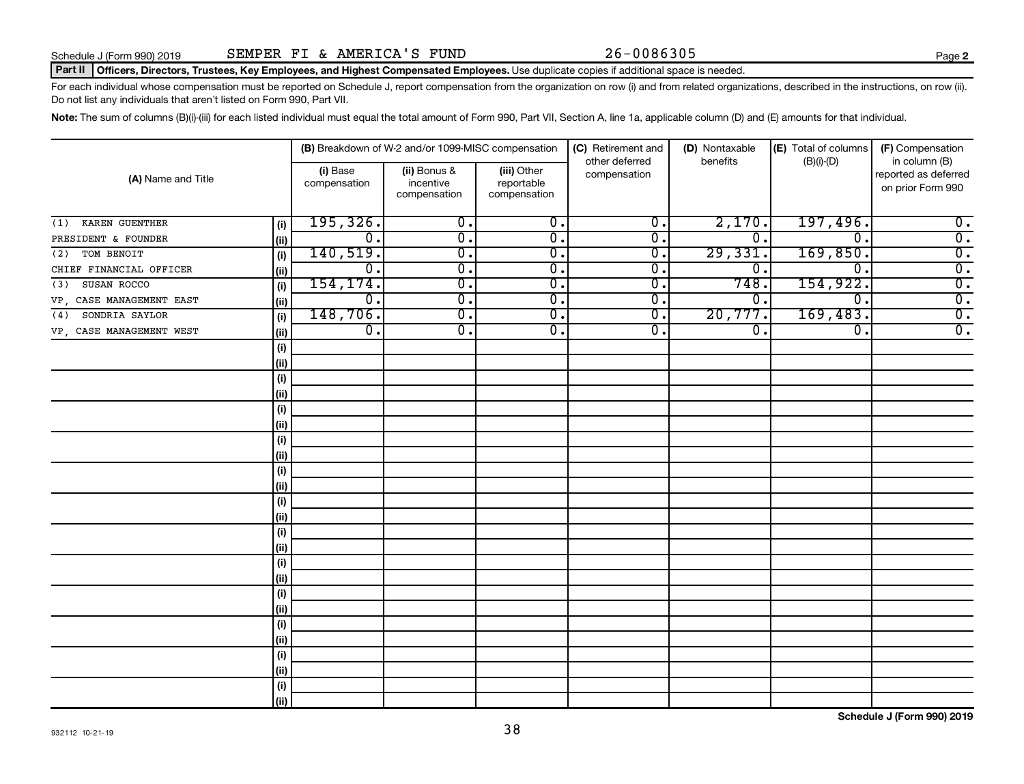### Part II | Officers, Directors, Trustees, Key Employees, and Highest Compensated Employees. Use duplicate copies if additional space is needed.

For each individual whose compensation must be reported on Schedule J, report compensation from the organization on row (i) and from related organizations, described in the instructions, on row (ii). Do not list any individuals that aren't listed on Form 990, Part VII.

Note: The sum of columns (B)(i)-(iii) for each listed individual must equal the total amount of Form 990, Part VII, Section A, line 1a, applicable column (D) and (E) amounts for that individual.

|                          |      |                             | (B) Breakdown of W-2 and/or 1099-MISC compensation |                                           | (C) Retirement and             | (D) Nontaxable | (E) Total of columns        | (F) Compensation                                           |
|--------------------------|------|-----------------------------|----------------------------------------------------|-------------------------------------------|--------------------------------|----------------|-----------------------------|------------------------------------------------------------|
| (A) Name and Title       |      | (i) Base<br>compensation    | (ii) Bonus &<br>incentive<br>compensation          | (iii) Other<br>reportable<br>compensation | other deferred<br>compensation | benefits       | $(B)(i)$ - $(D)$            | in column (B)<br>reported as deferred<br>on prior Form 990 |
| KAREN GUENTHER<br>(1)    | (i)  | 195, 326.                   | $\overline{\mathbf{0}}$ .                          | $\overline{0}$ .                          | $\overline{0}$ .               | 2,170.         | 197,496.                    | $\overline{\mathbf{0}}$ .                                  |
| PRESIDENT & FOUNDER      | (ii) | $\overline{\mathfrak{o}}$ . | $\overline{\mathfrak{o}}$ .                        | $\overline{0}$ .                          | $\overline{0}$ .               | $\mathbf 0$ .  | $\overline{0}$              | $\overline{0}$ .                                           |
| TOM BENOIT<br>(2)        | (i)  | 140, 519.                   | $\overline{0}$ .                                   | $\overline{\mathfrak{o}}$ .               | $\overline{0}$ .               | 29,331         | 169,850.                    | $\overline{0}$ .                                           |
| CHIEF FINANCIAL OFFICER  | (ii) | $\overline{\mathfrak{o}}$ . | $\overline{0}$ .                                   | $\overline{0}$ .                          | $\mathbf 0$ .                  | $\overline{0}$ | $\overline{0}$              | $\overline{0}$ .                                           |
| SUSAN ROCCO<br>(3)       | (i)  | 154, 174.                   | $\overline{\mathfrak{o}}$ .                        | $\overline{\mathfrak{o}}$ .               | $\overline{0}$ .               | 748            | 154,922.                    | $\overline{0}$ .                                           |
| VP, CASE MANAGEMENT EAST | (i)  | $\overline{0}$ .            | $\overline{\mathfrak{o}}$ .                        | $\overline{\mathfrak{o}}$ .               | $\overline{0}$ .               | σ.             | $\overline{\mathfrak{o}}$ . | $\overline{0}$ .                                           |
| SONDRIA SAYLOR<br>(4)    | (i)  | 148,706.                    | $\overline{0}$ .                                   | $\overline{0}$ .                          | $\overline{0}$ .               | 20,777.        | 169,483.                    | $\overline{0}$ .                                           |
| VP, CASE MANAGEMENT WEST | (i)  | $\overline{0}$ .            | $\overline{0}$ .                                   | $\overline{0}$ .                          | $\overline{0}$ .               | σ.             | $\overline{0}$ .            | $\overline{0}$ .                                           |
|                          | (i)  |                             |                                                    |                                           |                                |                |                             |                                                            |
|                          | (ii) |                             |                                                    |                                           |                                |                |                             |                                                            |
|                          | (i)  |                             |                                                    |                                           |                                |                |                             |                                                            |
|                          | (ii) |                             |                                                    |                                           |                                |                |                             |                                                            |
|                          | (i)  |                             |                                                    |                                           |                                |                |                             |                                                            |
|                          | (i)  |                             |                                                    |                                           |                                |                |                             |                                                            |
|                          | (i)  |                             |                                                    |                                           |                                |                |                             |                                                            |
|                          | (i)  |                             |                                                    |                                           |                                |                |                             |                                                            |
|                          | (i)  |                             |                                                    |                                           |                                |                |                             |                                                            |
|                          | (i)  |                             |                                                    |                                           |                                |                |                             |                                                            |
|                          | (i)  |                             |                                                    |                                           |                                |                |                             |                                                            |
|                          | (ii) |                             |                                                    |                                           |                                |                |                             |                                                            |
|                          | (i)  |                             |                                                    |                                           |                                |                |                             |                                                            |
|                          | (i)  |                             |                                                    |                                           |                                |                |                             |                                                            |
|                          | (i)  |                             |                                                    |                                           |                                |                |                             |                                                            |
|                          | (i)  |                             |                                                    |                                           |                                |                |                             |                                                            |
|                          | (i)  |                             |                                                    |                                           |                                |                |                             |                                                            |
|                          | (i)  |                             |                                                    |                                           |                                |                |                             |                                                            |
|                          | (i)  |                             |                                                    |                                           |                                |                |                             |                                                            |
|                          | (i)  |                             |                                                    |                                           |                                |                |                             |                                                            |
|                          | (i)  |                             |                                                    |                                           |                                |                |                             |                                                            |
|                          | (i)  |                             |                                                    |                                           |                                |                |                             |                                                            |
|                          | (i)  |                             |                                                    |                                           |                                |                |                             |                                                            |
|                          | (ii) |                             |                                                    |                                           |                                |                |                             |                                                            |

**Schedule J (Form 990) 2019**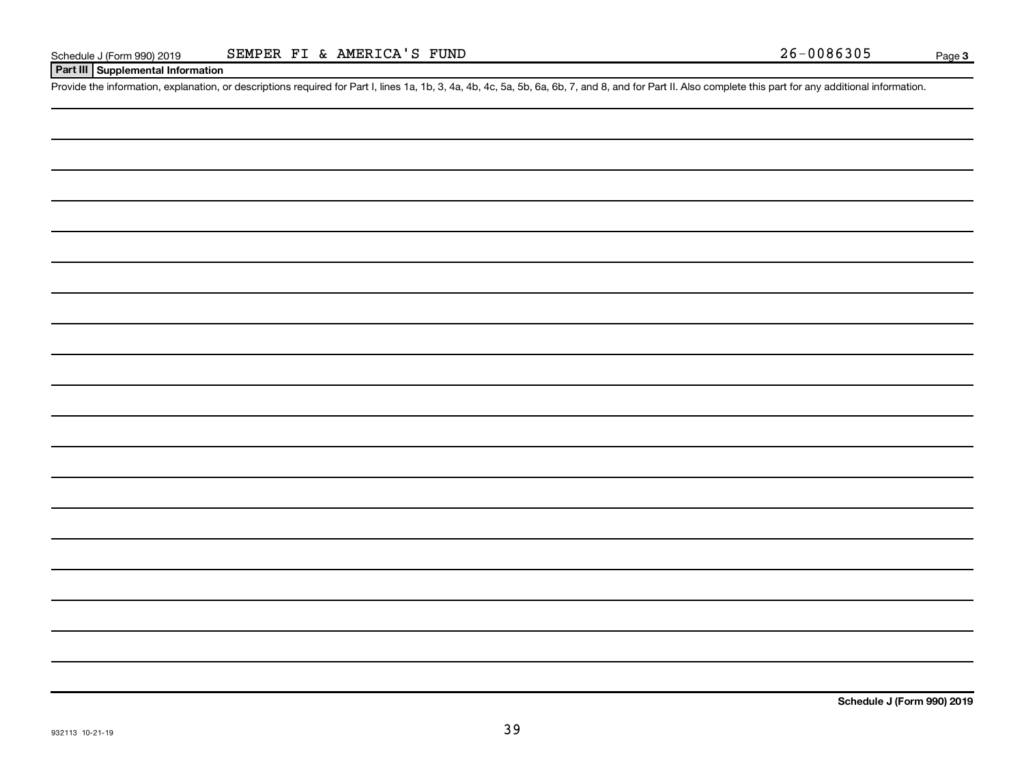### **Part III Supplemental Information**

Provide the information, explanation, or descriptions required for Part I, lines 1a, 1b, 3, 4a, 4b, 4c, 5a, 5b, 6a, 6b, 7, and 8, and for Part II. Also complete this part for any additional information.

**Schedule J (Form 990) 2019**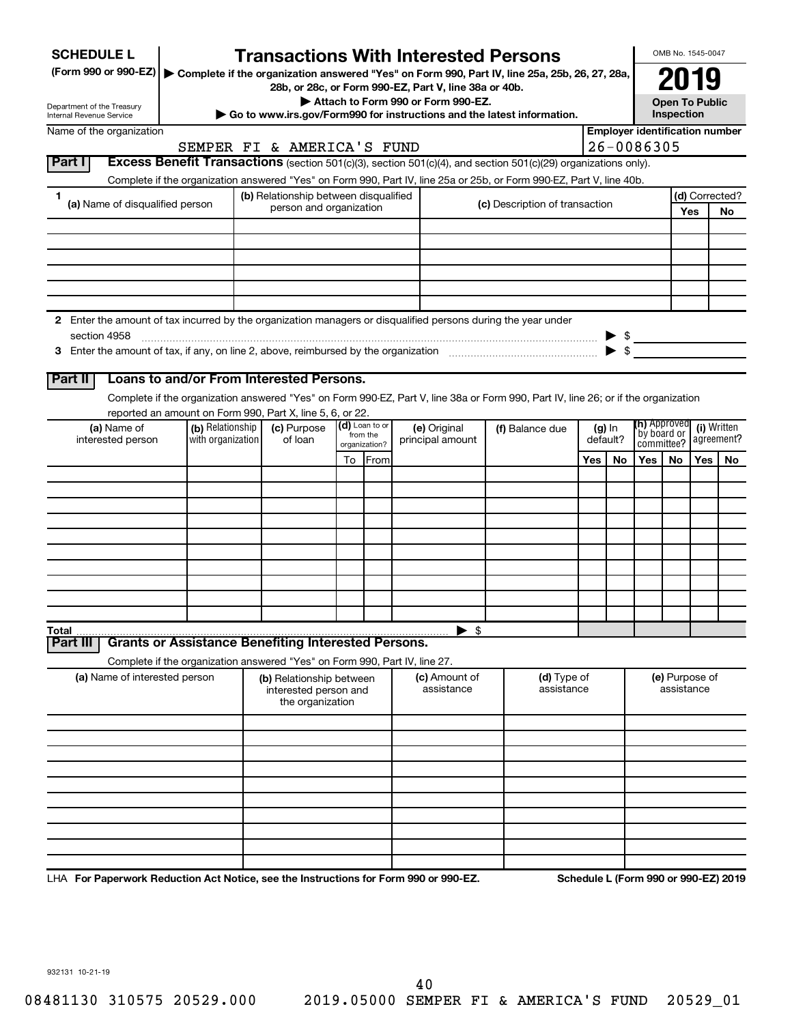| <b>SCHEDULE L</b>                                                                                                    |                   |                                                                            |  |                           | <b>Transactions With Interested Persons</b>                                                                                        |                                |                           |     |          |                                                                              | OMB No. 1545-0047            |            |                                       |
|----------------------------------------------------------------------------------------------------------------------|-------------------|----------------------------------------------------------------------------|--|---------------------------|------------------------------------------------------------------------------------------------------------------------------------|--------------------------------|---------------------------|-----|----------|------------------------------------------------------------------------------|------------------------------|------------|---------------------------------------|
| (Form 990 or 990-EZ) > Complete if the organization answered "Yes" on Form 990, Part IV, line 25a, 25b, 26, 27, 28a, |                   |                                                                            |  |                           |                                                                                                                                    |                                |                           |     |          |                                                                              | 2019                         |            |                                       |
|                                                                                                                      |                   |                                                                            |  |                           | 28b, or 28c, or Form 990-EZ, Part V, line 38a or 40b.<br>Attach to Form 990 or Form 990-EZ.                                        |                                |                           |     |          |                                                                              | <b>Open To Public</b>        |            |                                       |
| Department of the Treasury<br>Internal Revenue Service                                                               |                   |                                                                            |  |                           | Go to www.irs.gov/Form990 for instructions and the latest information.                                                             |                                |                           |     |          |                                                                              | Inspection                   |            |                                       |
| Name of the organization                                                                                             |                   |                                                                            |  |                           |                                                                                                                                    |                                |                           |     |          |                                                                              |                              |            | <b>Employer identification number</b> |
|                                                                                                                      |                   | SEMPER FI & AMERICA'S FUND                                                 |  |                           |                                                                                                                                    |                                |                           |     |          | 26-0086305                                                                   |                              |            |                                       |
| Part I                                                                                                               |                   |                                                                            |  |                           | Excess Benefit Transactions (section 501(c)(3), section 501(c)(4), and section 501(c)(29) organizations only).                     |                                |                           |     |          |                                                                              |                              |            |                                       |
|                                                                                                                      |                   |                                                                            |  |                           | Complete if the organization answered "Yes" on Form 990, Part IV, line 25a or 25b, or Form 990-EZ, Part V, line 40b.               |                                |                           |     |          |                                                                              |                              |            |                                       |
| 1.<br>(a) Name of disqualified person                                                                                |                   | (b) Relationship between disqualified<br>person and organization           |  |                           |                                                                                                                                    | (c) Description of transaction |                           |     |          |                                                                              |                              | <b>Yes</b> | (d) Corrected?<br><b>No</b>           |
|                                                                                                                      |                   |                                                                            |  |                           |                                                                                                                                    |                                |                           |     |          |                                                                              |                              |            |                                       |
|                                                                                                                      |                   |                                                                            |  |                           |                                                                                                                                    |                                |                           |     |          |                                                                              |                              |            |                                       |
|                                                                                                                      |                   |                                                                            |  |                           |                                                                                                                                    |                                |                           |     |          |                                                                              |                              |            |                                       |
|                                                                                                                      |                   |                                                                            |  |                           |                                                                                                                                    |                                |                           |     |          |                                                                              |                              |            |                                       |
|                                                                                                                      |                   |                                                                            |  |                           |                                                                                                                                    |                                |                           |     |          |                                                                              |                              |            |                                       |
| 2 Enter the amount of tax incurred by the organization managers or disqualified persons during the year under        |                   |                                                                            |  |                           |                                                                                                                                    |                                |                           |     |          |                                                                              |                              |            |                                       |
| section 4958                                                                                                         |                   |                                                                            |  |                           |                                                                                                                                    |                                |                           |     |          |                                                                              |                              |            |                                       |
|                                                                                                                      |                   |                                                                            |  |                           |                                                                                                                                    |                                |                           |     |          | $\begin{array}{c c}\n\blacktriangleright & \text{\$} \\ \hline\n\end{array}$ |                              |            |                                       |
|                                                                                                                      |                   |                                                                            |  |                           |                                                                                                                                    |                                |                           |     |          |                                                                              |                              |            |                                       |
| Part II                                                                                                              |                   | Loans to and/or From Interested Persons.                                   |  |                           |                                                                                                                                    |                                |                           |     |          |                                                                              |                              |            |                                       |
|                                                                                                                      |                   | reported an amount on Form 990, Part X, line 5, 6, or 22.                  |  |                           | Complete if the organization answered "Yes" on Form 990-EZ, Part V, line 38a or Form 990, Part IV, line 26; or if the organization |                                |                           |     |          |                                                                              |                              |            |                                       |
| (a) Name of                                                                                                          | (b) Relationship  | (c) Purpose                                                                |  | $(d)$ Loan to or          | (e) Original                                                                                                                       |                                | (f) Balance due           |     | $(g)$ In | (h) Approved                                                                 |                              |            | (i) Written                           |
| interested person                                                                                                    | with organization | of loan                                                                    |  | from the<br>organization? | principal amount                                                                                                                   |                                |                           |     | default? |                                                                              | `by board or<br>committee?   |            | agreement?                            |
|                                                                                                                      |                   |                                                                            |  | To From                   |                                                                                                                                    |                                |                           | Yes | No       | Yes I                                                                        | No.                          | <b>Yes</b> | No                                    |
|                                                                                                                      |                   |                                                                            |  |                           |                                                                                                                                    |                                |                           |     |          |                                                                              |                              |            |                                       |
|                                                                                                                      |                   |                                                                            |  |                           |                                                                                                                                    |                                |                           |     |          |                                                                              |                              |            |                                       |
|                                                                                                                      |                   |                                                                            |  |                           |                                                                                                                                    |                                |                           |     |          |                                                                              |                              |            |                                       |
|                                                                                                                      |                   |                                                                            |  |                           |                                                                                                                                    |                                |                           |     |          |                                                                              |                              |            |                                       |
|                                                                                                                      |                   |                                                                            |  |                           |                                                                                                                                    |                                |                           |     |          |                                                                              |                              |            |                                       |
|                                                                                                                      |                   |                                                                            |  |                           |                                                                                                                                    |                                |                           |     |          |                                                                              |                              |            |                                       |
|                                                                                                                      |                   |                                                                            |  |                           |                                                                                                                                    |                                |                           |     |          |                                                                              |                              |            |                                       |
|                                                                                                                      |                   |                                                                            |  |                           |                                                                                                                                    |                                |                           |     |          |                                                                              |                              |            |                                       |
|                                                                                                                      |                   |                                                                            |  |                           | $\blacktriangleright$ \$                                                                                                           |                                |                           |     |          |                                                                              |                              |            |                                       |
| Total<br>Part III                                                                                                    |                   | <b>Grants or Assistance Benefiting Interested Persons.</b>                 |  |                           |                                                                                                                                    |                                |                           |     |          |                                                                              |                              |            |                                       |
|                                                                                                                      |                   | Complete if the organization answered "Yes" on Form 990, Part IV, line 27. |  |                           |                                                                                                                                    |                                |                           |     |          |                                                                              |                              |            |                                       |
| (a) Name of interested person                                                                                        |                   | (b) Relationship between<br>interested person and<br>the organization      |  |                           | (c) Amount of<br>assistance                                                                                                        |                                | (d) Type of<br>assistance |     |          |                                                                              | (e) Purpose of<br>assistance |            |                                       |
|                                                                                                                      |                   |                                                                            |  |                           |                                                                                                                                    |                                |                           |     |          |                                                                              |                              |            |                                       |
|                                                                                                                      |                   |                                                                            |  |                           |                                                                                                                                    |                                |                           |     |          |                                                                              |                              |            |                                       |
|                                                                                                                      |                   |                                                                            |  |                           |                                                                                                                                    |                                |                           |     |          |                                                                              |                              |            |                                       |
|                                                                                                                      |                   |                                                                            |  |                           |                                                                                                                                    |                                |                           |     |          |                                                                              |                              |            |                                       |
|                                                                                                                      |                   |                                                                            |  |                           |                                                                                                                                    |                                |                           |     |          |                                                                              |                              |            |                                       |
|                                                                                                                      |                   |                                                                            |  |                           |                                                                                                                                    |                                |                           |     |          |                                                                              |                              |            |                                       |
|                                                                                                                      |                   |                                                                            |  |                           |                                                                                                                                    |                                |                           |     |          |                                                                              |                              |            |                                       |
|                                                                                                                      |                   |                                                                            |  |                           |                                                                                                                                    |                                |                           |     |          |                                                                              |                              |            |                                       |
|                                                                                                                      |                   |                                                                            |  |                           |                                                                                                                                    |                                |                           |     |          |                                                                              |                              |            |                                       |
|                                                                                                                      |                   |                                                                            |  |                           |                                                                                                                                    |                                |                           |     |          |                                                                              |                              |            |                                       |

LHA For Paperwork Reduction Act Notice, see the Instructions for Form 990 or 990-EZ. Schedule L (Form 990 or 990-EZ) 2019

932131 10-21-19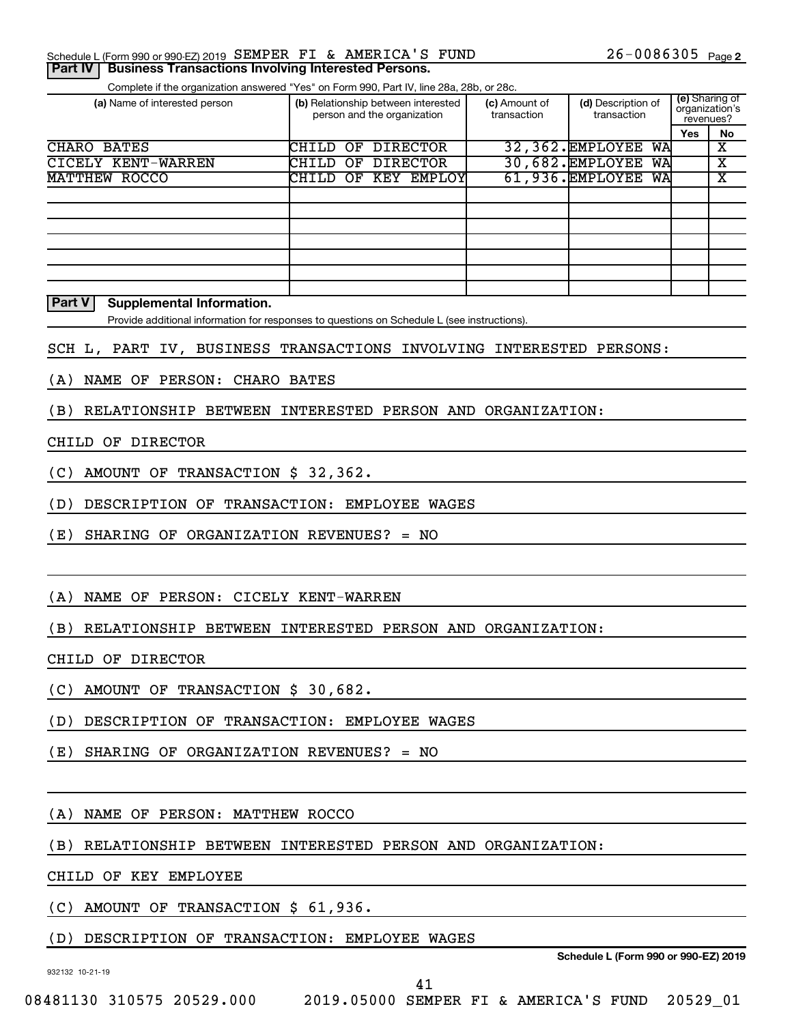Complete if the organization answered "Yes" on Form 990, Part IV, line 28a, 28b, or 28c.

| (a) Name of interested person |       | (b) Relationship between interested<br>person and the organization |  | (c) Amount of<br>transaction | (d) Description of<br>transaction | (e) Sharing of<br>organization's<br>revenues? |            |    |
|-------------------------------|-------|--------------------------------------------------------------------|--|------------------------------|-----------------------------------|-----------------------------------------------|------------|----|
|                               |       |                                                                    |  |                              |                                   |                                               | <b>Yes</b> | No |
| CHARO BATES                   | CHILD | OF                                                                 |  | <b>DIRECTOR</b>              |                                   | 32,362. EMPLOYEE<br>WA                        |            | х  |
| CICELY KENT-WARREN            | CHILD |                                                                    |  | OF DIRECTOR                  |                                   | 30,682. EMPLOYEE<br>WA                        |            | х  |
| MATTHEW ROCCO                 |       |                                                                    |  | CHILD OF KEY EMPLOY          |                                   | 61,936.EMPLOYEE<br>WA                         |            | х  |
|                               |       |                                                                    |  |                              |                                   |                                               |            |    |
|                               |       |                                                                    |  |                              |                                   |                                               |            |    |
|                               |       |                                                                    |  |                              |                                   |                                               |            |    |
|                               |       |                                                                    |  |                              |                                   |                                               |            |    |
|                               |       |                                                                    |  |                              |                                   |                                               |            |    |
|                               |       |                                                                    |  |                              |                                   |                                               |            |    |
|                               |       |                                                                    |  |                              |                                   |                                               |            |    |

### **Part V** Supplemental Information.

Provide additional information for responses to questions on Schedule L (see instructions).

### SCH L, PART IV, BUSINESS TRANSACTIONS INVOLVING INTERESTED PERSONS:

(A) NAME OF PERSON: CHARO BATES

(B) RELATIONSHIP BETWEEN INTERESTED PERSON AND ORGANIZATION:

### CHILD OF DIRECTOR

(C) AMOUNT OF TRANSACTION \$ 32,362.

(D) DESCRIPTION OF TRANSACTION: EMPLOYEE WAGES

(E) SHARING OF ORGANIZATION REVENUES? = NO

### (A) NAME OF PERSON: CICELY KENT-WARREN

(B) RELATIONSHIP BETWEEN INTERESTED PERSON AND ORGANIZATION:

CHILD OF DIRECTOR

(C) AMOUNT OF TRANSACTION \$ 30,682.

(D) DESCRIPTION OF TRANSACTION: EMPLOYEE WAGES

(E) SHARING OF ORGANIZATION REVENUES? = NO

(A) NAME OF PERSON: MATTHEW ROCCO

(B) RELATIONSHIP BETWEEN INTERESTED PERSON AND ORGANIZATION:

CHILD OF KEY EMPLOYEE

(C) AMOUNT OF TRANSACTION \$ 61,936.

(D) DESCRIPTION OF TRANSACTION: EMPLOYEE WAGES

932132 10-21-19

**Schedule L (Form 990 or 990-EZ) 2019**

41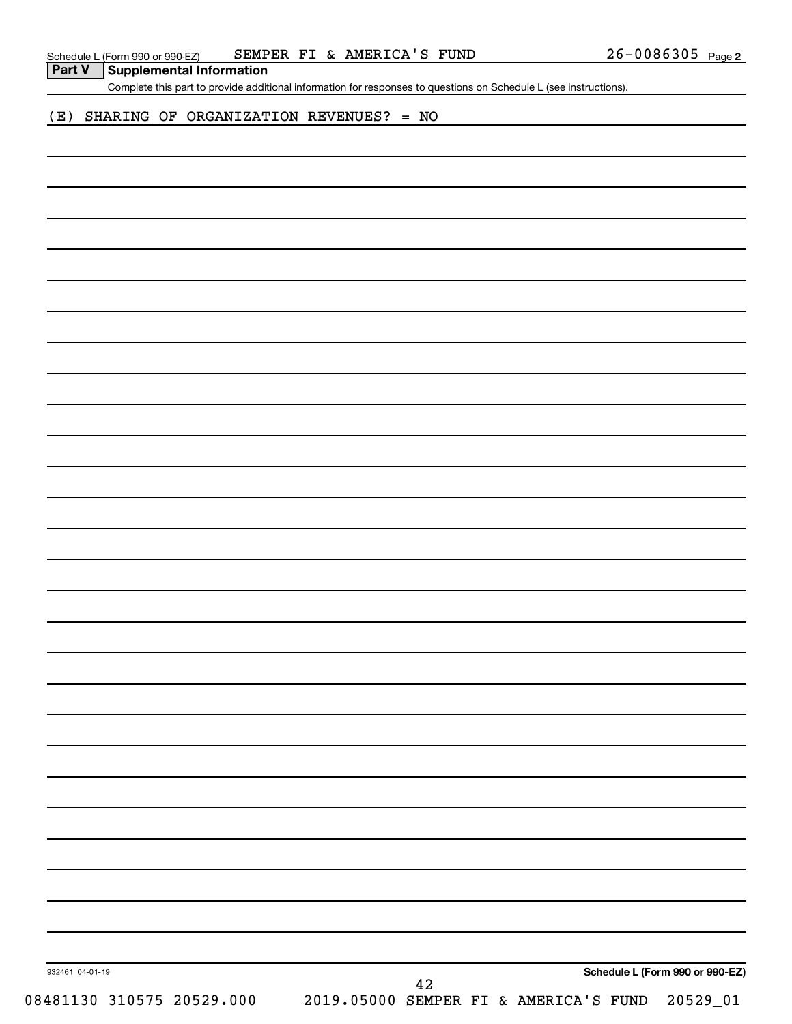| <b>Part V</b> Supplemental Information |
|----------------------------------------|

Complete this part to provide additional information for responses to questions on Schedule L (see instructions).

### (E) SHARING OF ORGANIZATION REVENUES? = NO

42

932461 04-01-19

**Schedule L (Form 990 or 990-EZ)**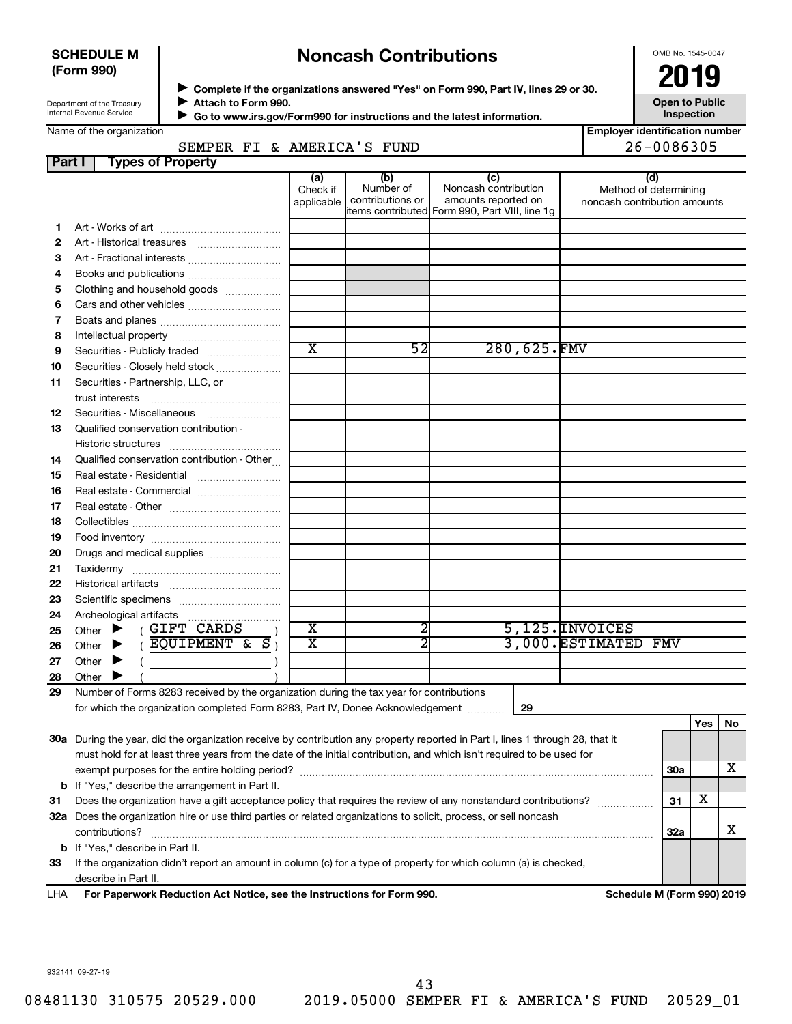### **SCHEDULE M (Form 990)**

# **Noncash Contributions**

OMB No. 1545-0047

**Employer identification number**

 $26 - 0086305$ 

| Department of the Treasury |
|----------------------------|
| Internal Revenue Service   |

**Complete if the organizations answered "Yes" on Form 990, Part IV, lines 29 or 30.**<br>• Complete if the organizations answered "Yes" on Form 990, Part IV, lines 29 or 30. **Attach to Form 990.**  $\blacktriangleright$ 

**Open to Public Inspection**

|  | Name of the organization |  |
|--|--------------------------|--|
|  |                          |  |
|  |                          |  |
|  |                          |  |

 **Go to www.irs.gov/Form990 for instructions and the latest information.** J

| ne of the organization |  |                            |  |
|------------------------|--|----------------------------|--|
|                        |  | SEMPER FI & AMERICA'S FUND |  |

| <b>Part I</b> | <b>Types of Property</b>                                                                                                       |                               |                                      |                                                                                                      |                                                              |            |     |    |
|---------------|--------------------------------------------------------------------------------------------------------------------------------|-------------------------------|--------------------------------------|------------------------------------------------------------------------------------------------------|--------------------------------------------------------------|------------|-----|----|
|               |                                                                                                                                | (a)<br>Check if<br>applicable | (b)<br>Number of<br>contributions or | (c)<br>Noncash contribution<br>amounts reported on<br>items contributed Form 990, Part VIII, line 1g | (d)<br>Method of determining<br>noncash contribution amounts |            |     |    |
| 1             |                                                                                                                                |                               |                                      |                                                                                                      |                                                              |            |     |    |
| 2             |                                                                                                                                |                               |                                      |                                                                                                      |                                                              |            |     |    |
| З             | Art - Fractional interests                                                                                                     |                               |                                      |                                                                                                      |                                                              |            |     |    |
| 4             | Books and publications                                                                                                         |                               |                                      |                                                                                                      |                                                              |            |     |    |
| 5             | Clothing and household goods                                                                                                   |                               |                                      |                                                                                                      |                                                              |            |     |    |
| 6             |                                                                                                                                |                               |                                      |                                                                                                      |                                                              |            |     |    |
| 7             |                                                                                                                                |                               |                                      |                                                                                                      |                                                              |            |     |    |
| 8             |                                                                                                                                |                               |                                      |                                                                                                      |                                                              |            |     |    |
| 9             | Securities - Publicly traded                                                                                                   | $\overline{\text{x}}$         | $\overline{52}$                      | 280,625.FMV                                                                                          |                                                              |            |     |    |
| 10            | Securities - Closely held stock                                                                                                |                               |                                      |                                                                                                      |                                                              |            |     |    |
| 11            | Securities - Partnership, LLC, or                                                                                              |                               |                                      |                                                                                                      |                                                              |            |     |    |
|               | trust interests                                                                                                                |                               |                                      |                                                                                                      |                                                              |            |     |    |
| 12            | Securities - Miscellaneous                                                                                                     |                               |                                      |                                                                                                      |                                                              |            |     |    |
| 13            | Qualified conservation contribution -                                                                                          |                               |                                      |                                                                                                      |                                                              |            |     |    |
|               |                                                                                                                                |                               |                                      |                                                                                                      |                                                              |            |     |    |
| 14            | Qualified conservation contribution - Other                                                                                    |                               |                                      |                                                                                                      |                                                              |            |     |    |
| 15            |                                                                                                                                |                               |                                      |                                                                                                      |                                                              |            |     |    |
| 16            | Real estate - Commercial                                                                                                       |                               |                                      |                                                                                                      |                                                              |            |     |    |
| 17            |                                                                                                                                |                               |                                      |                                                                                                      |                                                              |            |     |    |
| 18            |                                                                                                                                |                               |                                      |                                                                                                      |                                                              |            |     |    |
| 19            |                                                                                                                                |                               |                                      |                                                                                                      |                                                              |            |     |    |
| 20            | Drugs and medical supplies                                                                                                     |                               |                                      |                                                                                                      |                                                              |            |     |    |
| 21            |                                                                                                                                |                               |                                      |                                                                                                      |                                                              |            |     |    |
| 22            |                                                                                                                                |                               |                                      |                                                                                                      |                                                              |            |     |    |
| 23            |                                                                                                                                |                               |                                      |                                                                                                      |                                                              |            |     |    |
| 24            |                                                                                                                                |                               |                                      |                                                                                                      |                                                              |            |     |    |
| 25            | (GIFT CARDS<br>Other $\blacktriangleright$                                                                                     | $\overline{\textbf{x}}$       | 2                                    |                                                                                                      | $5,125.$ INVOICES                                            |            |     |    |
| 26            | $($ EQUIPMENT & S $)$<br>Other $\blacktriangleright$                                                                           | $\overline{\textbf{x}}$       |                                      |                                                                                                      | 3,000. ESTIMATED FMV                                         |            |     |    |
| 27            | Other $\blacktriangleright$                                                                                                    |                               |                                      |                                                                                                      |                                                              |            |     |    |
| 28            | Other $\blacktriangleright$                                                                                                    |                               |                                      |                                                                                                      |                                                              |            |     |    |
| 29            | Number of Forms 8283 received by the organization during the tax year for contributions                                        |                               |                                      |                                                                                                      |                                                              |            |     |    |
|               | for which the organization completed Form 8283, Part IV, Donee Acknowledgement                                                 |                               |                                      | 29                                                                                                   |                                                              |            |     |    |
|               |                                                                                                                                |                               |                                      |                                                                                                      |                                                              |            | Yes | No |
|               | 30a During the year, did the organization receive by contribution any property reported in Part I, lines 1 through 28, that it |                               |                                      |                                                                                                      |                                                              |            |     |    |
|               | must hold for at least three years from the date of the initial contribution, and which isn't required to be used for          |                               |                                      |                                                                                                      |                                                              |            |     |    |
|               |                                                                                                                                |                               |                                      |                                                                                                      |                                                              | <b>30a</b> |     | x  |
|               | <b>b</b> If "Yes," describe the arrangement in Part II.                                                                        |                               |                                      |                                                                                                      |                                                              |            |     |    |
| 31            | Does the organization have a gift acceptance policy that requires the review of any nonstandard contributions?                 |                               |                                      |                                                                                                      |                                                              | 31         | х   |    |
|               | 32a Does the organization hire or use third parties or related organizations to solicit, process, or sell noncash              |                               |                                      |                                                                                                      |                                                              |            |     |    |
|               | contributions?                                                                                                                 |                               |                                      |                                                                                                      |                                                              | 32a        |     | x  |
|               | b If "Yes," describe in Part II.                                                                                               |                               |                                      |                                                                                                      |                                                              |            |     |    |
| 33            | If the organization didn't report an amount in column (c) for a type of property for which column (a) is checked,              |                               |                                      |                                                                                                      |                                                              |            |     |    |
|               | describe in Part II.                                                                                                           |                               |                                      |                                                                                                      |                                                              |            |     |    |

LHA For Paperwork Reduction Act Notice, see the Instructions for Form 990. **In the Solution Schedule M (Form 990) 2019** 

932141 09-27-19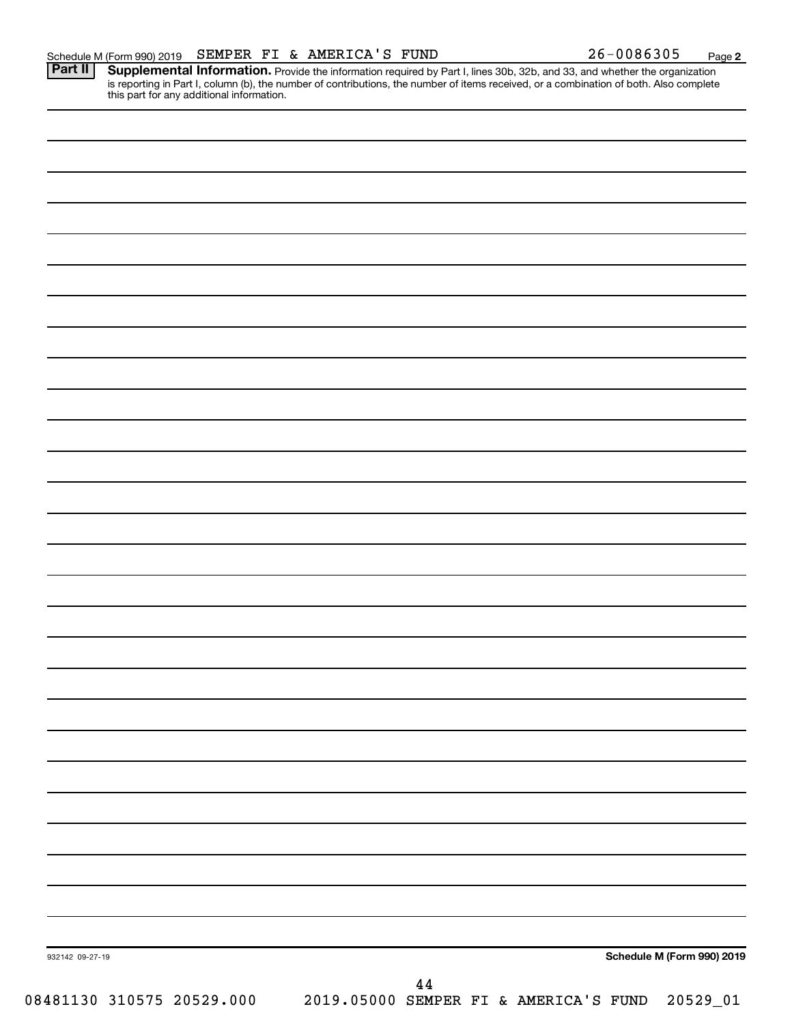**2**

Provide the information required by Part I, lines 30b, 32b, and 33, and whether the organization is reporting in Part I, column (b), the number of contributions, the number of items received, or a combination of both. Also complete this part for any additional information. **Part II Supplemental Information.** 

| 932142 09-27-19 | Schedule M (Form 990) 2019 |  |
|-----------------|----------------------------|--|
|                 |                            |  |
|                 |                            |  |
|                 |                            |  |
|                 |                            |  |
|                 |                            |  |
|                 |                            |  |
|                 |                            |  |
|                 |                            |  |
|                 |                            |  |
|                 |                            |  |
|                 |                            |  |
|                 |                            |  |
|                 |                            |  |
|                 |                            |  |
|                 |                            |  |
|                 |                            |  |
|                 |                            |  |
|                 |                            |  |
|                 |                            |  |
|                 |                            |  |
|                 |                            |  |
|                 |                            |  |
|                 |                            |  |
|                 |                            |  |
|                 |                            |  |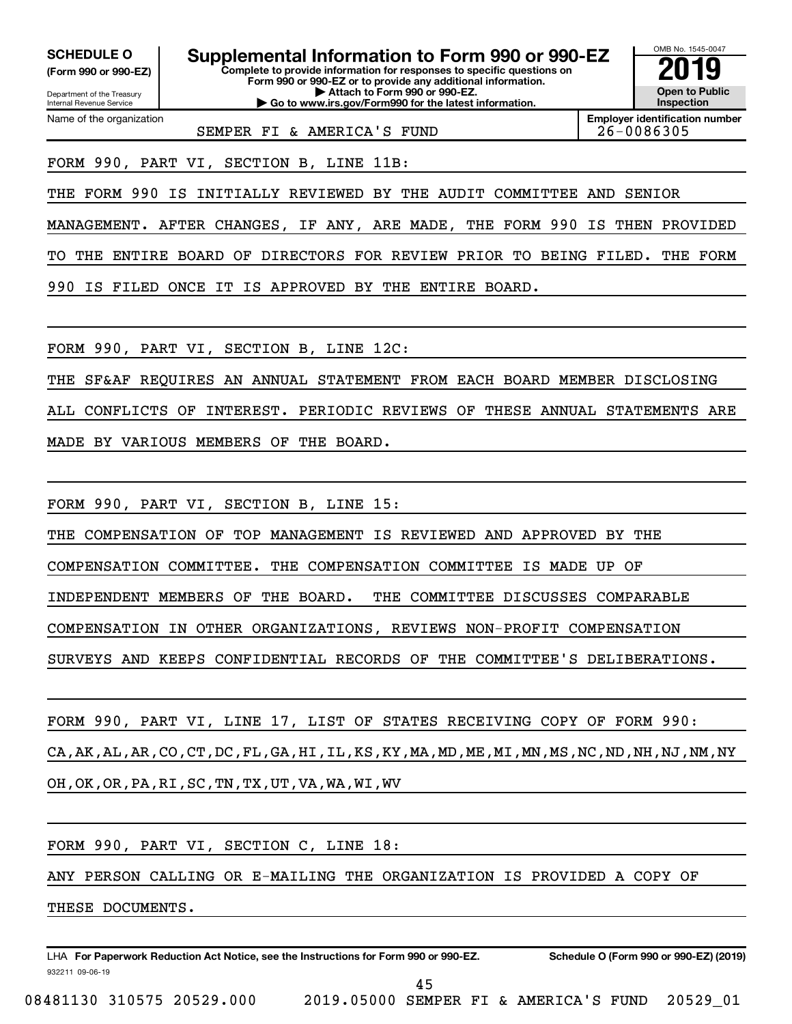**(Form 990 or 990-EZ)**

Department of the Treasury Internal Revenue Service Name of the organization

**Complete to provide information for responses to specific questions on Form 990 or 990-EZ or to provide any additional information. | Attach to Form 990 or 990-EZ. | Go to www.irs.gov/Form990 for the latest information. SCHEDULE O Supplemental Information to Form 990 or 990-EZ 2019** 



**Employer identification number** SEMPER FI & AMERICA'S FUND 26-0086305

FORM 990, PART VI, SECTION B, LINE 11B:

THE FORM 990 IS INITIALLY REVIEWED BY THE AUDIT COMMITTEE AND SENIOR

MANAGEMENT. AFTER CHANGES, IF ANY, ARE MADE, THE FORM 990 IS THEN PROVIDED TO THE ENTIRE BOARD OF DIRECTORS FOR REVIEW PRIOR TO BEING FILED. THE FORM 990 IS FILED ONCE IT IS APPROVED BY THE ENTIRE BOARD.

FORM 990, PART VI, SECTION B, LINE 12C:

THE SF&AF REQUIRES AN ANNUAL STATEMENT FROM EACH BOARD MEMBER DISCLOSING ALL CONFLICTS OF INTEREST. PERIODIC REVIEWS OF THESE ANNUAL STATEMENTS ARE MADE BY VARIOUS MEMBERS OF THE BOARD.

FORM 990, PART VI, SECTION B, LINE 15:

THE COMPENSATION OF TOP MANAGEMENT IS REVIEWED AND APPROVED BY THE

COMPENSATION COMMITTEE. THE COMPENSATION COMMITTEE IS MADE UP OF

INDEPENDENT MEMBERS OF THE BOARD. THE COMMITTEE DISCUSSES COMPARABLE

COMPENSATION IN OTHER ORGANIZATIONS, REVIEWS NON-PROFIT COMPENSATION

SURVEYS AND KEEPS CONFIDENTIAL RECORDS OF THE COMMITTEE'S DELIBERATIONS.

FORM 990, PART VI, LINE 17, LIST OF STATES RECEIVING COPY OF FORM 990: CA,AK,AL,AR,CO,CT,DC,FL,GA,HI,IL,KS,KY,MA,MD,ME,MI,MN,MS,NC,ND,NH,NJ,NM,NY OH,OK,OR,PA,RI,SC,TN,TX,UT,VA,WA,WI,WV

FORM 990, PART VI, SECTION C, LINE 18:

ANY PERSON CALLING OR E-MAILING THE ORGANIZATION IS PROVIDED A COPY OF

THESE DOCUMENTS.

932211 09-06-19 **For Paperwork Reduction Act Notice, see the Instructions for Form 990 or 990-EZ. Schedule O (Form 990 or 990-EZ) (2019)** LHA

45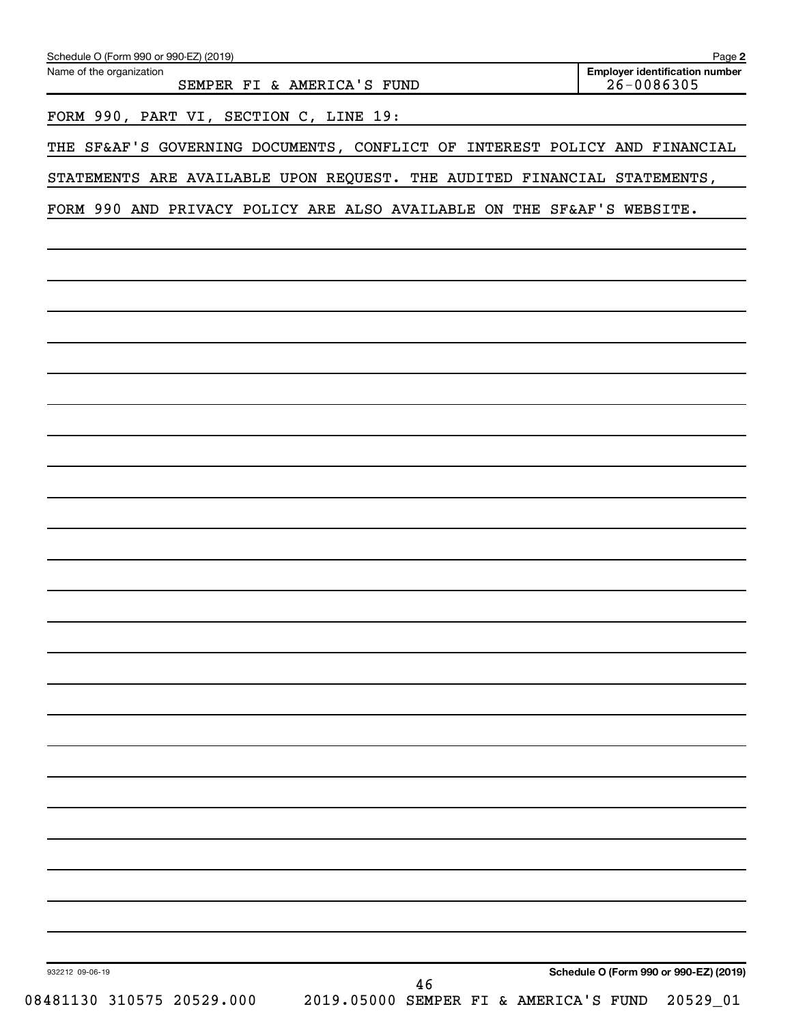| Name of the organization<br>SEMPER FI & AMERICA'S FUND                     | <b>Employer identification number</b><br>$26 - 0086305$ |
|----------------------------------------------------------------------------|---------------------------------------------------------|
| FORM 990, PART VI, SECTION C, LINE 19:                                     |                                                         |
| THE SF&AF'S GOVERNING DOCUMENTS, CONFLICT OF INTEREST POLICY AND FINANCIAL |                                                         |
| STATEMENTS ARE AVAILABLE UPON REQUEST. THE AUDITED FINANCIAL STATEMENTS,   |                                                         |
| FORM 990 AND PRIVACY POLICY ARE ALSO AVAILABLE ON THE SF&AF'S WEBSITE.     |                                                         |
|                                                                            |                                                         |
|                                                                            |                                                         |
|                                                                            |                                                         |
|                                                                            |                                                         |
|                                                                            |                                                         |
|                                                                            |                                                         |
|                                                                            |                                                         |
|                                                                            |                                                         |
|                                                                            |                                                         |
|                                                                            |                                                         |
|                                                                            |                                                         |
|                                                                            |                                                         |
|                                                                            |                                                         |
|                                                                            |                                                         |
|                                                                            |                                                         |
|                                                                            |                                                         |
|                                                                            |                                                         |
|                                                                            |                                                         |
|                                                                            |                                                         |
|                                                                            |                                                         |
|                                                                            |                                                         |
|                                                                            |                                                         |
|                                                                            |                                                         |
|                                                                            |                                                         |
| 932212 09-06-19                                                            | Schedule O (Form 990 or 990-EZ) (2019)                  |
| 46<br>08481130 310575 20529.000<br>2019.05000 SEMPER FI & AMERICA'S FUND   | 20529_01                                                |